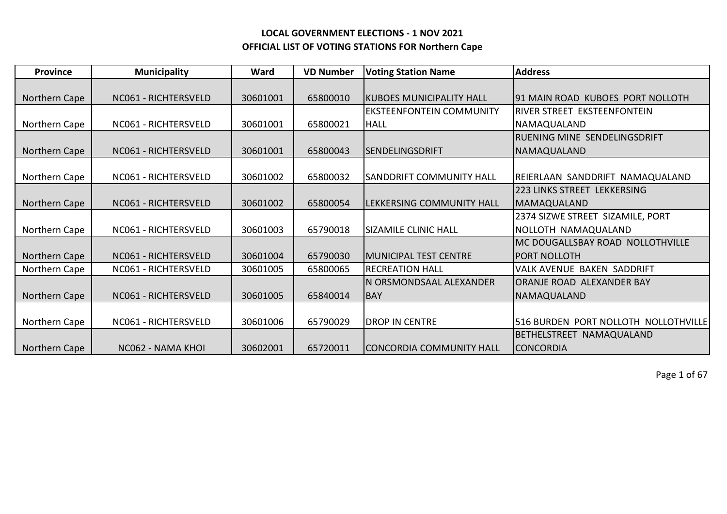| <b>Province</b> | <b>Municipality</b>  | Ward     | <b>VD Number</b> | <b>Voting Station Name</b>       | <b>Address</b>                       |
|-----------------|----------------------|----------|------------------|----------------------------------|--------------------------------------|
|                 |                      |          |                  |                                  |                                      |
| Northern Cape   | NC061 - RICHTERSVELD | 30601001 | 65800010         | KUBOES MUNICIPALITY HALL         | 191 MAIN ROAD KUBOES PORT NOLLOTH    |
|                 |                      |          |                  | <b>EKSTEENFONTEIN COMMUNITY</b>  | RIVER STREET EKSTEENFONTEIN          |
| Northern Cape   | NC061 - RICHTERSVELD | 30601001 | 65800021         | <b>HALL</b>                      | NAMAQUALAND                          |
|                 |                      |          |                  |                                  | <b>RUENING MINE SENDELINGSDRIFT</b>  |
| Northern Cape   | NC061 - RICHTERSVELD | 30601001 | 65800043         | ISENDELINGSDRIFT                 | NAMAQUALAND                          |
|                 |                      |          |                  |                                  |                                      |
| Northern Cape   | NC061 - RICHTERSVELD | 30601002 | 65800032         | SANDDRIFT COMMUNITY HALL         | REIERLAAN SANDDRIFT NAMAQUALAND      |
|                 |                      |          |                  |                                  | 223 LINKS STREET LEKKERSING          |
| Northern Cape   | NC061 - RICHTERSVELD | 30601002 | 65800054         | <b>LEKKERSING COMMUNITY HALL</b> | MAMAQUALAND                          |
|                 |                      |          |                  |                                  | 2374 SIZWE STREET SIZAMILE, PORT     |
| Northern Cape   | NC061 - RICHTERSVELD | 30601003 | 65790018         | <b>SIZAMILE CLINIC HALL</b>      | NOLLOTH NAMAQUALAND                  |
|                 |                      |          |                  |                                  | MC DOUGALLSBAY ROAD NOLLOTHVILLE     |
| Northern Cape   | NC061 - RICHTERSVELD | 30601004 | 65790030         | <b>MUNICIPAL TEST CENTRE</b>     | <b>PORT NOLLOTH</b>                  |
| Northern Cape   | NC061 - RICHTERSVELD | 30601005 | 65800065         | <b>RECREATION HALL</b>           | VALK AVENUE BAKEN SADDRIFT           |
|                 |                      |          |                  | IN ORSMONDSAAL ALEXANDER         | IORANJE ROAD ALEXANDER BAY           |
| Northern Cape   | NC061 - RICHTERSVELD | 30601005 | 65840014         | <b>BAY</b>                       | NAMAQUALAND                          |
|                 |                      |          |                  |                                  |                                      |
| Northern Cape   | NC061 - RICHTERSVELD | 30601006 | 65790029         | <b>DROP IN CENTRE</b>            | 516 BURDEN PORT NOLLOTH NOLLOTHVILLE |
|                 |                      |          |                  |                                  | <b>BETHELSTREET</b><br>NAMAQUALAND   |
| Northern Cape   | NC062 - NAMA KHOI    | 30602001 | 65720011         | CONCORDIA COMMUNITY HALL         | <b>CONCORDIA</b>                     |

Page 1 of 67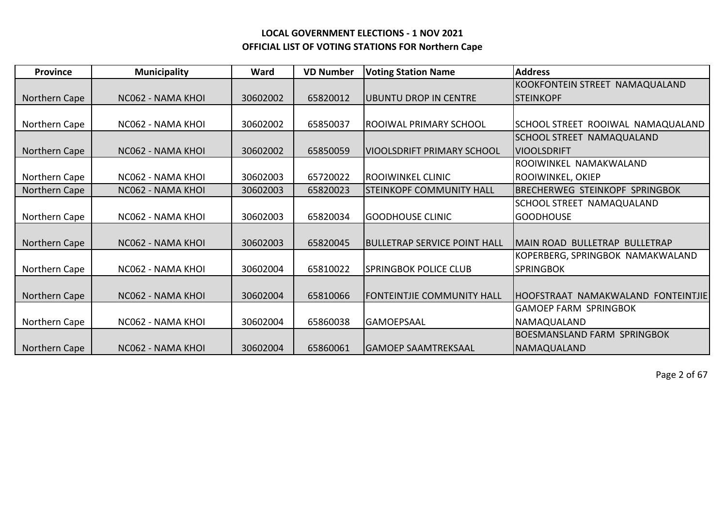| <b>Province</b> | <b>Municipality</b> | Ward     | <b>VD Number</b> | <b>Voting Station Name</b>           | <b>Address</b>                        |
|-----------------|---------------------|----------|------------------|--------------------------------------|---------------------------------------|
|                 |                     |          |                  |                                      | KOOKFONTEIN STREET NAMAQUALAND        |
| Northern Cape   | NC062 - NAMA KHOL   | 30602002 | 65820012         | UBUNTU DROP IN CENTRE                | ISTEINKOPF                            |
|                 |                     |          |                  |                                      |                                       |
| Northern Cape   | NC062 - NAMA KHOI   | 30602002 | 65850037         | ROOIWAL PRIMARY SCHOOL               | SCHOOL STREET ROOIWAL NAMAQUALAND     |
|                 |                     |          |                  |                                      | <b>SCHOOL STREET NAMAQUALAND</b>      |
| Northern Cape   | NC062 - NAMA KHOI   | 30602002 | 65850059         | <b>VIOOLSDRIFT PRIMARY SCHOOL</b>    | <b>VIOOLSDRIFT</b>                    |
|                 |                     |          |                  |                                      | ROOIWINKEL NAMAKWALAND                |
| Northern Cape   | NC062 - NAMA KHOI   | 30602003 | 65720022         | IROOIWINKEL CLINIC                   | ROOIWINKEL, OKIEP                     |
| Northern Cape   | NC062 - NAMA KHOI   | 30602003 | 65820023         | <b>STEINKOPF COMMUNITY HALL</b>      | <b>BRECHERWEG STEINKOPF SPRINGBOK</b> |
|                 |                     |          |                  |                                      | SCHOOL STREET NAMAQUALAND             |
| Northern Cape   | NC062 - NAMA KHOI   | 30602003 | 65820034         | <b>GOODHOUSE CLINIC</b>              | <b>GOODHOUSE</b>                      |
|                 |                     |          |                  |                                      |                                       |
| Northern Cape   | NC062 - NAMA KHOI   | 30602003 | 65820045         | <b>IBULLETRAP SERVICE POINT HALL</b> | IMAIN ROAD-BULLETRAP-BULLETRAP        |
|                 |                     |          |                  |                                      | KOPERBERG, SPRINGBOK NAMAKWALAND      |
| Northern Cape   | NC062 - NAMA KHOI   | 30602004 | 65810022         | <b>SPRINGBOK POLICE CLUB</b>         | <b>SPRINGBOK</b>                      |
|                 |                     |          |                  |                                      |                                       |
| Northern Cape   | NC062 - NAMA KHOI   | 30602004 | 65810066         | <b>FONTEINTJIE COMMUNITY HALL</b>    | IHOOFSTRAAT NAMAKWALAND FONTEINTJIE   |
|                 |                     |          |                  |                                      | <b>GAMOEP FARM SPRINGBOK</b>          |
| Northern Cape   | NC062 - NAMA KHOI   | 30602004 | 65860038         | <b>GAMOEPSAAL</b>                    | NAMAQUALAND                           |
|                 |                     |          |                  |                                      | <b>BOESMANSLAND FARM SPRINGBOK</b>    |
| Northern Cape   | NC062 - NAMA KHOL   | 30602004 | 65860061         | <b>GAMOEP SAAMTREKSAAL</b>           | NAMAQUALAND                           |

Page 2 of 67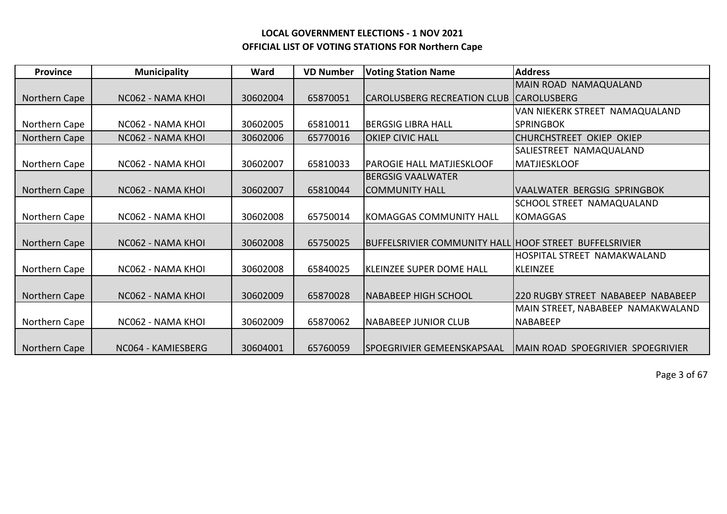| <b>Province</b> | <b>Municipality</b> | Ward     | <b>VD Number</b> | <b>Voting Station Name</b>                             | <b>Address</b>                     |
|-----------------|---------------------|----------|------------------|--------------------------------------------------------|------------------------------------|
|                 |                     |          |                  |                                                        | MAIN ROAD NAMAQUALAND              |
| Northern Cape   | NC062 - NAMA KHOI   | 30602004 | 65870051         | <b>CAROLUSBERG RECREATION CLUB</b>                     | <b>CAROLUSBERG</b>                 |
|                 |                     |          |                  |                                                        | VAN NIEKERK STREET NAMAQUALAND     |
| Northern Cape   | NC062 - NAMA KHOI   | 30602005 | 65810011         | <b>BERGSIG LIBRA HALL</b>                              | <b>SPRINGBOK</b>                   |
| Northern Cape   | NC062 - NAMA KHOI   | 30602006 | 65770016         | <b>OKIEP CIVIC HALL</b>                                | CHURCHSTREET OKIEP OKIEP           |
|                 |                     |          |                  |                                                        | SALIESTREET NAMAQUALAND            |
| Northern Cape   | NC062 - NAMA KHOI   | 30602007 | 65810033         | <b>PAROGIE HALL MATJIESKLOOF</b>                       | MATJIESKLOOF                       |
|                 |                     |          |                  | IBERGSIG VAALWATER                                     |                                    |
| Northern Cape   | NC062 - NAMA KHOI   | 30602007 | 65810044         | <b>COMMUNITY HALL</b>                                  | VAALWATER BERGSIG SPRINGBOK        |
|                 |                     |          |                  |                                                        | SCHOOL STREET NAMAQUALAND          |
| Northern Cape   | NC062 - NAMA KHOI   | 30602008 | 65750014         | <b>KOMAGGAS COMMUNITY HALL</b>                         | <b>KOMAGGAS</b>                    |
|                 |                     |          |                  |                                                        |                                    |
| Northern Cape   | NC062 - NAMA KHOL   | 30602008 | 65750025         | BUFFELSRIVIER COMMUNITY HALL HOOF STREET BUFFELSRIVIER |                                    |
|                 |                     |          |                  |                                                        | HOSPITAL STREET NAMAKWALAND        |
| Northern Cape   | NC062 - NAMA KHOI   | 30602008 | 65840025         | <b>KLEINZEE SUPER DOME HALL</b>                        | <b>KLEINZEE</b>                    |
|                 |                     |          |                  |                                                        |                                    |
| Northern Cape   | NC062 - NAMA KHOI   | 30602009 | 65870028         | <b>NABABEEP HIGH SCHOOL</b>                            | 220 RUGBY STREET NABABEEP NABABEEP |
|                 |                     |          |                  |                                                        | MAIN STREET, NABABEEP NAMAKWALAND  |
| Northern Cape   | NC062 - NAMA KHOI   | 30602009 | 65870062         | <b>NABABEEP JUNIOR CLUB</b>                            | <b>NABABEEP</b>                    |
|                 |                     |          |                  |                                                        |                                    |
| Northern Cape   | NC064 - KAMIESBERG  | 30604001 | 65760059         | SPOEGRIVIER GEMEENSKAPSAAL                             | IMAIN ROAD SPOEGRIVIER SPOEGRIVIER |

Page 3 of 67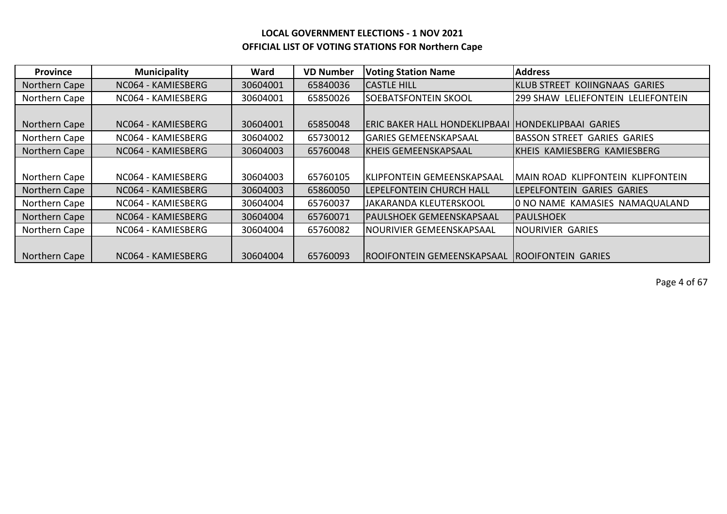| <b>Province</b> | <b>Municipality</b> | Ward     | <b>VD Number</b> | <b>Voting Station Name</b>                         | <b>Address</b>                            |
|-----------------|---------------------|----------|------------------|----------------------------------------------------|-------------------------------------------|
| Northern Cape   | NC064 - KAMIESBERG  | 30604001 | 65840036         | <b>CASTLE HILL</b>                                 | <b>IKLUB STREET KOIINGNAAS GARIES</b>     |
| Northern Cape   | NC064 - KAMIESBERG  | 30604001 | 65850026         | <b>SOEBATSFONTEIN SKOOL</b>                        | <b>299 SHAW LELIEFONTEIN LELIEFONTEIN</b> |
|                 |                     |          |                  |                                                    |                                           |
| Northern Cape   | NC064 - KAMIESBERG  | 30604001 | 65850048         | ERIC BAKER HALL HONDEKLIPBAAI HONDEKLIPBAAI GARIES |                                           |
| Northern Cape   | NC064 - KAMIESBERG  | 30604002 | 65730012         | <b>GARIES GEMEENSKAPSAAL</b>                       | <b>BASSON STREET GARIES GARIES</b>        |
| Northern Cape   | NC064 - KAMIESBERG  | 30604003 | 65760048         | <b>KHEIS GEMEENSKAPSAAL</b>                        | <b>KHEIS KAMIESBERG KAMIESBERG</b>        |
|                 |                     |          |                  |                                                    |                                           |
| Northern Cape   | NC064 - KAMIESBERG  | 30604003 | 65760105         | KLIPFONTEIN GEMEENSKAPSAAL                         | MAIN ROAD KLIPFONTEIN KLIPFONTEIN         |
| Northern Cape   | NC064 - KAMIESBERG  | 30604003 | 65860050         | LEPELFONTEIN CHURCH HALL                           | LEPELFONTEIN GARIES GARIES                |
| Northern Cape   | NC064 - KAMIESBERG  | 30604004 | 65760037         | JAKARANDA KLEUTERSKOOL                             | O NO NAME KAMASIES NAMAQUALAND            |
| Northern Cape   | NC064 - KAMIESBERG  | 30604004 | 65760071         | <b>PAULSHOEK GEMEENSKAPSAAL</b>                    | IPAULSHOEK                                |
| Northern Cape   | NC064 - KAMIESBERG  | 30604004 | 65760082         | INOURIVIER GEMEENSKAPSAAL                          | <b>NOURIVIER GARIES</b>                   |
|                 |                     |          |                  |                                                    |                                           |
| Northern Cape   | NC064 - KAMIESBERG  | 30604004 | 65760093         | ROOIFONTEIN GEMEENSKAPSAAL ROOIFONTEIN GARIES      |                                           |

Page 4 of 67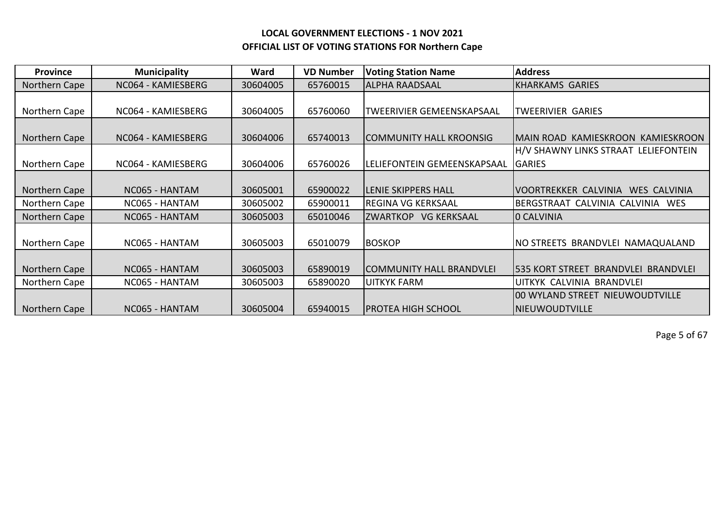| <b>Province</b> | <b>Municipality</b> | Ward     | <b>VD Number</b> | <b>Voting Station Name</b>            | <b>Address</b>                                       |
|-----------------|---------------------|----------|------------------|---------------------------------------|------------------------------------------------------|
| Northern Cape   | NC064 - KAMIESBERG  | 30604005 | 65760015         | <b>ALPHA RAADSAAL</b>                 | <b>KHARKAMS GARIES</b>                               |
|                 |                     |          |                  |                                       |                                                      |
| Northern Cape   | NC064 - KAMIESBERG  | 30604005 | 65760060         | <b>TWEERIVIER GEMEENSKAPSAAL</b>      | <b>TWEERIVIER GARIES</b>                             |
|                 |                     |          |                  |                                       |                                                      |
| Northern Cape   | NC064 - KAMIESBERG  | 30604006 | 65740013         | COMMUNITY HALL KROONSIG               | MAIN ROAD KAMIESKROON KAMIESKROON                    |
|                 |                     |          |                  |                                       | H/V SHAWNY LINKS STRAAT LELIEFONTEIN                 |
| Northern Cape   | NC064 - KAMIESBERG  | 30604006 | 65760026         | LELIEFONTEIN GEMEENSKAPSAAL           | <b>GARIES</b>                                        |
|                 |                     |          |                  |                                       |                                                      |
| Northern Cape   | NC065 - HANTAM      | 30605001 | 65900022         | <b>LENIE SKIPPERS HALL</b>            | <b>WES CALVINIA</b><br>VOORTREKKER CALVINIA          |
| Northern Cape   | NC065 - HANTAM      | 30605002 | 65900011         | REGINA VG KERKSAAL                    | BERGSTRAAT CALVINIA CALVINIA WES                     |
| Northern Cape   | NC065 - HANTAM      | 30605003 | 65010046         | <b>ZWARTKOP</b><br><b>VG KERKSAAL</b> | 0 CALVINIA                                           |
|                 |                     |          |                  |                                       |                                                      |
| Northern Cape   | NC065 - HANTAM      | 30605003 | 65010079         | <b>BOSKOP</b>                         | NO STREETS BRANDVLEI NAMAQUALAND                     |
|                 |                     |          |                  |                                       |                                                      |
| Northern Cape   | NC065 - HANTAM      | 30605003 | 65890019         | <b>COMMUNITY HALL BRANDVLEI</b>       | <b>BRANDVLEI BRANDVLEI</b><br><b>535 KORT STREET</b> |
| Northern Cape   | NC065 - HANTAM      | 30605003 | 65890020         | <b>UITKYK FARM</b>                    | UITKYK CALVINIA BRANDVLEI                            |
|                 |                     |          |                  |                                       | 00 WYLAND STREET NIEUWOUDTVILLE                      |
| Northern Cape   | NC065 - HANTAM      | 30605004 | 65940015         | <b>PROTEA HIGH SCHOOL</b>             | NIEUWOUDTVILLE                                       |

Page 5 of 67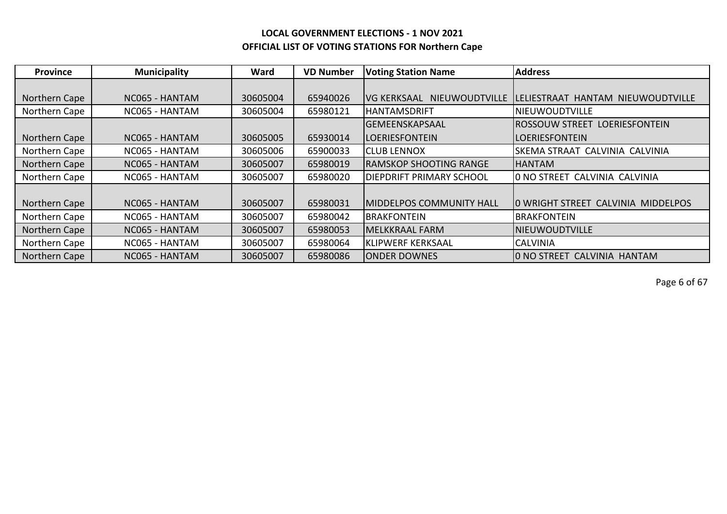| <b>Province</b> | <b>Municipality</b> | Ward     | <b>VD Number</b> | <b>Voting Station Name</b>           | <b>Address</b>                        |
|-----------------|---------------------|----------|------------------|--------------------------------------|---------------------------------------|
|                 |                     |          |                  |                                      |                                       |
| Northern Cape   | NC065 - HANTAM      | 30605004 | 65940026         | NIEUWOUDTVILLE<br><b>VG KERKSAAL</b> | LELIESTRAAT HANTAM NIEUWOUDTVILLE     |
| Northern Cape   | NC065 - HANTAM      | 30605004 | 65980121         | <b>HANTAMSDRIFT</b>                  | <b>NIEUWOUDTVILLE</b>                 |
|                 |                     |          |                  | <b>GEMEENSKAPSAAL</b>                | ROSSOUW STREET LOERIESFONTEIN         |
| Northern Cape   | NC065 - HANTAM      | 30605005 | 65930014         | <b>LOERIESFONTEIN</b>                | <b>LOERIESFONTEIN</b>                 |
| Northern Cape   | NC065 - HANTAM      | 30605006 | 65900033         | <b>ICLUB LENNOX</b>                  | SKEMA STRAAT CALVINIA CALVINIA        |
| Northern Cape   | NC065 - HANTAM      | 30605007 | 65980019         | IRAMSKOP SHOOTING RANGE              | IHANTAM                               |
| Northern Cape   | NC065 - HANTAM      | 30605007 | 65980020         | <b>DIEPDRIFT PRIMARY SCHOOL</b>      | <b>10 NO STREET CALVINIA CALVINIA</b> |
|                 |                     |          |                  |                                      |                                       |
| Northern Cape   | NC065 - HANTAM      | 30605007 | 65980031         | <b>MIDDELPOS COMMUNITY HALL</b>      | IO WRIGHT STREET CALVINIA MIDDELPOS   |
| Northern Cape   | NC065 - HANTAM      | 30605007 | 65980042         | <b>BRAKFONTEIN</b>                   | <b>BRAKFONTEIN</b>                    |
| Northern Cape   | NC065 - HANTAM      | 30605007 | 65980053         | MELKKRAAL FARM                       | <b>NIEUWOUDTVILLE</b>                 |
| Northern Cape   | NC065 - HANTAM      | 30605007 | 65980064         | <b>KLIPWERF KERKSAAL</b>             | <b>CALVINIA</b>                       |
| Northern Cape   | NC065 - HANTAM      | 30605007 | 65980086         | <b>ONDER DOWNES</b>                  | O NO STREET CALVINIA HANTAM           |

Page 6 of 67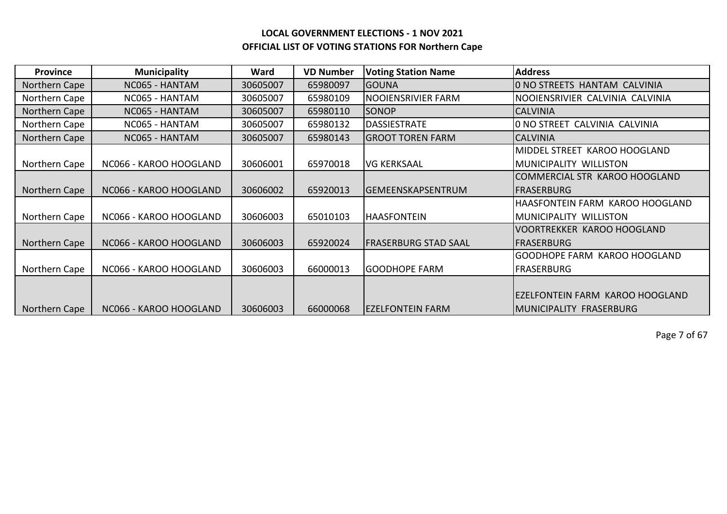| Province      | <b>Municipality</b>    | Ward     | <b>VD Number</b> | <b>Voting Station Name</b>  | <b>Address</b>                      |
|---------------|------------------------|----------|------------------|-----------------------------|-------------------------------------|
| Northern Cape | NC065 - HANTAM         | 30605007 | 65980097         | <b>GOUNA</b>                | O NO STREETS HANTAM CALVINIA        |
| Northern Cape | NC065 - HANTAM         | 30605007 | 65980109         | NOOIENSRIVIER FARM          | NOOIENSRIVIER CALVINIA CALVINIA     |
| Northern Cape | NC065 - HANTAM         | 30605007 | 65980110         | <b>SONOP</b>                | <b>CALVINIA</b>                     |
| Northern Cape | NC065 - HANTAM         | 30605007 | 65980132         | <b>DASSIESTRATE</b>         | O NO STREET CALVINIA CALVINIA       |
| Northern Cape | NC065 - HANTAM         | 30605007 | 65980143         | <b>GROOT TOREN FARM</b>     | <b>CALVINIA</b>                     |
|               |                        |          |                  |                             | MIDDEL STREET KAROO HOOGLAND        |
| Northern Cape | NC066 - KAROO HOOGLAND | 30606001 | 65970018         | <b>VG KERKSAAL</b>          | <b>IMUNICIPALITY WILLISTON</b>      |
|               |                        |          |                  |                             | COMMERCIAL STR KAROO HOOGLAND       |
| Northern Cape | NC066 - KAROO HOOGLAND | 30606002 | 65920013         | lGEMEENSKAPSENTRUM          | <b>IFRASERBURG</b>                  |
|               |                        |          |                  |                             | HAASFONTEIN FARM KAROO HOOGLAND     |
| Northern Cape | NC066 - KAROO HOOGLAND | 30606003 | 65010103         | <b>HAASFONTEIN</b>          | <b>IMUNICIPALITY WILLISTON</b>      |
|               |                        |          |                  |                             | <b>VOORTREKKER KAROO HOOGLAND</b>   |
| Northern Cape | NC066 - KAROO HOOGLAND | 30606003 | 65920024         | <b>FRASERBURG STAD SAAL</b> | IFRASERBURG                         |
|               |                        |          |                  |                             | <b>GOODHOPE FARM KAROO HOOGLAND</b> |
| Northern Cape | NC066 - KAROO HOOGLAND | 30606003 | 66000013         | <b>GOODHOPE FARM</b>        | <b>FRASERBURG</b>                   |
|               |                        |          |                  |                             |                                     |
|               |                        |          |                  |                             | IEZELFONTEIN FARM KAROO HOOGLAND    |
| Northern Cape | NC066 - KAROO HOOGLAND | 30606003 | 66000068         | <b>EZELFONTEIN FARM</b>     | IMUNICIPALITY FRASERBURG            |

Page 7 of 67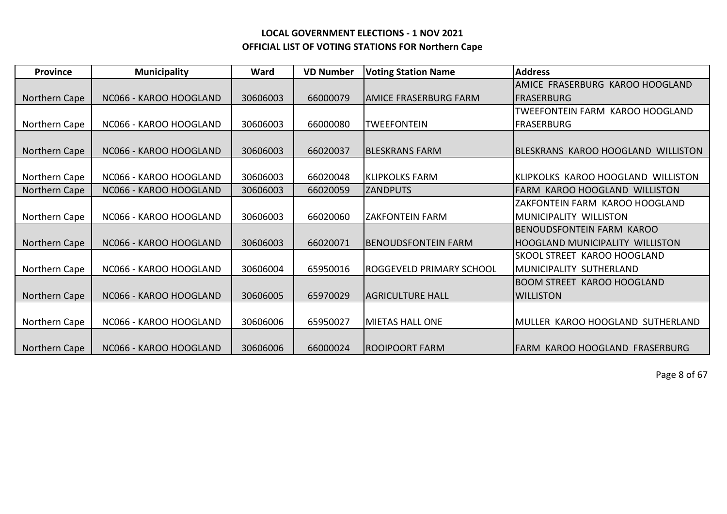| <b>Province</b> | <b>Municipality</b>    | Ward     | <b>VD Number</b> | <b>Voting Station Name</b>  | <b>Address</b>                     |
|-----------------|------------------------|----------|------------------|-----------------------------|------------------------------------|
|                 |                        |          |                  |                             | AMICE FRASERBURG KAROO HOOGLAND    |
| Northern Cape   | NC066 - KAROO HOOGLAND | 30606003 | 66000079         | IAMICE FRASERBURG FARM      | <b>FRASERBURG</b>                  |
|                 |                        |          |                  |                             | TWEEFONTEIN FARM KAROO HOOGLAND    |
| Northern Cape   | NC066 - KAROO HOOGLAND | 30606003 | 66000080         | <b>TWEEFONTEIN</b>          | <b>FRASERBURG</b>                  |
|                 |                        |          |                  |                             |                                    |
| Northern Cape   | NC066 - KAROO HOOGLAND | 30606003 | 66020037         | <b>BLESKRANS FARM</b>       | BLESKRANS KAROO HOOGLAND WILLISTON |
|                 |                        |          |                  |                             |                                    |
| Northern Cape   | NC066 - KAROO HOOGLAND | 30606003 | 66020048         | <b>KLIPKOLKS FARM</b>       | KLIPKOLKS KAROO HOOGLAND WILLISTON |
| Northern Cape   | NC066 - KAROO HOOGLAND | 30606003 | 66020059         | <b>ZANDPUTS</b>             | FARM KAROO HOOGLAND WILLISTON      |
|                 |                        |          |                  |                             | ZAKFONTEIN FARM KAROO HOOGLAND     |
| Northern Cape   | NC066 - KAROO HOOGLAND | 30606003 | 66020060         | <b>ZAKFONTEIN FARM</b>      | MUNICIPALITY WILLISTON             |
|                 |                        |          |                  |                             | <b>BENOUDSFONTEIN FARM KAROO</b>   |
| Northern Cape   | NC066 - KAROO HOOGLAND | 30606003 | 66020071         | <b>IBENOUDSFONTEIN FARM</b> | HOOGLAND MUNICIPALITY WILLISTON    |
|                 |                        |          |                  |                             | <b>SKOOL STREET KAROO HOOGLAND</b> |
| Northern Cape   | NC066 - KAROO HOOGLAND | 30606004 | 65950016         | ROGGEVELD PRIMARY SCHOOL    | IMUNICIPALITY SUTHERLAND           |
|                 |                        |          |                  |                             | <b>BOOM STREET KAROO HOOGLAND</b>  |
| Northern Cape   | NC066 - KAROO HOOGLAND | 30606005 | 65970029         | <b>AGRICULTURE HALL</b>     | <b>WILLISTON</b>                   |
|                 |                        |          |                  |                             |                                    |
| Northern Cape   | NC066 - KAROO HOOGLAND | 30606006 | 65950027         | <b>MIETAS HALL ONE</b>      | MULLER KAROO HOOGLAND SUTHERLAND   |
|                 |                        |          |                  |                             |                                    |
| Northern Cape   | NC066 - KAROO HOOGLAND | 30606006 | 66000024         | <b>ROOIPOORT FARM</b>       | IFARM KAROO HOOGLAND FRASERBURG    |

Page 8 of 67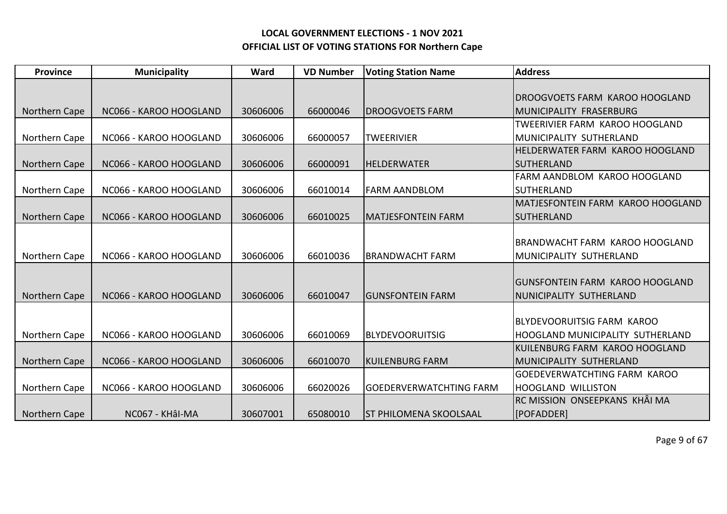| <b>Province</b> | <b>Municipality</b>    | Ward     | <b>VD Number</b> | <b>Voting Station Name</b>     | <b>Address</b>                          |
|-----------------|------------------------|----------|------------------|--------------------------------|-----------------------------------------|
|                 |                        |          |                  |                                |                                         |
|                 |                        |          |                  |                                | <b>DROOGVOETS FARM KAROO HOOGLAND</b>   |
| Northern Cape   | NC066 - KAROO HOOGLAND | 30606006 | 66000046         | <b>IDROOGVOETS FARM</b>        | IMUNICIPALITY FRASERBURG                |
|                 |                        |          |                  |                                | <b>TWEERIVIER FARM KAROO HOOGLAND</b>   |
| Northern Cape   | NC066 - KAROO HOOGLAND | 30606006 | 66000057         | <b>TWEERIVIER</b>              | IMUNICIPALITY SUTHERLAND                |
|                 |                        |          |                  |                                | <b>HELDERWATER FARM KAROO HOOGLAND</b>  |
| Northern Cape   | NC066 - KAROO HOOGLAND | 30606006 | 66000091         | <b>HELDERWATER</b>             | SUTHERLAND                              |
|                 |                        |          |                  |                                | FARM AANDBLOM KAROO HOOGLAND            |
| Northern Cape   | NC066 - KAROO HOOGLAND | 30606006 | 66010014         | <b>FARM AANDBLOM</b>           | SUTHERLAND                              |
|                 |                        |          |                  |                                | MATJESFONTEIN FARM KAROO HOOGLAND       |
| Northern Cape   | NC066 - KAROO HOOGLAND | 30606006 | 66010025         | <b>MATJESFONTEIN FARM</b>      | <b>SUTHERLAND</b>                       |
|                 |                        |          |                  |                                |                                         |
|                 |                        |          |                  |                                | BRANDWACHT FARM KAROO HOOGLAND          |
| Northern Cape   | NC066 - KAROO HOOGLAND | 30606006 | 66010036         | <b>BRANDWACHT FARM</b>         | MUNICIPALITY SUTHERLAND                 |
|                 |                        |          |                  |                                |                                         |
|                 |                        |          |                  |                                | IGUNSFONTEIN FARM KAROO HOOGLAND        |
| Northern Cape   | NC066 - KAROO HOOGLAND | 30606006 | 66010047         | <b>GUNSFONTEIN FARM</b>        | NUNICIPALITY SUTHERLAND                 |
|                 |                        |          |                  |                                |                                         |
|                 |                        |          |                  |                                | BLYDEVOORUITSIG FARM KAROO              |
| Northern Cape   | NC066 - KAROO HOOGLAND | 30606006 | 66010069         | <b>BLYDEVOORUITSIG</b>         | <b>HOOGLAND MUNICIPALITY SUTHERLAND</b> |
|                 |                        |          |                  |                                | KUILENBURG FARM KAROO HOOGLAND          |
| Northern Cape   | NC066 - KAROO HOOGLAND | 30606006 | 66010070         | <b>KUILENBURG FARM</b>         | MUNICIPALITY SUTHERLAND                 |
|                 |                        |          |                  |                                | <b>GOEDEVERWATCHTING FARM KAROO</b>     |
| Northern Cape   | NC066 - KAROO HOOGLAND | 30606006 | 66020026         | <b>GOEDERVERWATCHTING FARM</b> | HOOGLAND WILLISTON                      |
|                 |                        |          |                  |                                | RC MISSION ONSEEPKANS KHÂI MA           |
| Northern Cape   | NC067 - KHâl-MA        | 30607001 | 65080010         | <b>ST PHILOMENA SKOOLSAAL</b>  | [POFADDER]                              |

Page 9 of 67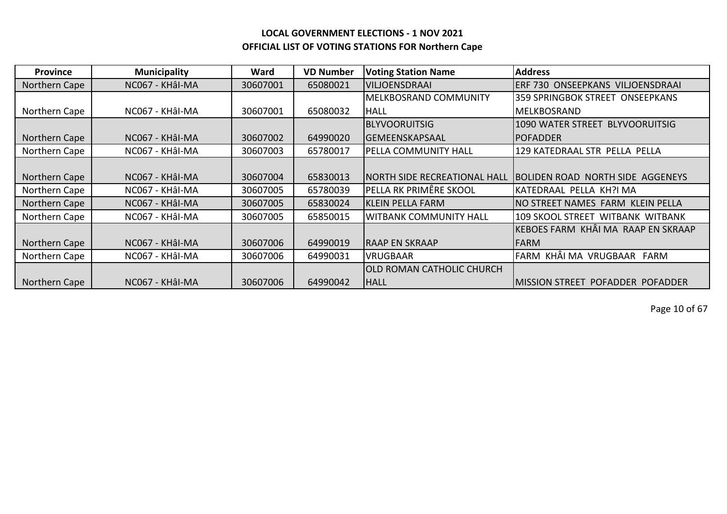| <b>Province</b> | <b>Municipality</b> | Ward     | <b>VD Number</b> | <b>Voting Station Name</b>       | <b>Address</b>                           |
|-----------------|---------------------|----------|------------------|----------------------------------|------------------------------------------|
| Northern Cape   | NC067 - KHÂI-MA     | 30607001 | 65080021         | <b>VILJOENSDRAAI</b>             | ERF 730 ONSEEPKANS VILJOENSDRAAI         |
|                 |                     |          |                  | <b>MELKBOSRAND COMMUNITY</b>     | 359 SPRINGBOK STREET ONSEEPKANS          |
| Northern Cape   | NC067 - KHÂI-MA     | 30607001 | 65080032         | <b>HALL</b>                      | MELKBOSRAND                              |
|                 |                     |          |                  | <b>BLYVOORUITSIG</b>             | 1090 WATER STREET BLYVOORUITSIG          |
| Northern Cape   | NC067 - KHÂI-MA     | 30607002 | 64990020         | <b>GEMEENSKAPSAAL</b>            | <b>POFADDER</b>                          |
| Northern Cape   | NC067 - KHÂI-MA     | 30607003 | 65780017         | PELLA COMMUNITY HALL             | 129 KATEDRAAL STR PELLA PELLA            |
|                 |                     |          |                  |                                  |                                          |
| Northern Cape   | NC067 - KHÂI-MA     | 30607004 | 65830013         | INORTH SIDE RECREATIONAL HALL    | BOLIDEN ROAD NORTH SIDE AGGENEYS         |
| Northern Cape   | NC067 - KHÂI-MA     | 30607005 | 65780039         | PELLA RK PRIMÊRE SKOOL           | KATEDRAAL PELLA KH?I MA                  |
| Northern Cape   | NC067 - KHÂI-MA     | 30607005 | 65830024         | KLEIN PELLA FARM                 | NO STREET NAMES FARM KLEIN PELLA         |
| Northern Cape   | NC067 - KHÂI-MA     | 30607005 | 65850015         | <b>WITBANK COMMUNITY HALL</b>    | 109 SKOOL STREET WITBANK WITBANK         |
|                 |                     |          |                  |                                  | KEBOES FARM KHÂI MA RAAP EN SKRAAP       |
| Northern Cape   | NC067 - KHÂI-MA     | 30607006 | 64990019         | <b>RAAP EN SKRAAP</b>            | <b>FARM</b>                              |
| Northern Cape   | NC067 - KHÂI-MA     | 30607006 | 64990031         | <b>VRUGBAAR</b>                  | FARM KHÂI MA VRUGBAAR FARM               |
|                 |                     |          |                  | <b>OLD ROMAN CATHOLIC CHURCH</b> |                                          |
| Northern Cape   | NC067 - KHÂI-MA     | 30607006 | 64990042         | <b>HALL</b>                      | <b>IMISSION STREET POFADDER POFADDER</b> |

Page 10 of 67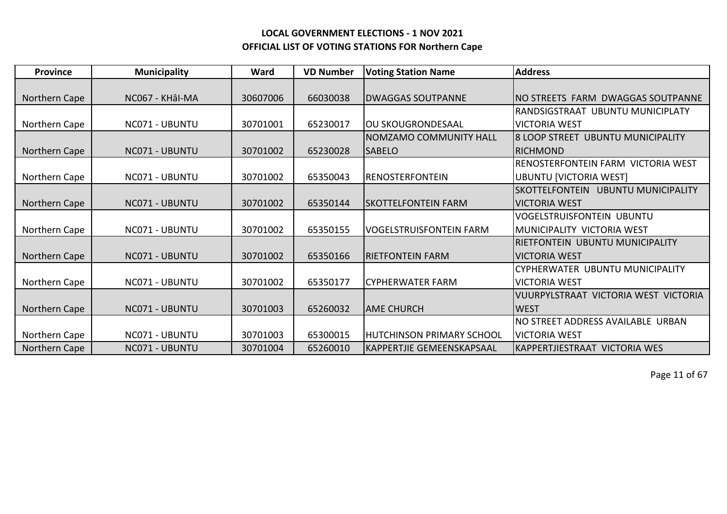| <b>Province</b> | <b>Municipality</b> | Ward     | <b>VD Number</b> | <b>Voting Station Name</b>       | <b>Address</b>                       |
|-----------------|---------------------|----------|------------------|----------------------------------|--------------------------------------|
|                 |                     |          |                  |                                  |                                      |
| Northern Cape   | NC067 - KHÂI-MA     | 30607006 | 66030038         | <b>DWAGGAS SOUTPANNE</b>         | INO STREETS FARM DWAGGAS SOUTPANNE   |
|                 |                     |          |                  |                                  | RANDSIGSTRAAT UBUNTU MUNICIPLATY     |
| Northern Cape   | NC071 - UBUNTU      | 30701001 | 65230017         | lOU SKOUGRONDESAAL               | <b>VICTORIA WEST</b>                 |
|                 |                     |          |                  | <b>NOMZAMO COMMUNITY HALL</b>    | 8 LOOP STREET UBUNTU MUNICIPALITY    |
| Northern Cape   | NC071 - UBUNTU      | 30701002 | 65230028         | <b>SABELO</b>                    | <b>IRICHMOND</b>                     |
|                 |                     |          |                  |                                  | RENOSTERFONTEIN FARM VICTORIA WEST   |
| Northern Cape   | NC071 - UBUNTU      | 30701002 | 65350043         | <b>RENOSTERFONTEIN</b>           | <b>UBUNTU [VICTORIA WEST]</b>        |
|                 |                     |          |                  |                                  | SKOTTELFONTEIN UBUNTU MUNICIPALITY   |
| Northern Cape   | NC071 - UBUNTU      | 30701002 | 65350144         | <b>SKOTTELFONTEIN FARM</b>       | IVICTORIA WEST                       |
|                 |                     |          |                  |                                  | <b>VOGELSTRUISFONTEIN UBUNTU</b>     |
| Northern Cape   | NC071 - UBUNTU      | 30701002 | 65350155         | <b>VOGELSTRUISFONTEIN FARM</b>   | IMUNICIPALITY VICTORIA WEST          |
|                 |                     |          |                  |                                  | IRIETFONTEIN UBUNTU MUNICIPALITY     |
| Northern Cape   | NC071 - UBUNTU      | 30701002 | 65350166         | <b>RIETFONTEIN FARM</b>          | IVICTORIA WEST                       |
|                 |                     |          |                  |                                  | CYPHERWATER UBUNTU MUNICIPALITY      |
| Northern Cape   | NC071 - UBUNTU      | 30701002 | 65350177         | <b>CYPHERWATER FARM</b>          | <b>VICTORIA WEST</b>                 |
|                 |                     |          |                  |                                  | VUURPYLSTRAAT VICTORIA WEST VICTORIA |
| Northern Cape   | NC071 - UBUNTU      | 30701003 | 65260032         | <b>AME CHURCH</b>                | <b>WEST</b>                          |
|                 |                     |          |                  |                                  | NO STREET ADDRESS AVAILABLE URBAN    |
| Northern Cape   | NC071 - UBUNTU      | 30701003 | 65300015         | <b>HUTCHINSON PRIMARY SCHOOL</b> | <b>VICTORIA WEST</b>                 |
| Northern Cape   | NC071 - UBUNTU      | 30701004 | 65260010         | IKAPPERTJIE GEMEENSKAPSAAL       | IKAPPERTJIESTRAAT VICTORIA WES       |

Page 11 of 67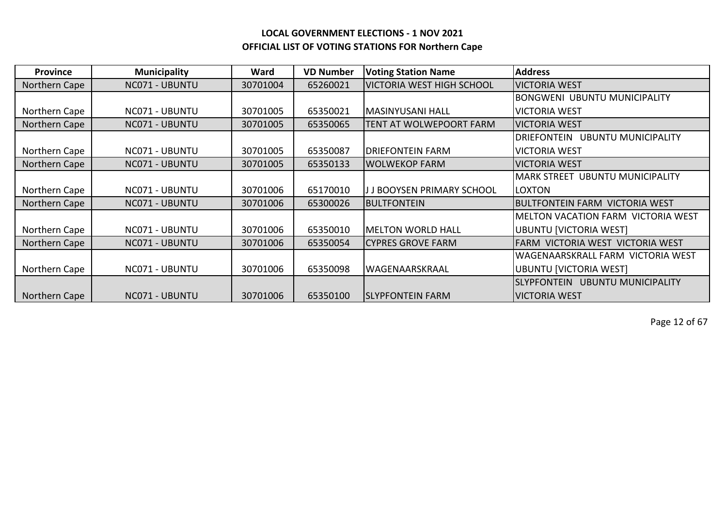| <b>Province</b> | <b>Municipality</b> | Ward     | <b>VD Number</b> | <b>Voting Station Name</b>       | <b>Address</b>                                   |
|-----------------|---------------------|----------|------------------|----------------------------------|--------------------------------------------------|
| Northern Cape   | NC071 - UBUNTU      | 30701004 | 65260021         | <b>VICTORIA WEST HIGH SCHOOL</b> | <b>VICTORIA WEST</b>                             |
|                 |                     |          |                  |                                  | <b>BONGWENI UBUNTU MUNICIPALITY</b>              |
| Northern Cape   | NC071 - UBUNTU      | 30701005 | 65350021         | MASINYUSANI HALL                 | <b>VICTORIA WEST</b>                             |
| Northern Cape   | NC071 - UBUNTU      | 30701005 | 65350065         | TENT AT WOLWEPOORT FARM          | <b>VICTORIA WEST</b>                             |
|                 |                     |          |                  |                                  | <b>UBUNTU MUNICIPALITY</b><br><b>DRIEFONTEIN</b> |
| Northern Cape   | NC071 - UBUNTU      | 30701005 | 65350087         | <b>DRIEFONTEIN FARM</b>          | <b>VICTORIA WEST</b>                             |
| Northern Cape   | NC071 - UBUNTU      | 30701005 | 65350133         | <b>WOLWEKOP FARM</b>             | <b>VICTORIA WEST</b>                             |
|                 |                     |          |                  |                                  | MARK STREET UBUNTU MUNICIPALITY                  |
| Northern Cape   | NC071 - UBUNTU      | 30701006 | 65170010         | J J BOOYSEN PRIMARY SCHOOL       | <b>LOXTON</b>                                    |
| Northern Cape   | NC071 - UBUNTU      | 30701006 | 65300026         | <b>BULTFONTEIN</b>               | <b>BULTFONTEIN FARM VICTORIA WEST</b>            |
|                 |                     |          |                  |                                  | <b>MELTON VACATION FARM VICTORIA WEST</b>        |
| Northern Cape   | NC071 - UBUNTU      | 30701006 | 65350010         | MELTON WORLD HALL                | <b>UBUNTU [VICTORIA WEST]</b>                    |
| Northern Cape   | NC071 - UBUNTU      | 30701006 | 65350054         | <b>CYPRES GROVE FARM</b>         | FARM VICTORIA WEST VICTORIA WEST                 |
|                 |                     |          |                  |                                  | WAGENAARSKRALL FARM VICTORIA WEST                |
| Northern Cape   | NC071 - UBUNTU      | 30701006 | 65350098         | lWAGENAARSKRAAL                  | <b>UBUNTU [VICTORIA WEST]</b>                    |
|                 |                     |          |                  |                                  | SLYPFONTEIN UBUNTU MUNICIPALITY                  |
| Northern Cape   | NC071 - UBUNTU      | 30701006 | 65350100         | <b>SLYPFONTEIN FARM</b>          | <b>VICTORIA WEST</b>                             |

Page 12 of 67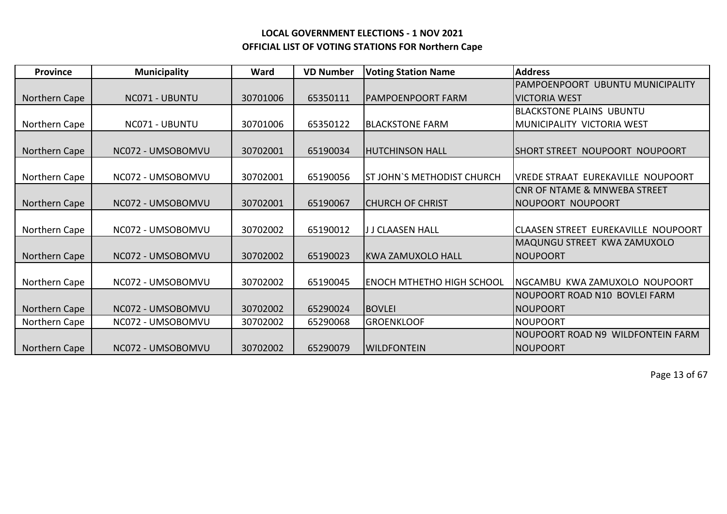| <b>Province</b> | <b>Municipality</b> | Ward     | <b>VD Number</b> | <b>Voting Station Name</b>       | <b>Address</b>                          |
|-----------------|---------------------|----------|------------------|----------------------------------|-----------------------------------------|
|                 |                     |          |                  |                                  | PAMPOENPOORT UBUNTU MUNICIPALITY        |
| Northern Cape   | NC071 - UBUNTU      | 30701006 | 65350111         | IPAMPOENPOORT FARM               | IVICTORIA WEST                          |
|                 |                     |          |                  |                                  | IBLACKSTONE PLAINS UBUNTU               |
| Northern Cape   | NC071 - UBUNTU      | 30701006 | 65350122         | <b>BLACKSTONE FARM</b>           | IMUNICIPALITY VICTORIA WEST             |
|                 |                     |          |                  |                                  |                                         |
| Northern Cape   | NC072 - UMSOBOMVU   | 30702001 | 65190034         | IHUTCHINSON HALL                 | ISHORT STREET NOUPOORT NOUPOORT         |
|                 |                     |          |                  |                                  |                                         |
| Northern Cape   | NC072 - UMSOBOMVU   | 30702001 | 65190056         | ST JOHN'S METHODIST CHURCH       | IVREDE STRAAT EUREKAVILLE NOUPOORT      |
|                 |                     |          |                  |                                  | <b>CNR OF NTAME &amp; MNWEBA STREET</b> |
| Northern Cape   | NC072 - UMSOBOMVU   | 30702001 | 65190067         | <b>ICHURCH OF CHRIST</b>         | NOUPOORT NOUPOORT                       |
|                 |                     |          |                  |                                  |                                         |
| Northern Cape   | NC072 - UMSOBOMVU   | 30702002 | 65190012         | J J CLAASEN HALL                 | ICLAASEN STREET EUREKAVILLE NOUPOORT    |
|                 |                     |          |                  |                                  | MAQUNGU STREET KWA ZAMUXOLO             |
| Northern Cape   | NC072 - UMSOBOMVU   | 30702002 | 65190023         | KWA ZAMUXOLO HALL                | <b>NOUPOORT</b>                         |
|                 |                     |          |                  |                                  |                                         |
| Northern Cape   | NC072 - UMSOBOMVU   | 30702002 | 65190045         | <b>ENOCH MTHETHO HIGH SCHOOL</b> | INGCAMBU KWAZAMUXOLO NOUPOORT           |
|                 |                     |          |                  |                                  | NOUPOORT ROAD N10 BOVLEI FARM           |
| Northern Cape   | NC072 - UMSOBOMVU   | 30702002 | 65290024         | <b>BOVLEI</b>                    | <b>NOUPOORT</b>                         |
| Northern Cape   | NC072 - UMSOBOMVU   | 30702002 | 65290068         | <b>GROENKLOOF</b>                | <b>NOUPOORT</b>                         |
|                 |                     |          |                  |                                  | NOUPOORT ROAD N9 WILDFONTEIN FARM       |
| Northern Cape   | NC072 - UMSOBOMVU   | 30702002 | 65290079         | IWILDFONTEIN                     | <b>INOUPOORT</b>                        |

Page 13 of 67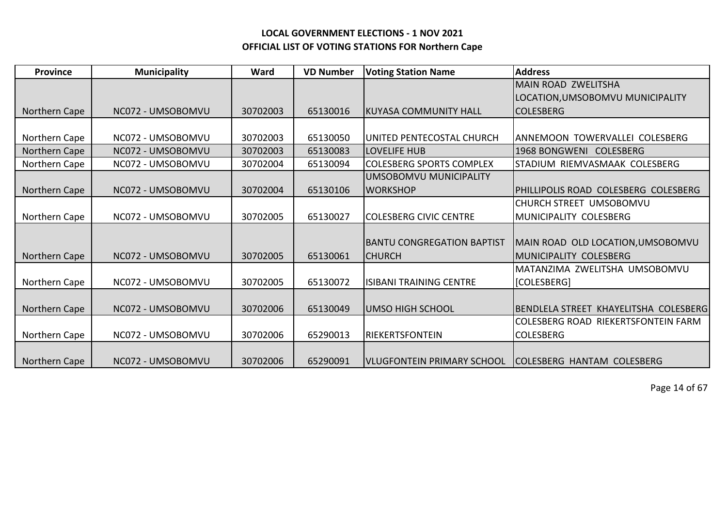| <b>Province</b> | <b>Municipality</b> | Ward     | <b>VD Number</b> | <b>Voting Station Name</b>        | <b>Address</b>                             |
|-----------------|---------------------|----------|------------------|-----------------------------------|--------------------------------------------|
|                 |                     |          |                  |                                   | <b>MAIN ROAD ZWELITSHA</b>                 |
|                 |                     |          |                  |                                   | LOCATION, UMSOBOMVU MUNICIPALITY           |
| Northern Cape   | NC072 - UMSOBOMVU   | 30702003 | 65130016         | <b>IKUYASA COMMUNITY HALL</b>     | <b>COLESBERG</b>                           |
|                 |                     |          |                  |                                   |                                            |
| Northern Cape   | NC072 - UMSOBOMVU   | 30702003 | 65130050         | UNITED PENTECOSTAL CHURCH         | ANNEMOON TOWERVALLEI COLESBERG             |
| Northern Cape   | NC072 - UMSOBOMVU   | 30702003 | 65130083         | <b>LOVELIFE HUB</b>               | 1968 BONGWENI COLESBERG                    |
| Northern Cape   | NC072 - UMSOBOMVU   | 30702004 | 65130094         | <b>COLESBERG SPORTS COMPLEX</b>   | STADIUM RIEMVASMAAK COLESBERG              |
|                 |                     |          |                  | UMSOBOMVU MUNICIPALITY            |                                            |
| Northern Cape   | NC072 - UMSOBOMVU   | 30702004 | 65130106         | <b>WORKSHOP</b>                   | PHILLIPOLIS ROAD COLESBERG COLESBERG       |
|                 |                     |          |                  |                                   | CHURCH STREET UMSOBOMVU                    |
| Northern Cape   | NC072 - UMSOBOMVU   | 30702005 | 65130027         | <b>COLESBERG CIVIC CENTRE</b>     | MUNICIPALITY COLESBERG                     |
|                 |                     |          |                  |                                   |                                            |
|                 |                     |          |                  | <b>BANTU CONGREGATION BAPTIST</b> | MAIN ROAD OLD LOCATION, UMSOBOMVU          |
| Northern Cape   | NC072 - UMSOBOMVU   | 30702005 | 65130061         | ICHURCH                           | IMUNICIPALITY COLESBERG                    |
|                 |                     |          |                  |                                   | MATANZIMA ZWELITSHA UMSOBOMVU              |
| Northern Cape   | NC072 - UMSOBOMVU   | 30702005 | 65130072         | <b>ISIBANI TRAINING CENTRE</b>    | [COLESBERG]                                |
|                 |                     |          |                  |                                   |                                            |
| Northern Cape   | NC072 - UMSOBOMVU   | 30702006 | 65130049         | lumso high school                 | BENDLELA STREET KHAYELITSHA COLESBERG      |
|                 |                     |          |                  |                                   | <b>COLESBERG ROAD RIEKERTSFONTEIN FARM</b> |
| Northern Cape   | NC072 - UMSOBOMVU   | 30702006 | 65290013         | RIEKERTSFONTEIN                   | <b>COLESBERG</b>                           |
|                 |                     |          |                  |                                   |                                            |
| Northern Cape   | NC072 - UMSOBOMVU   | 30702006 | 65290091         | lVLUGFONTEIN PRIMARY SCHOOL       | ICOLESBERG HANTAM COLESBERG                |

Page 14 of 67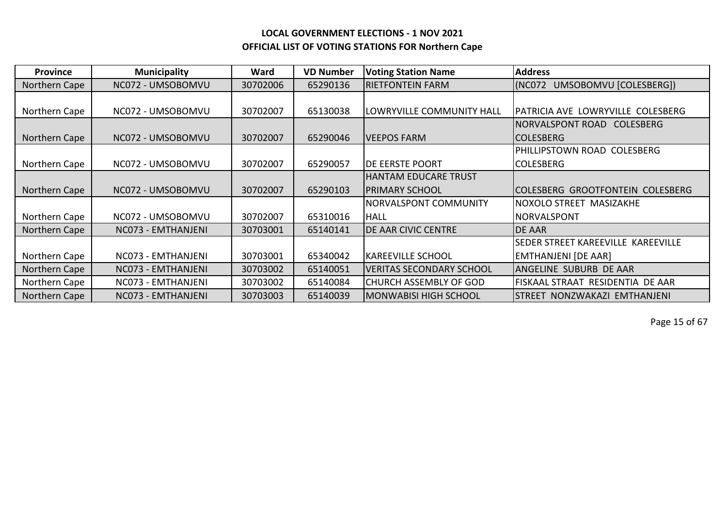| <b>Province</b> | <b>Municipality</b> | Ward     | <b>VD Number</b> | <b>Voting Station Name</b>      | <b>Address</b>                       |
|-----------------|---------------------|----------|------------------|---------------------------------|--------------------------------------|
| Northern Cape   | NC072 - UMSOBOMVU   | 30702006 | 65290136         | <b>RIETFONTEIN FARM</b>         | (NC072<br>UMSOBOMVU [COLESBERG])     |
|                 |                     |          |                  |                                 |                                      |
| Northern Cape   | NC072 - UMSOBOMVU   | 30702007 | 65130038         | LOWRYVILLE COMMUNITY HALL       | PATRICIA AVE LOWRYVILLE COLESBERG    |
|                 |                     |          |                  |                                 | NORVALSPONT ROAD<br><b>COLESBERG</b> |
| Northern Cape   | NC072 - UMSOBOMVU   | 30702007 | 65290046         | VEEPOS FARM                     | <b>COLESBERG</b>                     |
|                 |                     |          |                  |                                 | PHILLIPSTOWN ROAD COLESBERG          |
| Northern Cape   | NC072 - UMSOBOMVU   | 30702007 | 65290057         | <b>IDE EERSTE POORT</b>         | <b>COLESBERG</b>                     |
|                 |                     |          |                  | HANTAM EDUCARE TRUST            |                                      |
| Northern Cape   | NC072 - UMSOBOMVU   | 30702007 | 65290103         | <b>PRIMARY SCHOOL</b>           | COLESBERG GROOTFONTEIN COLESBERG     |
|                 |                     |          |                  | <b>NORVALSPONT COMMUNITY</b>    | NOXOLO STREET MASIZAKHE              |
| Northern Cape   | NC072 - UMSOBOMVU   | 30702007 | 65310016         | <b>HALL</b>                     | NORVALSPONT                          |
| Northern Cape   | NC073 - EMTHANJENI  | 30703001 | 65140141         | <b>DE AAR CIVIC CENTRE</b>      | <b>DE AAR</b>                        |
|                 |                     |          |                  |                                 | SEDER STREET KAREEVILLE KAREEVILLE   |
| Northern Cape   | NC073 - EMTHANJENI  | 30703001 | 65340042         | <b>KAREEVILLE SCHOOL</b>        | <b>EMTHANJENI [DE AAR]</b>           |
| Northern Cape   | NC073 - EMTHANJENI  | 30703002 | 65140051         | <b>VERITAS SECONDARY SCHOOL</b> | ANGELINE SUBURB DE AAR               |
| Northern Cape   | NC073 - EMTHANJENI  | 30703002 | 65140084         | CHURCH ASSEMBLY OF GOD          | FISKAAL STRAAT RESIDENTIA DE AAR     |
| Northern Cape   | NC073 - EMTHANJENI  | 30703003 | 65140039         | MONWABISI HIGH SCHOOL           | STREET NONZWAKAZI EMTHANJENI         |

Page 15 of 67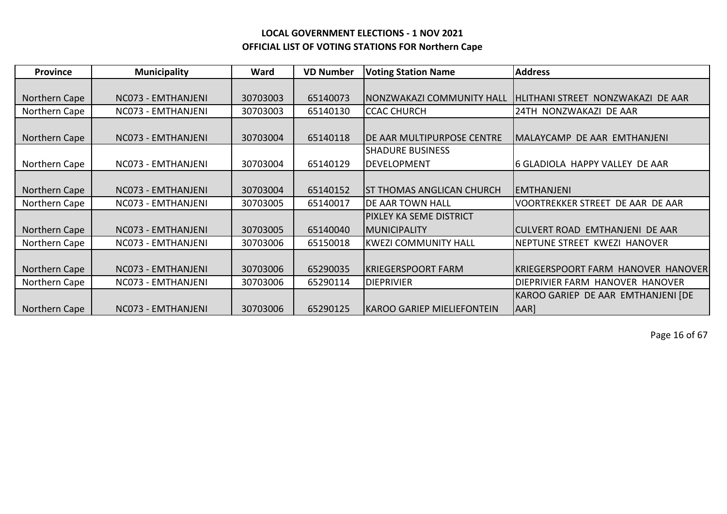| <b>Province</b> | <b>Municipality</b> | Ward     | <b>VD Number</b> | <b>Voting Station Name</b>         | <b>Address</b>                     |
|-----------------|---------------------|----------|------------------|------------------------------------|------------------------------------|
|                 |                     |          |                  |                                    |                                    |
| Northern Cape   | NC073 - EMTHANJENI  | 30703003 | 65140073         | NONZWAKAZI COMMUNITY HALL          | HLITHANI STREET NONZWAKAZI DE AAR  |
| Northern Cape   | NC073 - EMTHANJENI  | 30703003 | 65140130         | <b>CCAC CHURCH</b>                 | 24TH NONZWAKAZI DE AAR             |
|                 |                     |          |                  |                                    |                                    |
| Northern Cape   | NC073 - EMTHANJENI  | 30703004 | 65140118         | <b>IDE AAR MULTIPURPOSE CENTRE</b> | MALAYCAMP DE AAR EMTHANJENI        |
|                 |                     |          |                  | <b>SHADURE BUSINESS</b>            |                                    |
| Northern Cape   | NC073 - EMTHANJENI  | 30703004 | 65140129         | <b>DEVELOPMENT</b>                 | 6 GLADIOLA HAPPY VALLEY DE AAR     |
|                 |                     |          |                  |                                    |                                    |
| Northern Cape   | NC073 - EMTHANJENI  | 30703004 | 65140152         | IST THOMAS ANGLICAN CHURCH         | IEMTHANJENI                        |
| Northern Cape   | NC073 - EMTHANJENI  | 30703005 | 65140017         | <b>DE AAR TOWN HALL</b>            | VOORTREKKER STREET DE AAR DE AAR   |
|                 |                     |          |                  | <b>PIXLEY KA SEME DISTRICT</b>     |                                    |
| Northern Cape   | NC073 - EMTHANJENI  | 30703005 | 65140040         | <b>MUNICIPALITY</b>                | CULVERT ROAD EMTHANJENI DE AAR     |
| Northern Cape   | NC073 - EMTHANJENI  | 30703006 | 65150018         | <b>KWEZI COMMUNITY HALL</b>        | NEPTUNE STREET KWEZI HANOVER       |
|                 |                     |          |                  |                                    |                                    |
| Northern Cape   | NC073 - EMTHANJENI  | 30703006 | 65290035         | <b>KRIEGERSPOORT FARM</b>          | KRIEGERSPOORT FARM HANOVER HANOVER |
| Northern Cape   | NC073 - EMTHANJENI  | 30703006 | 65290114         | <b>DIEPRIVIER</b>                  | DIEPRIVIER FARM HANOVER HANOVER    |
|                 |                     |          |                  |                                    | KAROO GARIEP DE AAR EMTHANJENI [DE |
| Northern Cape   | NC073 - EMTHANJENI  | 30703006 | 65290125         | KAROO GARIEP MIELIEFONTEIN         | AAR]                               |

Page 16 of 67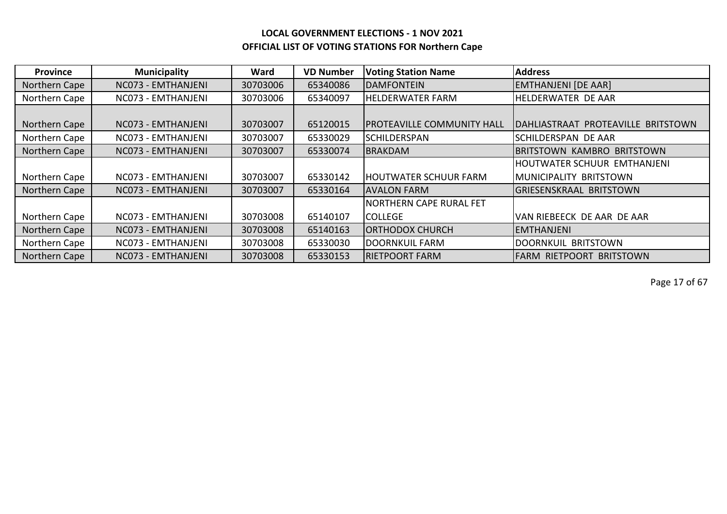| <b>Province</b> | <b>Municipality</b> | Ward     | <b>VD Number</b> | <b>Voting Station Name</b>        | <b>Address</b>                     |
|-----------------|---------------------|----------|------------------|-----------------------------------|------------------------------------|
| Northern Cape   | NC073 - EMTHANJENI  | 30703006 | 65340086         | <b>DAMFONTEIN</b>                 | <b>EMTHANJENI [DE AAR]</b>         |
| Northern Cape   | NC073 - EMTHANJENI  | 30703006 | 65340097         | <b>HELDERWATER FARM</b>           | HELDERWATER DE AAR                 |
|                 |                     |          |                  |                                   |                                    |
| Northern Cape   | NC073 - EMTHANJENI  | 30703007 | 65120015         | <b>PROTEAVILLE COMMUNITY HALL</b> | DAHLIASTRAAT PROTEAVILLE BRITSTOWN |
| Northern Cape   | NC073 - EMTHANJENI  | 30703007 | 65330029         | <b>SCHILDERSPAN</b>               | SCHILDERSPAN DE AAR                |
| Northern Cape   | NC073 - EMTHANJENI  | 30703007 | 65330074         | BRAKDAM                           | <b>IBRITSTOWN KAMBRO BRITSTOWN</b> |
|                 |                     |          |                  |                                   | <b>HOUTWATER SCHUUR EMTHANJENI</b> |
| Northern Cape   | NC073 - EMTHANJENI  | 30703007 | 65330142         | <b>HOUTWATER SCHUUR FARM</b>      | IMUNICIPALITY BRITSTOWN            |
| Northern Cape   | NC073 - EMTHANJENI  | 30703007 | 65330164         | IAVALON FARM                      | IGRIESENSKRAAL BRITSTOWN           |
|                 |                     |          |                  | <b>NORTHERN CAPE RURAL FET</b>    |                                    |
| Northern Cape   | NC073 - EMTHANJENI  | 30703008 | 65140107         | <b>COLLEGE</b>                    | VAN RIEBEECK DE AAR DE AAR         |
| Northern Cape   | NC073 - EMTHANJENI  | 30703008 | 65140163         | <b>ORTHODOX CHURCH</b>            | IEMTHANJENI                        |
| Northern Cape   | NC073 - EMTHANJENI  | 30703008 | 65330030         | DOORNKUIL FARM                    | DOORNKUIL BRITSTOWN                |
| Northern Cape   | NC073 - EMTHANJENI  | 30703008 | 65330153         | <b>IRIETPOORT FARM</b>            | IFARM RIETPOORT BRITSTOWN          |

Page 17 of 67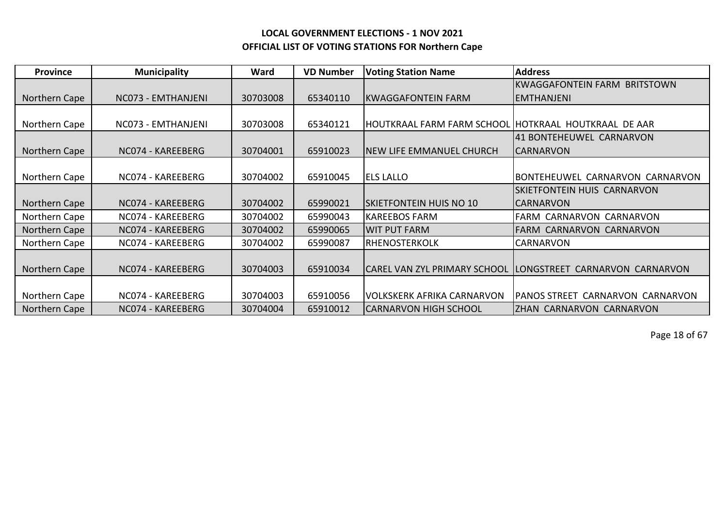| <b>Province</b> | <b>Municipality</b> | Ward     | <b>VD Number</b> | <b>Voting Station Name</b>                           | <b>Address</b>                                                 |
|-----------------|---------------------|----------|------------------|------------------------------------------------------|----------------------------------------------------------------|
|                 |                     |          |                  |                                                      | <b>KWAGGAFONTEIN FARM BRITSTOWN</b>                            |
| Northern Cape   | NC073 - EMTHANJENI  | 30703008 | 65340110         | <b>KWAGGAFONTEIN FARM</b>                            | <b>EMTHANJENI</b>                                              |
|                 |                     |          |                  |                                                      |                                                                |
| Northern Cape   | NC073 - EMTHANJENI  | 30703008 | 65340121         | HOUTKRAAL FARM FARM SCHOOL HOTKRAAL HOUTKRAAL DE AAR |                                                                |
|                 |                     |          |                  |                                                      | 41 BONTEHEUWEL CARNARVON                                       |
| Northern Cape   | NC074 - KAREEBERG   | 30704001 | 65910023         | INEW LIFE EMMANUEL CHURCH                            | <b>CARNARVON</b>                                               |
|                 |                     |          |                  |                                                      |                                                                |
| Northern Cape   | NC074 - KAREEBERG   | 30704002 | 65910045         | <b>ELS LALLO</b>                                     | BONTEHEUWEL CARNARVON CARNARVON                                |
|                 |                     |          |                  |                                                      | <b>ISKIETFONTEIN HUIS CARNARVON</b>                            |
| Northern Cape   | NC074 - KAREEBERG   | 30704002 | 65990021         | <b>ISKIETFONTEIN HUIS NO 10</b>                      | ICARNARVON                                                     |
| Northern Cape   | NC074 - KAREEBERG   | 30704002 | 65990043         | <b>KAREEBOS FARM</b>                                 | FARM CARNARVON CARNARVON                                       |
| Northern Cape   | NC074 - KAREEBERG   | 30704002 | 65990065         | <b>WIT PUT FARM</b>                                  | <b>FARM CARNARVON CARNARVON</b>                                |
| Northern Cape   | NC074 - KAREEBERG   | 30704002 | 65990087         | <b>RHENOSTERKOLK</b>                                 | CARNARVON                                                      |
|                 |                     |          |                  |                                                      |                                                                |
| Northern Cape   | NC074 - KAREEBERG   | 30704003 | 65910034         |                                                      | CAREL VAN ZYL PRIMARY SCHOOL  LONGSTREET  CARNARVON  CARNARVON |
|                 |                     |          |                  |                                                      |                                                                |
| Northern Cape   | NC074 - KAREEBERG   | 30704003 | 65910056         | <b>VOLKSKERK AFRIKA CARNARVON</b>                    | PANOS STREET CARNARVON CARNARVON                               |
| Northern Cape   | NC074 - KAREEBERG   | 30704004 | 65910012         | <b>CARNARVON HIGH SCHOOL</b>                         | <b>ZHAN CARNARVON CARNARVON</b>                                |

Page 18 of 67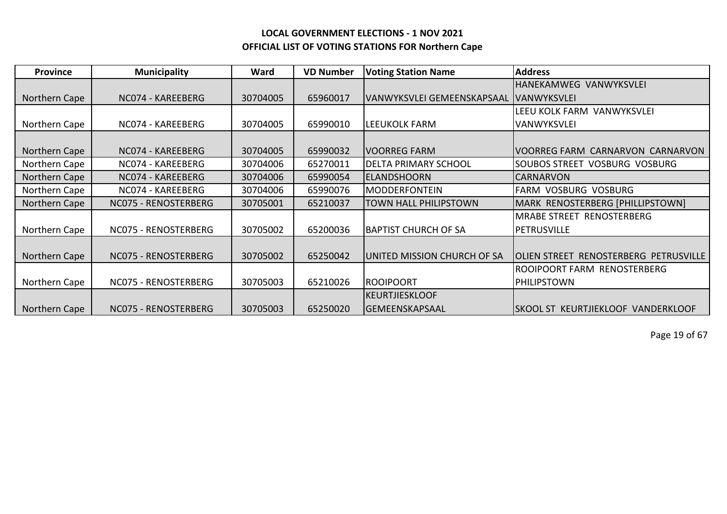| <b>Province</b> | <b>Municipality</b>  | Ward     | <b>VD Number</b> | <b>Voting Station Name</b>  | <b>Address</b>                        |
|-----------------|----------------------|----------|------------------|-----------------------------|---------------------------------------|
|                 |                      |          |                  |                             | <b>HANEKAMWEG VANWYKSVLEI</b>         |
| Northern Cape   | NC074 - KAREEBERG    | 30704005 | 65960017         | VANWYKSVLEI GEMEENSKAPSAAL  | <b>IVANWYKSVLEI</b>                   |
|                 |                      |          |                  |                             | LEEU KOLK FARM VANWYKSVLEI            |
| Northern Cape   | NC074 - KAREEBERG    | 30704005 | 65990010         | <b>LEEUKOLK FARM</b>        | <b>VANWYKSVLEI</b>                    |
|                 |                      |          |                  |                             |                                       |
| Northern Cape   | NC074 - KAREEBERG    | 30704005 | 65990032         | <b>VOORREG FARM</b>         | VOORREG FARM CARNARVON CARNARVON      |
| Northern Cape   | NC074 - KAREEBERG    | 30704006 | 65270011         | <b>DELTA PRIMARY SCHOOL</b> | SOUBOS STREET VOSBURG VOSBURG         |
| Northern Cape   | NC074 - KAREEBERG    | 30704006 | 65990054         | <b>ELANDSHOORN</b>          | <b>CARNARVON</b>                      |
| Northern Cape   | NC074 - KAREEBERG    | 30704006 | 65990076         | <b>MODDERFONTEIN</b>        | <b>FARM VOSBURG VOSBURG</b>           |
| Northern Cape   | NC075 - RENOSTERBERG | 30705001 | 65210037         | TOWN HALL PHILIPSTOWN       | MARK RENOSTERBERG [PHILLIPSTOWN]      |
|                 |                      |          |                  |                             | <b>MRABE STREET RENOSTERBERG</b>      |
| Northern Cape   | NC075 - RENOSTERBERG | 30705002 | 65200036         | <b>BAPTIST CHURCH OF SA</b> | <b>PETRUSVILLE</b>                    |
|                 |                      |          |                  |                             |                                       |
| Northern Cape   | NC075 - RENOSTERBERG | 30705002 | 65250042         | UNITED MISSION CHURCH OF SA | OLIEN STREET RENOSTERBERG PETRUSVILLE |
|                 |                      |          |                  |                             | ROOIPOORT FARM RENOSTERBERG           |
| Northern Cape   | NC075 - RENOSTERBERG | 30705003 | 65210026         | <b>ROOIPOORT</b>            | PHILIPSTOWN                           |
|                 |                      |          |                  | <b>KEURTJIESKLOOF</b>       |                                       |
| Northern Cape   | NC075 - RENOSTERBERG | 30705003 | 65250020         | <b>GEMEENSKAPSAAL</b>       | ISKOOL ST KEURTJIEKLOOF VANDERKLOOF   |

Page 19 of 67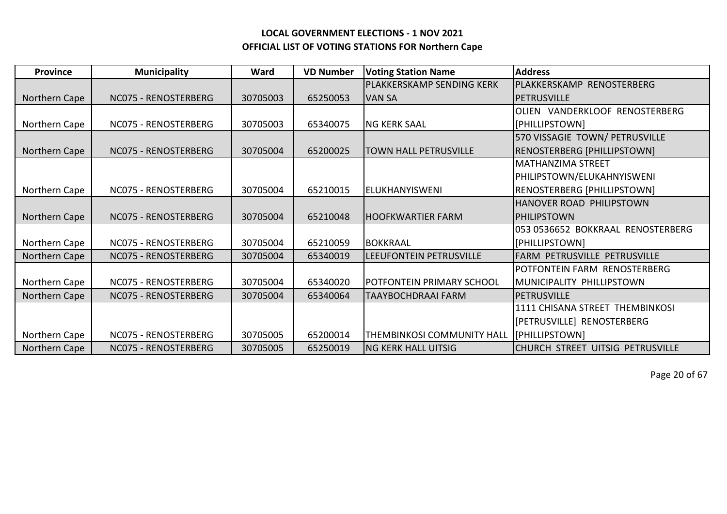| <b>Province</b> | <b>Municipality</b>  | Ward     | <b>VD Number</b> | <b>Voting Station Name</b>        | <b>Address</b>                      |
|-----------------|----------------------|----------|------------------|-----------------------------------|-------------------------------------|
|                 |                      |          |                  | PLAKKERSKAMP SENDING KERK         | PLAKKERSKAMP RENOSTERBERG           |
| Northern Cape   | NC075 - RENOSTERBERG | 30705003 | 65250053         | <b>VAN SA</b>                     | PETRUSVILLE                         |
|                 |                      |          |                  |                                   | OLIEN VANDERKLOOF RENOSTERBERG      |
| Northern Cape   | NC075 - RENOSTERBERG | 30705003 | 65340075         | <b>NG KERK SAAL</b>               | [PHILLIPSTOWN]                      |
|                 |                      |          |                  |                                   | 570 VISSAGIE TOWN/ PETRUSVILLE      |
| Northern Cape   | NC075 - RENOSTERBERG | 30705004 | 65200025         | <b>TOWN HALL PETRUSVILLE</b>      | RENOSTERBERG [PHILLIPSTOWN]         |
|                 |                      |          |                  |                                   | <b>MATHANZIMA STREET</b>            |
|                 |                      |          |                  |                                   | PHILIPSTOWN/ELUKAHNYISWENI          |
| Northern Cape   | NC075 - RENOSTERBERG | 30705004 | 65210015         | IELUKHANYISWENI                   | RENOSTERBERG [PHILLIPSTOWN]         |
|                 |                      |          |                  |                                   | <b>HANOVER ROAD PHILIPSTOWN</b>     |
| Northern Cape   | NC075 - RENOSTERBERG | 30705004 | 65210048         | <b>HOOFKWARTIER FARM</b>          | IPHILIPSTOWN                        |
|                 |                      |          |                  |                                   | 053 0536652 BOKKRAAL RENOSTERBERG   |
| Northern Cape   | NC075 - RENOSTERBERG | 30705004 | 65210059         | <b>IBOKKRAAL</b>                  | [PHILLIPSTOWN]                      |
| Northern Cape   | NC075 - RENOSTERBERG | 30705004 | 65340019         | LEEUFONTEIN PETRUSVILLE           | <b>FARM PETRUSVILLE PETRUSVILLE</b> |
|                 |                      |          |                  |                                   | POTFONTEIN FARM RENOSTERBERG        |
| Northern Cape   | NC075 - RENOSTERBERG | 30705004 | 65340020         | POTFONTEIN PRIMARY SCHOOL         | MUNICIPALITY PHILLIPSTOWN           |
| Northern Cape   | NC075 - RENOSTERBERG | 30705004 | 65340064         | <b>TAAYBOCHDRAAI FARM</b>         | <b>PETRUSVILLE</b>                  |
|                 |                      |          |                  |                                   | 1111 CHISANA STREET THEMBINKOSI     |
|                 |                      |          |                  |                                   | [PETRUSVILLE] RENOSTERBERG          |
| Northern Cape   | NC075 - RENOSTERBERG | 30705005 | 65200014         | <b>THEMBINKOSI COMMUNITY HALL</b> | [PHILLIPSTOWN]                      |
| Northern Cape   | NC075 - RENOSTERBERG | 30705005 | 65250019         | <b>NG KERK HALL UITSIG</b>        | CHURCH STREET UITSIG PETRUSVILLE    |

Page 20 of 67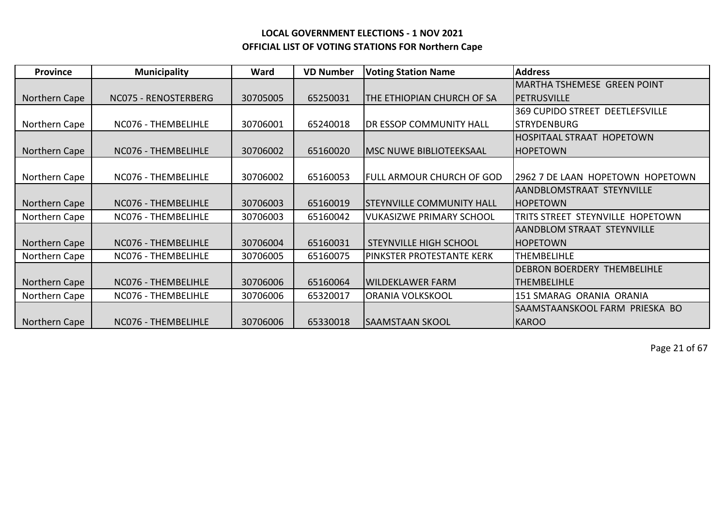| <b>Province</b> | <b>Municipality</b>  | Ward     | <b>VD Number</b> | <b>Voting Station Name</b>       | <b>Address</b>                         |
|-----------------|----------------------|----------|------------------|----------------------------------|----------------------------------------|
|                 |                      |          |                  |                                  | MARTHA TSHEMESE GREEN POINT            |
| Northern Cape   | NC075 - RENOSTERBERG | 30705005 | 65250031         | THE ETHIOPIAN CHURCH OF SA       | <b>IPETRUSVILLE</b>                    |
|                 |                      |          |                  |                                  | <b>369 CUPIDO STREET DEETLEFSVILLE</b> |
| Northern Cape   | NC076 - THEMBELIHLE  | 30706001 | 65240018         | DR ESSOP COMMUNITY HALL          | <b>STRYDENBURG</b>                     |
|                 |                      |          |                  |                                  | <b>HOSPITAAL STRAAT HOPETOWN</b>       |
| Northern Cape   | NC076 - THEMBELIHLE  | 30706002 | 65160020         | <b>MSC NUWE BIBLIOTEEKSAAL</b>   | <b>HOPETOWN</b>                        |
|                 |                      |          |                  |                                  |                                        |
| Northern Cape   | NC076 - THEMBELIHLE  | 30706002 | 65160053         | FULL ARMOUR CHURCH OF GOD        | 2962 7 DE LAAN HOPETOWN HOPETOWN       |
|                 |                      |          |                  |                                  | AANDBLOMSTRAAT STEYNVILLE              |
| Northern Cape   | NC076 - THEMBELIHLE  | 30706003 | 65160019         | <b>STEYNVILLE COMMUNITY HALL</b> | <b>HOPETOWN</b>                        |
| Northern Cape   | NC076 - THEMBELIHLE  | 30706003 | 65160042         | <b>VUKASIZWE PRIMARY SCHOOL</b>  | TRITS STREET STEYNVILLE HOPETOWN       |
|                 |                      |          |                  |                                  | AANDBLOM STRAAT STEYNVILLE             |
| Northern Cape   | NC076 - THEMBELIHLE  | 30706004 | 65160031         | <b>STEYNVILLE HIGH SCHOOL</b>    | <b>IHOPETOWN</b>                       |
| Northern Cape   | NC076 - THEMBELIHLE  | 30706005 | 65160075         | PINKSTER PROTESTANTE KERK        | <b>THEMBELIHLE</b>                     |
|                 |                      |          |                  |                                  | <b>DEBRON BOERDERY THEMBELIHLE</b>     |
| Northern Cape   | NC076 - THEMBELIHLE  | 30706006 | 65160064         | <b>WILDEKLAWER FARM</b>          | <b>THEMBELIHLE</b>                     |
| Northern Cape   | NC076 - THEMBELIHLE  | 30706006 | 65320017         | <b>ORANIA VOLKSKOOL</b>          | 151 SMARAG ORANIA ORANIA               |
|                 |                      |          |                  |                                  | SAAMSTAANSKOOL FARM PRIESKA BO         |
| Northern Cape   | NC076 - THEMBELIHLE  | 30706006 | 65330018         | <b>SAAMSTAAN SKOOL</b>           | KAROO                                  |

Page 21 of 67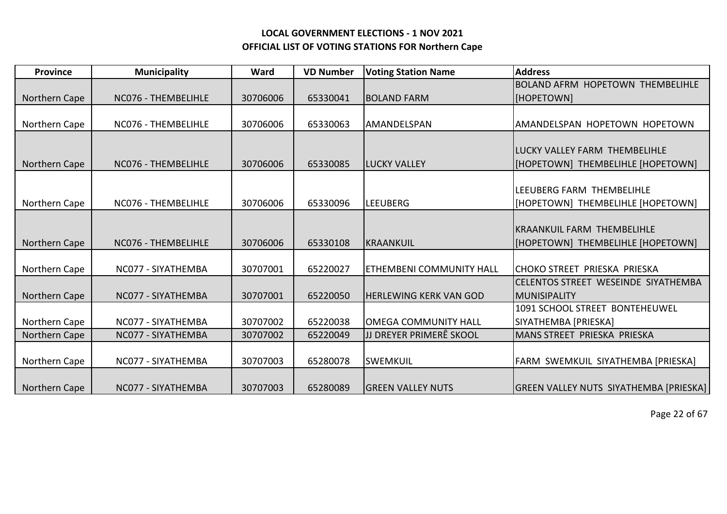| <b>Province</b> | <b>Municipality</b> | Ward     | <b>VD Number</b> | <b>Voting Station Name</b>      | <b>Address</b>                                |
|-----------------|---------------------|----------|------------------|---------------------------------|-----------------------------------------------|
|                 |                     |          |                  |                                 | <b>BOLAND AFRM HOPETOWN THEMBELIHLE</b>       |
| Northern Cape   | NC076 - THEMBELIHLE | 30706006 | 65330041         | <b>BOLAND FARM</b>              | [HOPETOWN]                                    |
|                 |                     |          |                  |                                 |                                               |
| Northern Cape   | NC076 - THEMBELIHLE | 30706006 | 65330063         | <b>AMANDELSPAN</b>              | AMANDELSPAN HOPETOWN HOPETOWN                 |
|                 |                     |          |                  |                                 |                                               |
|                 |                     |          |                  |                                 | <b>ILUCKY VALLEY FARM THEMBELIHLE</b>         |
| Northern Cape   | NC076 - THEMBELIHLE | 30706006 | 65330085         | <b>LUCKY VALLEY</b>             | [HOPETOWN] THEMBELIHLE [HOPETOWN]             |
|                 |                     |          |                  |                                 |                                               |
|                 |                     |          |                  |                                 | LEEUBERG FARM THEMBELIHLE                     |
| Northern Cape   | NC076 - THEMBELIHLE | 30706006 | 65330096         | <b>LEEUBERG</b>                 | [HOPETOWN] THEMBELIHLE [HOPETOWN]             |
|                 |                     |          |                  |                                 |                                               |
|                 |                     |          |                  |                                 | <b>IKRAANKUIL FARM THEMBELIHLE</b>            |
| Northern Cape   | NC076 - THEMBELIHLE | 30706006 | 65330108         | KRAANKUIL                       | [HOPETOWN] THEMBELIHLE [HOPETOWN]             |
|                 |                     |          |                  |                                 |                                               |
| Northern Cape   | NC077 - SIYATHEMBA  | 30707001 | 65220027         | <b>ETHEMBENI COMMUNITY HALL</b> | ICHOKO STREET PRIESKA PRIESKA                 |
|                 |                     |          |                  |                                 | CELENTOS STREET WESEINDE SIYATHEMBA           |
| Northern Cape   | NC077 - SIYATHEMBA  | 30707001 | 65220050         | <b>HERLEWING KERK VAN GOD</b>   | MUNISIPALITY                                  |
|                 |                     |          |                  |                                 | 1091 SCHOOL STREET BONTEHEUWEL                |
| Northern Cape   | NC077 - SIYATHEMBA  | 30707002 | 65220038         | <b>OMEGA COMMUNITY HALL</b>     | SIYATHEMBA [PRIESKA]                          |
| Northern Cape   | NC077 - SIYATHEMBA  | 30707002 | 65220049         | JJ DREYER PRIMERÊ SKOOL         | MANS STREET PRIESKA PRIESKA                   |
|                 |                     |          |                  |                                 |                                               |
| Northern Cape   | NC077 - SIYATHEMBA  | 30707003 | 65280078         | <b>SWEMKUIL</b>                 | FARM SWEMKUIL SIYATHEMBA [PRIESKA]            |
|                 |                     |          |                  |                                 |                                               |
| Northern Cape   | NC077 - SIYATHEMBA  | 30707003 | 65280089         | <b>GREEN VALLEY NUTS</b>        | <b>GREEN VALLEY NUTS SIYATHEMBA [PRIESKA]</b> |

Page 22 of 67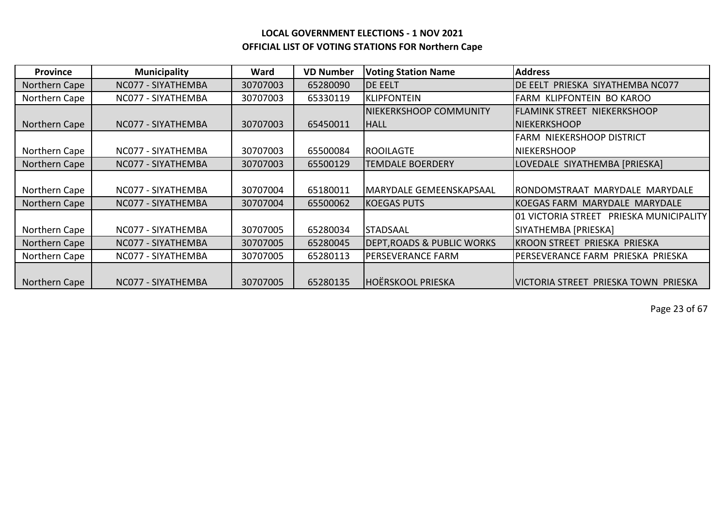| <b>Province</b> | <b>Municipality</b> | Ward     | <b>VD Number</b> | <b>Voting Station Name</b>            | <b>Address</b>                                     |
|-----------------|---------------------|----------|------------------|---------------------------------------|----------------------------------------------------|
| Northern Cape   | NC077 - SIYATHEMBA  | 30707003 | 65280090         | <b>DE EELT</b>                        | DE EELT PRIESKA SIYATHEMBA NC077                   |
| Northern Cape   | NC077 - SIYATHEMBA  | 30707003 | 65330119         | <b>KLIPFONTEIN</b>                    | FARM KLIPFONTEIN BO KAROO                          |
|                 |                     |          |                  | <b>NIEKERKSHOOP COMMUNITY</b>         | <b>FLAMINK STREET NIEKERKSHOOP</b>                 |
| Northern Cape   | NC077 - SIYATHEMBA  | 30707003 | 65450011         | <b>HALL</b>                           | <b>INIEKERKSHOOP</b>                               |
|                 |                     |          |                  |                                       | <b>FARM NIEKERSHOOP DISTRICT</b>                   |
| Northern Cape   | NC077 - SIYATHEMBA  | 30707003 | 65500084         | <b>ROOILAGTE</b>                      | <b>NIEKERSHOOP</b>                                 |
| Northern Cape   | NC077 - SIYATHEMBA  | 30707003 | 65500129         | <b>TEMDALE BOERDERY</b>               | LOVEDALE SIYATHEMBA [PRIESKA]                      |
|                 |                     |          |                  |                                       |                                                    |
| Northern Cape   | NC077 - SIYATHEMBA  | 30707004 | 65180011         | <b>MARYDALE GEMEENSKAPSAAL</b>        | IRONDOMSTRAAT MARYDALE MARYDALE                    |
| Northern Cape   | NC077 - SIYATHEMBA  | 30707004 | 65500062         | <b>KOEGAS PUTS</b>                    | IKOEGAS FARM MARYDALE MARYDALE                     |
|                 |                     |          |                  |                                       | <b>PRIESKA MUNICIPALITY</b><br>I01 VICTORIA STREET |
| Northern Cape   | NC077 - SIYATHEMBA  | 30707005 | 65280034         | <b>STADSAAL</b>                       | SIYATHEMBA [PRIESKA]                               |
| Northern Cape   | NC077 - SIYATHEMBA  | 30707005 | 65280045         | <b>DEPT, ROADS &amp; PUBLIC WORKS</b> | KROON STREET PRIESKA PRIESKA                       |
| Northern Cape   | NC077 - SIYATHEMBA  | 30707005 | 65280113         | PERSEVERANCE FARM                     | PERSEVERANCE FARM PRIESKA PRIESKA                  |
|                 |                     |          |                  |                                       |                                                    |
| Northern Cape   | NC077 - SIYATHEMBA  | 30707005 | 65280135         | <b>HOËRSKOOL PRIESKA</b>              | IVICTORIA STREET PRIESKA TOWN PRIESKA              |

Page 23 of 67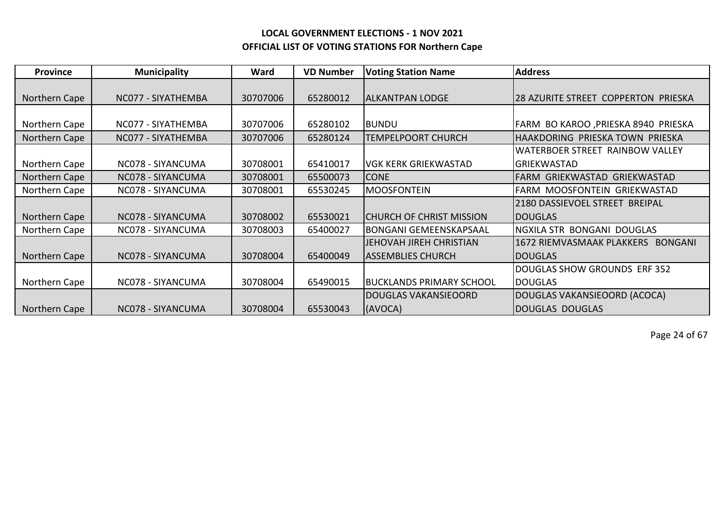| <b>Province</b> | <b>Municipality</b> | Ward     | <b>VD Number</b> | <b>Voting Station Name</b>      | <b>Address</b>                       |
|-----------------|---------------------|----------|------------------|---------------------------------|--------------------------------------|
|                 |                     |          |                  |                                 |                                      |
| Northern Cape   | NC077 - SIYATHEMBA  | 30707006 | 65280012         | <b>ALKANTPAN LODGE</b>          | 28 AZURITE STREET COPPERTON PRIESKA  |
|                 |                     |          |                  |                                 |                                      |
| Northern Cape   | NC077 - SIYATHEMBA  | 30707006 | 65280102         | <b>BUNDU</b>                    | FARM BO KAROO , PRIESKA 8940 PRIESKA |
| Northern Cape   | NC077 - SIYATHEMBA  | 30707006 | 65280124         | <b>TEMPELPOORT CHURCH</b>       | HAAKDORING PRIESKA TOWN PRIESKA      |
|                 |                     |          |                  |                                 | WATERBOER STREET RAINBOW VALLEY      |
| Northern Cape   | NC078 - SIYANCUMA   | 30708001 | 65410017         | <b>VGK KERK GRIEKWASTAD</b>     | <b>GRIEKWASTAD</b>                   |
| Northern Cape   | NC078 - SIYANCUMA   | 30708001 | 65500073         | <b>CONE</b>                     | FARM GRIEKWASTAD GRIEKWASTAD         |
| Northern Cape   | NC078 - SIYANCUMA   | 30708001 | 65530245         | <b>MOOSFONTEIN</b>              | FARM MOOSFONTEIN GRIEKWASTAD         |
|                 |                     |          |                  |                                 | 2180 DASSIEVOEL STREET BREIPAL       |
| Northern Cape   | NC078 - SIYANCUMA   | 30708002 | 65530021         | <b>CHURCH OF CHRIST MISSION</b> | <b>DOUGLAS</b>                       |
| Northern Cape   | NC078 - SIYANCUMA   | 30708003 | 65400027         | <b>BONGANI GEMEENSKAPSAAL</b>   | NGXILA STR BONGANI DOUGLAS           |
|                 |                     |          |                  | JEHOVAH JIREH CHRISTIAN         | 1672 RIEMVASMAAK PLAKKERS BONGANI    |
| Northern Cape   | NC078 - SIYANCUMA   | 30708004 | 65400049         | <b>ASSEMBLIES CHURCH</b>        | <b>DOUGLAS</b>                       |
|                 |                     |          |                  |                                 | <b>DOUGLAS SHOW GROUNDS ERF 352</b>  |
| Northern Cape   | NC078 - SIYANCUMA   | 30708004 | 65490015         | <b>BUCKLANDS PRIMARY SCHOOL</b> | <b>DOUGLAS</b>                       |
|                 |                     |          |                  | <b>DOUGLAS VAKANSIEOORD</b>     | DOUGLAS VAKANSIEOORD (ACOCA)         |
| Northern Cape   | NC078 - SIYANCUMA   | 30708004 | 65530043         | (AVOCA)                         | DOUGLAS DOUGLAS                      |

Page 24 of 67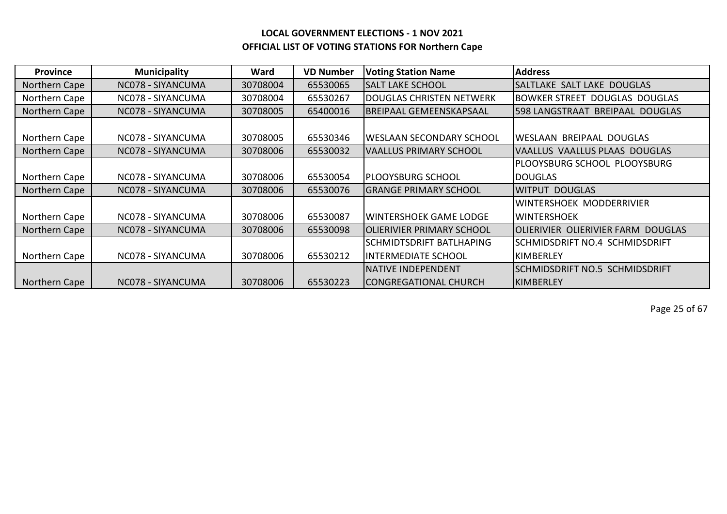| <b>Province</b> | <b>Municipality</b> | Ward     | <b>VD Number</b> | <b>Voting Station Name</b>   | <b>Address</b>                     |
|-----------------|---------------------|----------|------------------|------------------------------|------------------------------------|
| Northern Cape   | NC078 - SIYANCUMA   | 30708004 | 65530065         | <b>SALT LAKE SCHOOL</b>      | SALTLAKE SALT LAKE DOUGLAS         |
| Northern Cape   | NC078 - SIYANCUMA   | 30708004 | 65530267         | IDOUGLAS CHRISTEN NETWERK    | IBOWKER STREET DOUGLAS DOUGLAS     |
| Northern Cape   | NC078 - SIYANCUMA   | 30708005 | 65400016         | BREIPAAL GEMEENSKAPSAAL      | 598 LANGSTRAAT<br>BREIPAAL DOUGLAS |
|                 |                     |          |                  |                              |                                    |
| Northern Cape   | NC078 - SIYANCUMA   | 30708005 | 65530346         | IWESLAAN SECONDARY SCHOOL    | WESLAAN BREIPAAL DOUGLAS           |
| Northern Cape   | NC078 - SIYANCUMA   | 30708006 | 65530032         | VAALLUS PRIMARY SCHOOL       | VAALLUS VAALLUS PLAAS DOUGLAS      |
|                 |                     |          |                  |                              | PLOOYSBURG SCHOOL PLOOYSBURG       |
| Northern Cape   | NC078 - SIYANCUMA   | 30708006 | 65530054         | IPLOOYSBURG SCHOOL           | <b>DOUGLAS</b>                     |
| Northern Cape   | NC078 - SIYANCUMA   | 30708006 | 65530076         | <b>GRANGE PRIMARY SCHOOL</b> | <b>WITPUT DOUGLAS</b>              |
|                 |                     |          |                  |                              | <b>WINTERSHOEK MODDERRIVIER</b>    |
| Northern Cape   | NC078 - SIYANCUMA   | 30708006 | 65530087         | WINTERSHOEK GAME LODGE       | <b>WINTERSHOEK</b>                 |
| Northern Cape   | NC078 - SIYANCUMA   | 30708006 | 65530098         | OLIERIVIER PRIMARY SCHOOL    | OLIERIVIER OLIERIVIER FARM DOUGLAS |
|                 |                     |          |                  | ISCHMIDTSDRIFT BATLHAPING    | SCHMIDSDRIFT NO.4 SCHMIDSDRIFT     |
| Northern Cape   | NC078 - SIYANCUMA   | 30708006 | 65530212         | IINTERMEDIATE SCHOOL         | KIMBERLEY                          |
|                 |                     |          |                  | INATIVE INDEPENDENT          | ISCHMIDSDRIFT NO.5 SCHMIDSDRIFT    |
| Northern Cape   | NC078 - SIYANCUMA   | 30708006 | 65530223         | <b>CONGREGATIONAL CHURCH</b> | KIMBERLEY                          |

Page 25 of 67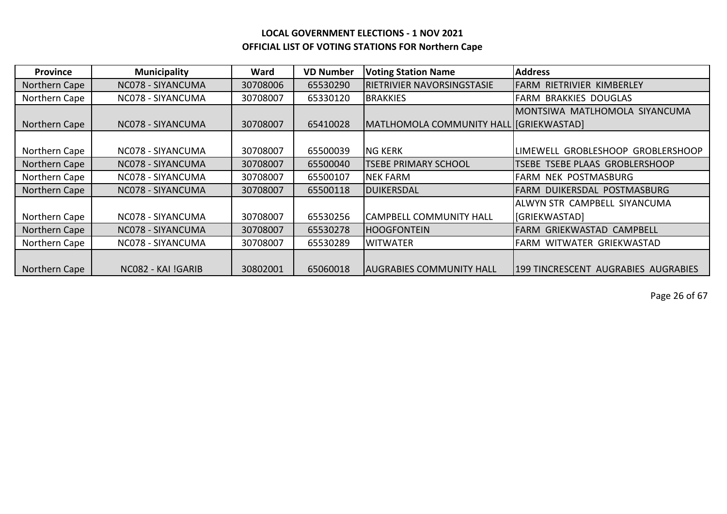| <b>Province</b> | <b>Municipality</b> | Ward     | <b>VD Number</b> | <b>Voting Station Name</b>              | <b>Address</b>                      |
|-----------------|---------------------|----------|------------------|-----------------------------------------|-------------------------------------|
| Northern Cape   | NC078 - SIYANCUMA   | 30708006 | 65530290         | <b>RIETRIVIER NAVORSINGSTASIE</b>       | IFARM RIETRIVIER KIMBERLEY          |
| Northern Cape   | NC078 - SIYANCUMA   | 30708007 | 65330120         | <b>BRAKKIES</b>                         | <b>FARM BRAKKIES DOUGLAS</b>        |
|                 |                     |          |                  |                                         | IMONTSIWA MATLHOMOLA SIYANCUMA      |
| Northern Cape   | NC078 - SIYANCUMA   | 30708007 | 65410028         | MATLHOMOLA COMMUNITY HALL [GRIEKWASTAD] |                                     |
|                 |                     |          |                  |                                         |                                     |
| Northern Cape   | NC078 - SIYANCUMA   | 30708007 | 65500039         | <b>NG KERK</b>                          | LIMEWELL GROBLESHOOP GROBLERSHOOP   |
| Northern Cape   | NC078 - SIYANCUMA   | 30708007 | 65500040         | <b>TSEBE PRIMARY SCHOOL</b>             | TSEBE TSEBE PLAAS GROBLERSHOOP      |
| Northern Cape   | NC078 - SIYANCUMA   | 30708007 | 65500107         | <b>NEK FARM</b>                         | FARM NEK POSTMASBURG                |
| Northern Cape   | NC078 - SIYANCUMA   | 30708007 | 65500118         | <b>DUIKERSDAL</b>                       | IFARM DUIKERSDAL POSTMASBURG        |
|                 |                     |          |                  |                                         | ALWYN STR CAMPBELL SIYANCUMA        |
| Northern Cape   | NC078 - SIYANCUMA   | 30708007 | 65530256         | <b>CAMPBELL COMMUNITY HALL</b>          | <b>GRIEKWASTAD</b>                  |
| Northern Cape   | NC078 - SIYANCUMA   | 30708007 | 65530278         | <b>HOOGFONTEIN</b>                      | FARM GRIEKWASTAD CAMPBELL           |
| Northern Cape   | NC078 - SIYANCUMA   | 30708007 | 65530289         | <b>WITWATER</b>                         | FARM WITWATER GRIEKWASTAD           |
|                 |                     |          |                  |                                         |                                     |
| Northern Cape   | NC082 - KAI !GARIB  | 30802001 | 65060018         | <b>AUGRABIES COMMUNITY HALL</b>         | 199 TINCRESCENT AUGRABIES AUGRABIES |

Page 26 of 67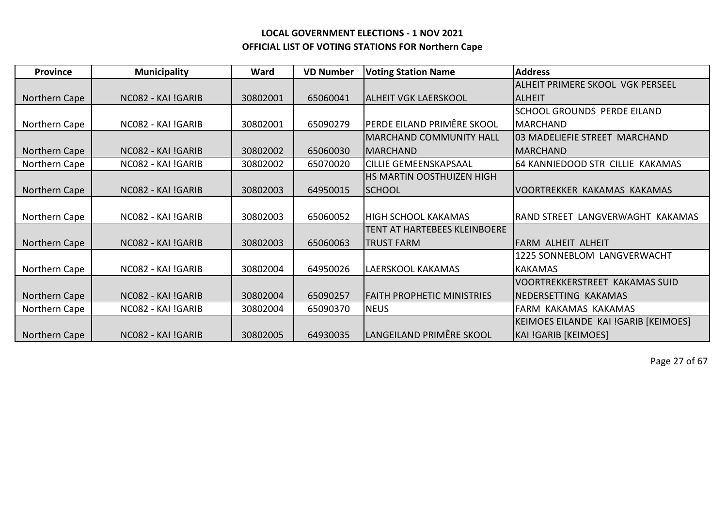| <b>Province</b> | <b>Municipality</b> | Ward     | <b>VD Number</b> | <b>Voting Station Name</b>        | <b>Address</b>                       |
|-----------------|---------------------|----------|------------------|-----------------------------------|--------------------------------------|
|                 |                     |          |                  |                                   | ALHEIT PRIMERE SKOOL VGK PERSEEL     |
| Northern Cape   | NC082 - KAI !GARIB  | 30802001 | 65060041         | <b>ALHEIT VGK LAERSKOOL</b>       | <b>ALHEIT</b>                        |
|                 |                     |          |                  |                                   | <b>SCHOOL GROUNDS PERDE EILAND</b>   |
| Northern Cape   | NC082 - KAI !GARIB  | 30802001 | 65090279         | PERDE EILAND PRIMÊRE SKOOL        | <b>MARCHAND</b>                      |
|                 |                     |          |                  | <b>MARCHAND COMMUNITY HALL</b>    | 03 MADELIEFIE STREET MARCHAND        |
| Northern Cape   | NC082 - KAI !GARIB  | 30802002 | 65060030         | <b>MARCHAND</b>                   | <b>MARCHAND</b>                      |
| Northern Cape   | NC082 - KAI !GARIB  | 30802002 | 65070020         | <b>CILLIE GEMEENSKAPSAAL</b>      | 64 KANNIEDOOD STR CILLIE KAKAMAS     |
|                 |                     |          |                  | <b>HS MARTIN OOSTHUIZEN HIGH</b>  |                                      |
| Northern Cape   | NC082 - KAI !GARIB  | 30802003 | 64950015         | <b>SCHOOL</b>                     | VOORTREKKER KAKAMAS KAKAMAS          |
|                 |                     |          |                  |                                   |                                      |
| Northern Cape   | NC082 - KAI !GARIB  | 30802003 | 65060052         | <b>HIGH SCHOOL KAKAMAS</b>        | RAND STREET LANGVERWAGHT KAKAMAS     |
|                 |                     |          |                  | TENT AT HARTEBEES KLEINBOERE      |                                      |
| Northern Cape   | NC082 - KAI !GARIB  | 30802003 | 65060063         | <b>TRUST FARM</b>                 | FARM ALHEIT ALHEIT                   |
|                 |                     |          |                  |                                   | 1225 SONNEBLOM LANGVERWACHT          |
| Northern Cape   | NC082 - KAI !GARIB  | 30802004 | 64950026         | LAERSKOOL KAKAMAS                 | <b>KAKAMAS</b>                       |
|                 |                     |          |                  |                                   | VOORTREKKERSTREET KAKAMAS SUID       |
| Northern Cape   | NC082 - KAI !GARIB  | 30802004 | 65090257         | <b>FAITH PROPHETIC MINISTRIES</b> | NEDERSETTING KAKAMAS                 |
| Northern Cape   | NC082 - KAI !GARIB  | 30802004 | 65090370         | <b>NEUS</b>                       | FARM KAKAMAS KAKAMAS                 |
|                 |                     |          |                  |                                   | KEIMOES EILANDE KAI !GARIB [KEIMOES] |
| Northern Cape   | NC082 - KAI !GARIB  | 30802005 | 64930035         | LANGEILAND PRIMÊRE SKOOL          | <b>KAI !GARIB [KEIMOES]</b>          |

Page 27 of 67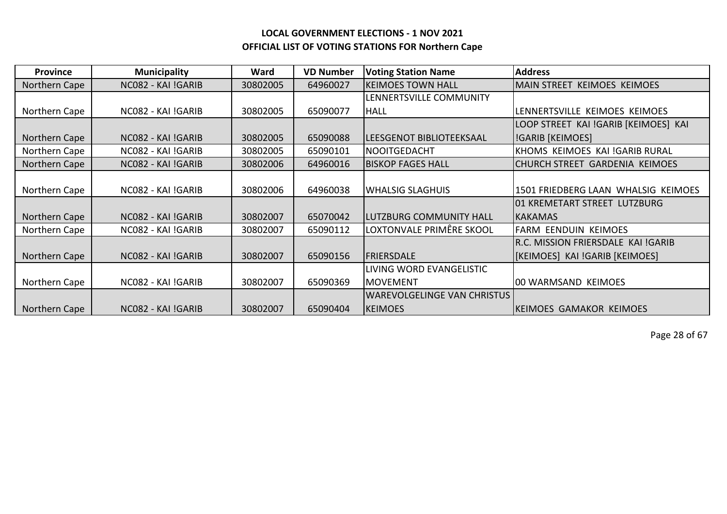| <b>Province</b> | <b>Municipality</b> | Ward     | <b>VD Number</b> | <b>Voting Station Name</b>         | <b>Address</b>                       |
|-----------------|---------------------|----------|------------------|------------------------------------|--------------------------------------|
| Northern Cape   | NC082 - KAI !GARIB  | 30802005 | 64960027         | <b>KEIMOES TOWN HALL</b>           | MAIN STREET KEIMOES KEIMOES          |
|                 |                     |          |                  | LENNERTSVILLE COMMUNITY            |                                      |
| Northern Cape   | NC082 - KAI !GARIB  | 30802005 | 65090077         | <b>HALL</b>                        | LENNERTSVILLE KEIMOES KEIMOES        |
|                 |                     |          |                  |                                    | LOOP STREET KAI !GARIB [KEIMOES] KAI |
| Northern Cape   | NC082 - KAI !GARIB  | 30802005 | 65090088         | LEESGENOT BIBLIOTEEKSAAL           | <b>IGARIB</b> [KEIMOES]              |
| Northern Cape   | NC082 - KAI !GARIB  | 30802005 | 65090101         | <b>NOOITGEDACHT</b>                | KHOMS KEIMOES KAI !GARIB RURAL       |
| Northern Cape   | NC082 - KAI !GARIB  | 30802006 | 64960016         | <b>BISKOP FAGES HALL</b>           | CHURCH STREET GARDENIA KEIMOES       |
|                 |                     |          |                  |                                    |                                      |
| Northern Cape   | NC082 - KAI !GARIB  | 30802006 | 64960038         | <b>WHALSIG SLAGHUIS</b>            | 1501 FRIEDBERG LAAN WHALSIG KEIMOES  |
|                 |                     |          |                  |                                    | 01 KREMETART STREET LUTZBURG         |
| Northern Cape   | NC082 - KAI !GARIB  | 30802007 | 65070042         | <b>LUTZBURG COMMUNITY HALL</b>     | <b>KAKAMAS</b>                       |
| Northern Cape   | NC082 - KAI !GARIB  | 30802007 | 65090112         | LOXTONVALE PRIMÊRE SKOOL           | <b>FARM EENDUIN KEIMOES</b>          |
|                 |                     |          |                  |                                    | R.C. MISSION FRIERSDALE KAI !GARIB   |
| Northern Cape   | NC082 - KAI !GARIB  | 30802007 | 65090156         | <b>FRIERSDALE</b>                  | [KEIMOES] KAI !GARIB [KEIMOES]       |
|                 |                     |          |                  | LIVING WORD EVANGELISTIC           |                                      |
| Northern Cape   | NC082 - KAI !GARIB  | 30802007 | 65090369         | <b>MOVEMENT</b>                    | 00 WARMSAND KEIMOES                  |
|                 |                     |          |                  | <b>WAREVOLGELINGE VAN CHRISTUS</b> |                                      |
| Northern Cape   | NC082 - KAI !GARIB  | 30802007 | 65090404         | <b>KEIMOES</b>                     | <b>KEIMOES GAMAKOR KEIMOES</b>       |

Page 28 of 67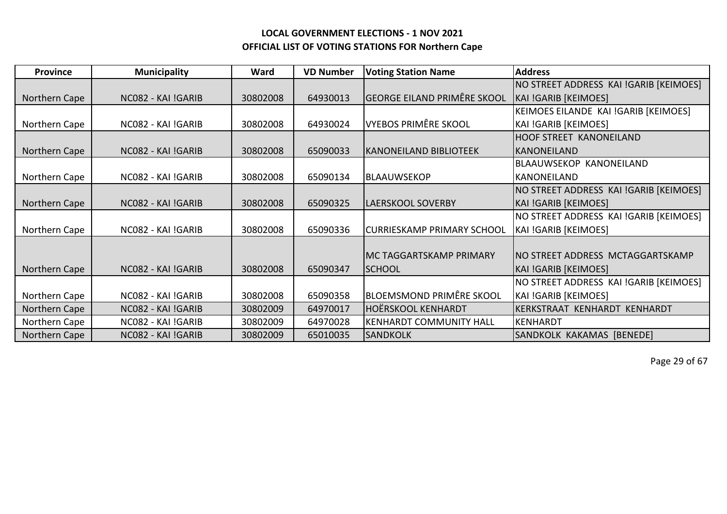| <b>Province</b> | <b>Municipality</b> | Ward     | <b>VD Number</b> | <b>Voting Station Name</b>         | <b>Address</b>                         |
|-----------------|---------------------|----------|------------------|------------------------------------|----------------------------------------|
|                 |                     |          |                  |                                    | NO STREET ADDRESS KAI !GARIB [KEIMOES] |
| Northern Cape   | NC082 - KAI !GARIB  | 30802008 | 64930013         | <b>GEORGE EILAND PRIMÊRE SKOOL</b> | KAI !GARIB [KEIMOES]                   |
|                 |                     |          |                  |                                    | KEIMOES EILANDE KAI !GARIB [KEIMOES]   |
| Northern Cape   | NC082 - KAI !GARIB  | 30802008 | 64930024         | VYEBOS PRIMÊRE SKOOL               | KAI !GARIB [KEIMOES]                   |
|                 |                     |          |                  |                                    | <b>HOOF STREET KANONEILAND</b>         |
| Northern Cape   | NC082 - KAI !GARIB  | 30802008 | 65090033         | <b>IKANONEILAND BIBLIOTEEK</b>     | KANONEILAND                            |
|                 |                     |          |                  |                                    | <b>BLAAUWSEKOP KANONEILAND</b>         |
| Northern Cape   | NC082 - KAI !GARIB  | 30802008 | 65090134         | <b>BLAAUWSEKOP</b>                 | KANONEILAND                            |
|                 |                     |          |                  |                                    | NO STREET ADDRESS KAI !GARIB [KEIMOES] |
| Northern Cape   | NC082 - KAI !GARIB  | 30802008 | 65090325         | LAERSKOOL SOVERBY                  | KAI !GARIB [KEIMOES]                   |
|                 |                     |          |                  |                                    | NO STREET ADDRESS KAI !GARIB [KEIMOES] |
| Northern Cape   | NC082 - KAI !GARIB  | 30802008 | 65090336         | <b>CURRIESKAMP PRIMARY SCHOOL</b>  | KAI !GARIB [KEIMOES]                   |
|                 |                     |          |                  |                                    |                                        |
|                 |                     |          |                  | IMC TAGGARTSKAMP PRIMARY           | INO STREET ADDRESS MCTAGGARTSKAMP      |
| Northern Cape   | NC082 - KAI !GARIB  | 30802008 | 65090347         | <b>SCHOOL</b>                      | KAI !GARIB [KEIMOES]                   |
|                 |                     |          |                  |                                    | NO STREET ADDRESS KAI !GARIB [KEIMOES] |
| Northern Cape   | NC082 - KAI !GARIB  | 30802008 | 65090358         | BLOEMSMOND PRIMÊRE SKOOL           | KAI !GARIB [KEIMOES]                   |
| Northern Cape   | NC082 - KAI !GARIB  | 30802009 | 64970017         | <b>HOËRSKOOL KENHARDT</b>          | KERKSTRAAT KENHARDT KENHARDT           |
| Northern Cape   | NC082 - KAI !GARIB  | 30802009 | 64970028         | KENHARDT COMMUNITY HALL            | KENHARDT                               |
| Northern Cape   | NC082 - KAI !GARIB  | 30802009 | 65010035         | <b>SANDKOLK</b>                    | SANDKOLK KAKAMAS [BENEDE]              |

Page 29 of 67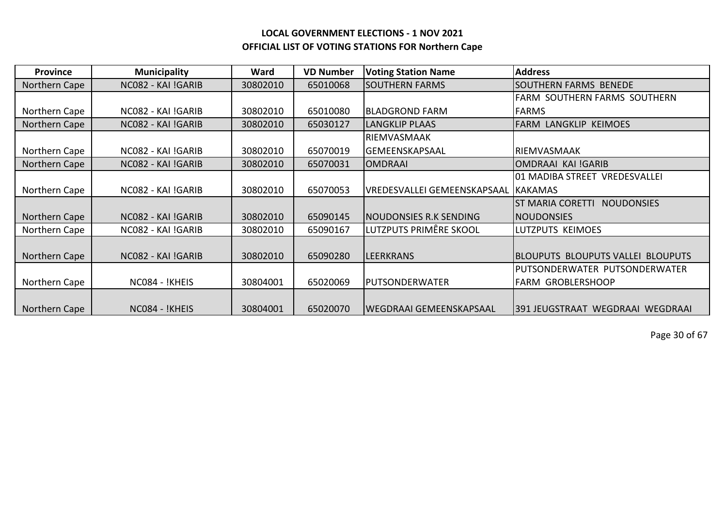| <b>Province</b> | <b>Municipality</b> | Ward     | <b>VD Number</b> | <b>Voting Station Name</b>          | <b>Address</b>                               |
|-----------------|---------------------|----------|------------------|-------------------------------------|----------------------------------------------|
| Northern Cape   | NC082 - KAI !GARIB  | 30802010 | 65010068         | <b>SOUTHERN FARMS</b>               | <b>SOUTHERN FARMS BENEDE</b>                 |
|                 |                     |          |                  |                                     | FARM SOUTHERN FARMS SOUTHERN                 |
| Northern Cape   | NC082 - KAI !GARIB  | 30802010 | 65010080         | <b>BLADGROND FARM</b>               | <b>FARMS</b>                                 |
| Northern Cape   | NC082 - KAI !GARIB  | 30802010 | 65030127         | <b>LANGKLIP PLAAS</b>               | <b>FARM LANGKLIP KEIMOES</b>                 |
|                 |                     |          |                  | RIEMVASMAAK                         |                                              |
| Northern Cape   | NC082 - KAI !GARIB  | 30802010 | 65070019         | <b>GEMEENSKAPSAAL</b>               | IRIEMVASMAAK                                 |
| Northern Cape   | NC082 - KAI !GARIB  | 30802010 | 65070031         | <b>OMDRAAI</b>                      | OMDRAAI KAI !GARIB                           |
|                 |                     |          |                  |                                     | 01 MADIBA STREET VREDESVALLEI                |
| Northern Cape   | NC082 - KAI !GARIB  | 30802010 | 65070053         | VREDESVALLEI GEMEENSKAPSAAL KAKAMAS |                                              |
|                 |                     |          |                  |                                     | <b>ST MARIA CORETTI</b><br><b>NOUDONSIES</b> |
| Northern Cape   | NC082 - KAI !GARIB  | 30802010 | 65090145         | NOUDONSIES R.K SENDING              | <b>NOUDONSIES</b>                            |
| Northern Cape   | NC082 - KAI !GARIB  | 30802010 | 65090167         | LUTZPUTS PRIMÊRE SKOOL              | LUTZPUTS KEIMOES                             |
|                 |                     |          |                  |                                     |                                              |
| Northern Cape   | NC082 - KAI !GARIB  | 30802010 | 65090280         | <b>LEERKRANS</b>                    | <b>BLOUPUTS BLOUPUTS VALLEI BLOUPUTS</b>     |
|                 |                     |          |                  |                                     | PUTSONDERWATER PUTSONDERWATER                |
| Northern Cape   | NC084 - !KHEIS      | 30804001 | 65020069         | <b>PUTSONDERWATER</b>               | <b>FARM GROBLERSHOOP</b>                     |
|                 |                     |          |                  |                                     |                                              |
| Northern Cape   | NC084 - !KHEIS      | 30804001 | 65020070         | <b>WEGDRAAI GEMEENSKAPSAAL</b>      | 1391 JEUGSTRAAT WEGDRAAI WEGDRAAI            |

Page 30 of 67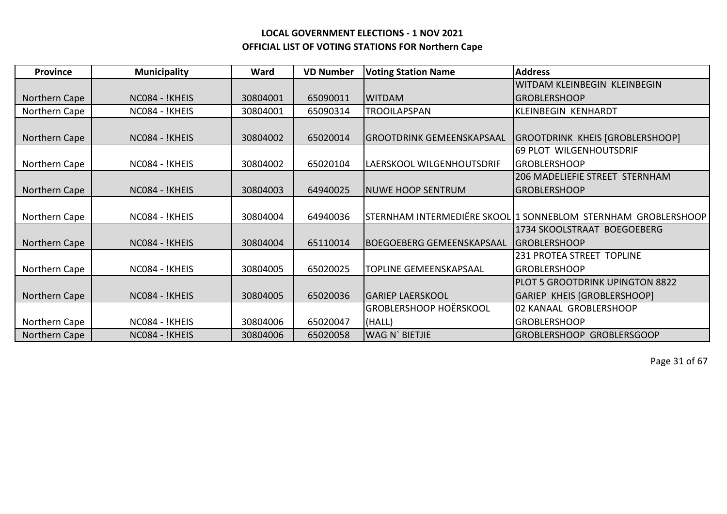| <b>Province</b> | <b>Municipality</b> | Ward     | <b>VD Number</b> | <b>Voting Station Name</b>       | <b>Address</b>                                                |
|-----------------|---------------------|----------|------------------|----------------------------------|---------------------------------------------------------------|
|                 |                     |          |                  |                                  | WITDAM KLEINBEGIN KLEINBEGIN                                  |
| Northern Cape   | NC084 - !KHEIS      | 30804001 | 65090011         | <b>WITDAM</b>                    | <b>GROBLERSHOOP</b>                                           |
| Northern Cape   | NC084 - !KHEIS      | 30804001 | 65090314         | <b>TROOILAPSPAN</b>              | <b>KLEINBEGIN KENHARDT</b>                                    |
|                 |                     |          |                  |                                  |                                                               |
| Northern Cape   | NC084 - !KHEIS      | 30804002 | 65020014         | <b>GROOTDRINK GEMEENSKAPSAAL</b> | GROOTDRINK KHEIS [GROBLERSHOOP]                               |
|                 |                     |          |                  |                                  | 69 PLOT WILGENHOUTSDRIF                                       |
| Northern Cape   | NC084 - !KHEIS      | 30804002 | 65020104         | LAERSKOOL WILGENHOUTSDRIF        | <b>GROBLERSHOOP</b>                                           |
|                 |                     |          |                  |                                  | 206 MADELIEFIE STREET STERNHAM                                |
| Northern Cape   | NC084 - !KHEIS      | 30804003 | 64940025         | <b>NUWE HOOP SENTRUM</b>         | <b>GROBLERSHOOP</b>                                           |
|                 |                     |          |                  |                                  |                                                               |
| Northern Cape   | NC084 - !KHEIS      | 30804004 | 64940036         |                                  | STERNHAM INTERMEDIËRE SKOOL 1 SONNEBLOM STERNHAM GROBLERSHOOP |
|                 |                     |          |                  |                                  | 1734 SKOOLSTRAAT BOEGOEBERG                                   |
| Northern Cape   | NC084 - !KHEIS      | 30804004 | 65110014         | <b>BOEGOEBERG GEMEENSKAPSAAL</b> | IGROBLERSHOOP                                                 |
|                 |                     |          |                  |                                  | 231 PROTEA STREET TOPLINE                                     |
| Northern Cape   | NC084 - !KHEIS      | 30804005 | 65020025         | TOPLINE GEMEENSKAPSAAL           | <b>GROBLERSHOOP</b>                                           |
|                 |                     |          |                  |                                  | <b>PLOT 5 GROOTDRINK UPINGTON 8822</b>                        |
| Northern Cape   | NC084 - !KHEIS      | 30804005 | 65020036         | <b>GARIEP LAERSKOOL</b>          | <b>GARIEP KHEIS [GROBLERSHOOP]</b>                            |
|                 |                     |          |                  | <b>GROBLERSHOOP HOËRSKOOL</b>    | 02 KANAAL GROBLERSHOOP                                        |
| Northern Cape   | NC084 - !KHEIS      | 30804006 | 65020047         | (HALL)                           | <b>GROBLERSHOOP</b>                                           |
| Northern Cape   | NC084 - !KHEIS      | 30804006 | 65020058         | <b>WAG N' BIETJIE</b>            | <b>GROBLERSHOOP GROBLERSGOOP</b>                              |

Page 31 of 67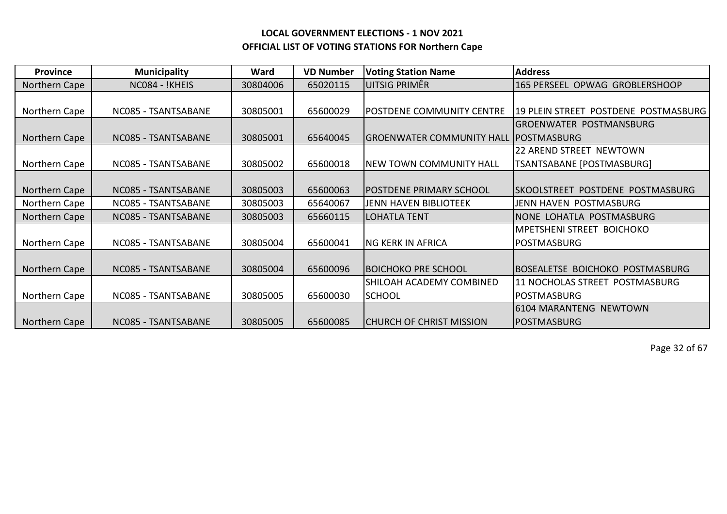| <b>Province</b> | <b>Municipality</b> | Ward     | <b>VD Number</b> | <b>Voting Station Name</b>                   | <b>Address</b>                           |
|-----------------|---------------------|----------|------------------|----------------------------------------------|------------------------------------------|
| Northern Cape   | NC084 - !KHEIS      | 30804006 | 65020115         | UITSIG PRIMÊR                                | 165 PERSEEL OPWAG GROBLERSHOOP           |
|                 |                     |          |                  |                                              |                                          |
| Northern Cape   | NC085 - TSANTSABANE | 30805001 | 65600029         | <b>POSTDENE COMMUNITY CENTRE</b>             | 19 PLEIN STREET POSTDENE POSTMASBURG     |
|                 |                     |          |                  |                                              | <b>GROENWATER POSTMANSBURG</b>           |
| Northern Cape   | NC085 - TSANTSABANE | 30805001 | 65640045         | <b>GROENWATER COMMUNITY HALL POSTMASBURG</b> |                                          |
|                 |                     |          |                  |                                              | 22 AREND STREET NEWTOWN                  |
| Northern Cape   | NC085 - TSANTSABANE | 30805002 | 65600018         | NEW TOWN COMMUNITY HALL                      | TSANTSABANE [POSTMASBURG]                |
|                 |                     |          |                  |                                              |                                          |
| Northern Cape   | NC085 - TSANTSABANE | 30805003 | 65600063         | <b>POSTDENE PRIMARY SCHOOL</b>               | <b>ISKOOLSTREET POSTDENE POSTMASBURG</b> |
| Northern Cape   | NC085 - TSANTSABANE | 30805003 | 65640067         | <b>JENN HAVEN BIBLIOTEEK</b>                 | JENN HAVEN POSTMASBURG                   |
| Northern Cape   | NC085 - TSANTSABANE | 30805003 | 65660115         | LOHATLA TENT                                 | NONE LOHATLA POSTMASBURG                 |
|                 |                     |          |                  |                                              | <b>MPETSHENI STREET BOICHOKO</b>         |
| Northern Cape   | NC085 - TSANTSABANE | 30805004 | 65600041         | <b>NG KERK IN AFRICA</b>                     | <b>POSTMASBURG</b>                       |
|                 |                     |          |                  |                                              |                                          |
| Northern Cape   | NC085 - TSANTSABANE | 30805004 | 65600096         | <b>BOICHOKO PRE SCHOOL</b>                   | BOSEALETSE BOICHOKO POSTMASBURG          |
|                 |                     |          |                  | SHILOAH ACADEMY COMBINED                     | 11 NOCHOLAS STREET POSTMASBURG           |
| Northern Cape   | NC085 - TSANTSABANE | 30805005 | 65600030         | <b>SCHOOL</b>                                | <b>POSTMASBURG</b>                       |
|                 |                     |          |                  |                                              | 16104 MARANTENG NEWTOWN                  |
| Northern Cape   | NC085 - TSANTSABANE | 30805005 | 65600085         | <b>CHURCH OF CHRIST MISSION</b>              | <b>POSTMASBURG</b>                       |

Page 32 of 67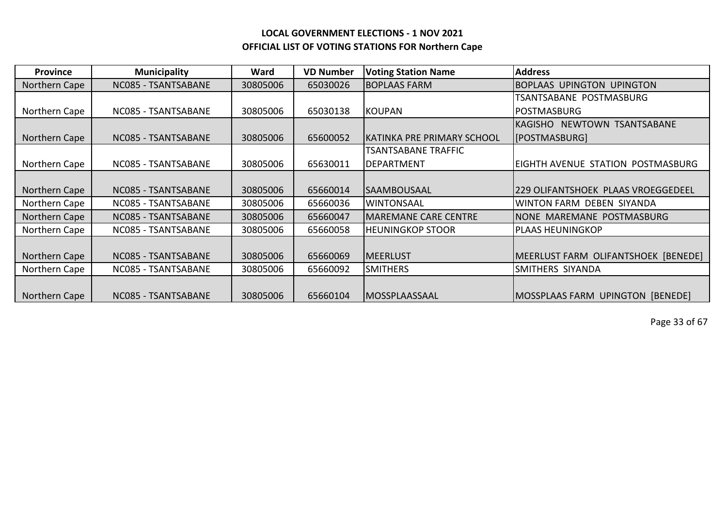| <b>Province</b> | <b>Municipality</b> | Ward     | <b>VD Number</b> | <b>Voting Station Name</b>  | <b>Address</b>                        |
|-----------------|---------------------|----------|------------------|-----------------------------|---------------------------------------|
| Northern Cape   | NC085 - TSANTSABANE | 30805006 | 65030026         | <b>BOPLAAS FARM</b>         | <b>BOPLAAS UPINGTON UPINGTON</b>      |
|                 |                     |          |                  |                             | TSANTSABANE POSTMASBURG               |
| Northern Cape   | NC085 - TSANTSABANE | 30805006 | 65030138         | <b>KOUPAN</b>               | <b>POSTMASBURG</b>                    |
|                 |                     |          |                  |                             | NEWTOWN TSANTSABANE<br><b>KAGISHO</b> |
| Northern Cape   | NC085 - TSANTSABANE | 30805006 | 65600052         | KATINKA PRE PRIMARY SCHOOL  | [POSTMASBURG]                         |
|                 |                     |          |                  | TSANTSABANE TRAFFIC         |                                       |
| Northern Cape   | NC085 - TSANTSABANE | 30805006 | 65630011         | <b>DEPARTMENT</b>           | EIGHTH AVENUE STATION POSTMASBURG     |
|                 |                     |          |                  |                             |                                       |
| Northern Cape   | NC085 - TSANTSABANE | 30805006 | 65660014         | <b>SAAMBOUSAAL</b>          | 229 OLIFANTSHOEK PLAAS VROEGGEDEEL    |
| Northern Cape   | NC085 - TSANTSABANE | 30805006 | 65660036         | <b>WINTONSAAL</b>           | WINTON FARM DEBEN SIYANDA             |
| Northern Cape   | NC085 - TSANTSABANE | 30805006 | 65660047         | <b>MAREMANE CARE CENTRE</b> | NONE MAREMANE POSTMASBURG             |
| Northern Cape   | NC085 - TSANTSABANE | 30805006 | 65660058         | <b>HEUNINGKOP STOOR</b>     | <b>PLAAS HEUNINGKOP</b>               |
|                 |                     |          |                  |                             |                                       |
| Northern Cape   | NC085 - TSANTSABANE | 30805006 | 65660069         | <b>MEERLUST</b>             | MEERLUST FARM OLIFANTSHOEK [BENEDE]   |
| Northern Cape   | NC085 - TSANTSABANE | 30805006 | 65660092         | <b>SMITHERS</b>             | <b>SMITHERS SIYANDA</b>               |
|                 |                     |          |                  |                             |                                       |
| Northern Cape   | NC085 - TSANTSABANE | 30805006 | 65660104         | <b>MOSSPLAASSAAL</b>        | MOSSPLAAS FARM UPINGTON [BENEDE]      |

Page 33 of 67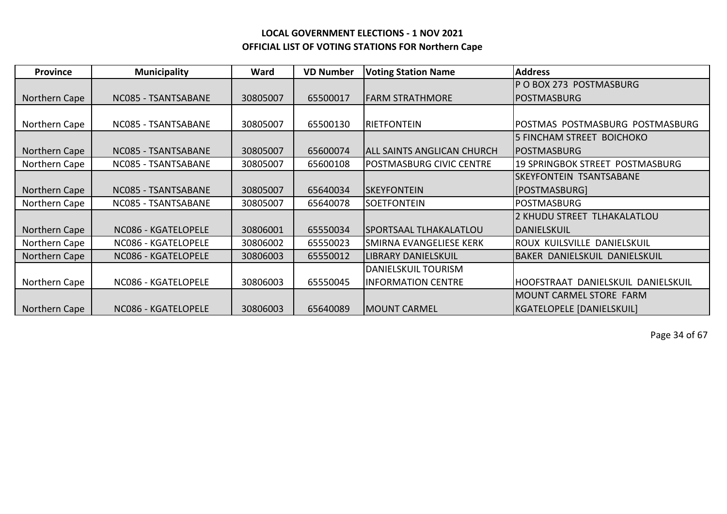| <b>Province</b> | <b>Municipality</b> | Ward     | <b>VD Number</b> | <b>Voting Station Name</b>        | <b>Address</b>                         |
|-----------------|---------------------|----------|------------------|-----------------------------------|----------------------------------------|
|                 |                     |          |                  |                                   | P O BOX 273 POSTMASBURG                |
| Northern Cape   | NC085 - TSANTSABANE | 30805007 | 65500017         | <b>FARM STRATHMORE</b>            | POSTMASBURG                            |
|                 |                     |          |                  |                                   |                                        |
| Northern Cape   | NC085 - TSANTSABANE | 30805007 | 65500130         | <b>RIETFONTEIN</b>                | POSTMAS POSTMASBURG POSTMASBURG        |
|                 |                     |          |                  |                                   | <b>5 FINCHAM STREET BOICHOKO</b>       |
| Northern Cape   | NC085 - TSANTSABANE | 30805007 | 65600074         | <b>ALL SAINTS ANGLICAN CHURCH</b> | IPOSTMASBURG                           |
| Northern Cape   | NC085 - TSANTSABANE | 30805007 | 65600108         | POSTMASBURG CIVIC CENTRE          | <b>19 SPRINGBOK STREET POSTMASBURG</b> |
|                 |                     |          |                  |                                   | <b>SKEYFONTEIN TSANTSABANE</b>         |
| Northern Cape   | NC085 - TSANTSABANE | 30805007 | 65640034         | <b>SKEYFONTEIN</b>                | [POSTMASBURG]                          |
| Northern Cape   | NC085 - TSANTSABANE | 30805007 | 65640078         | <b>SOETFONTEIN</b>                | <b>POSTMASBURG</b>                     |
|                 |                     |          |                  |                                   | 2 KHUDU STREET TLHAKALATLOU            |
| Northern Cape   | NC086 - KGATELOPELE | 30806001 | 65550034         | <b>SPORTSAAL TLHAKALATLOU</b>     | DANIELSKUIL                            |
| Northern Cape   | NC086 - KGATELOPELE | 30806002 | 65550023         | SMIRNA EVANGELIESE KERK           | ROUX KUILSVILLE DANIELSKUIL            |
| Northern Cape   | NC086 - KGATELOPELE | 30806003 | 65550012         | LIBRARY DANIELSKUIL               | BAKER DANIELSKUIL DANIELSKUIL          |
|                 |                     |          |                  | <b>DANIELSKUIL TOURISM</b>        |                                        |
| Northern Cape   | NC086 - KGATELOPELE | 30806003 | 65550045         | <b>INFORMATION CENTRE</b>         | HOOFSTRAAT DANIELSKUIL DANIELSKUIL     |
|                 |                     |          |                  |                                   | <b>IMOUNT CARMEL STORE FARM</b>        |
| Northern Cape   | NC086 - KGATELOPELE | 30806003 | 65640089         | <b>MOUNT CARMEL</b>               | KGATELOPELE [DANIELSKUIL]              |

Page 34 of 67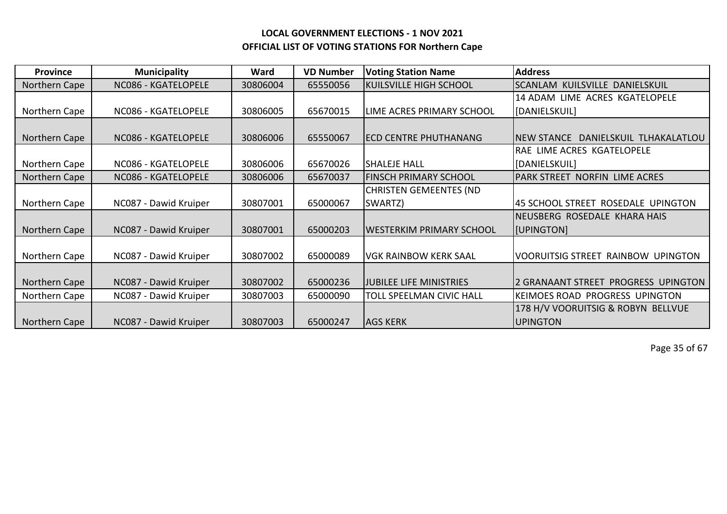| Province      | <b>Municipality</b>   | Ward     | <b>VD Number</b> | <b>Voting Station Name</b>     | <b>Address</b>                         |
|---------------|-----------------------|----------|------------------|--------------------------------|----------------------------------------|
| Northern Cape | NC086 - KGATELOPELE   | 30806004 | 65550056         | <b>KUILSVILLE HIGH SCHOOL</b>  | SCANLAM KUILSVILLE DANIELSKUIL         |
|               |                       |          |                  |                                | 14 ADAM LIME ACRES KGATELOPELE         |
| Northern Cape | NC086 - KGATELOPELE   | 30806005 | 65670015         | LIME ACRES PRIMARY SCHOOL      | [DANIELSKUIL]                          |
|               |                       |          |                  |                                |                                        |
| Northern Cape | NC086 - KGATELOPELE   | 30806006 | 65550067         | <b>ECD CENTRE PHUTHANANG</b>   | DANIELSKUIL TLHAKALATLOU<br>NEW STANCE |
|               |                       |          |                  |                                | RAE LIME ACRES KGATELOPELE             |
| Northern Cape | NC086 - KGATELOPELE   | 30806006 | 65670026         | <b>SHALEJE HALL</b>            | [DANIELSKUIL]                          |
| Northern Cape | NC086 - KGATELOPELE   | 30806006 | 65670037         | <b>FINSCH PRIMARY SCHOOL</b>   | PARK STREET NORFIN LIME ACRES          |
|               |                       |          |                  | <b>CHRISTEN GEMEENTES (ND</b>  |                                        |
| Northern Cape | NC087 - Dawid Kruiper | 30807001 | 65000067         | SWARTZ)                        | 45 SCHOOL STREET ROSEDALE UPINGTON     |
|               |                       |          |                  |                                | NEUSBERG ROSEDALE KHARA HAIS           |
| Northern Cape | NC087 - Dawid Kruiper | 30807001 | 65000203         | WESTERKIM PRIMARY SCHOOL       | [UPINGTON]                             |
|               |                       |          |                  |                                |                                        |
| Northern Cape | NC087 - Dawid Kruiper | 30807002 | 65000089         | <b>VGK RAINBOW KERK SAAL</b>   | VOORUITSIG STREET RAINBOW UPINGTON     |
|               |                       |          |                  |                                |                                        |
| Northern Cape | NC087 - Dawid Kruiper | 30807002 | 65000236         | <b>JUBILEE LIFE MINISTRIES</b> | 2 GRANAANT STREET PROGRESS UPINGTON    |
| Northern Cape | NC087 - Dawid Kruiper | 30807003 | 65000090         | TOLL SPEELMAN CIVIC HALL       | <b>KEIMOES ROAD PROGRESS UPINGTON</b>  |
|               |                       |          |                  |                                | 178 H/V VOORUITSIG & ROBYN BELLVUE     |
| Northern Cape | NC087 - Dawid Kruiper | 30807003 | 65000247         | <b>AGS KERK</b>                | <b>UPINGTON</b>                        |

Page 35 of 67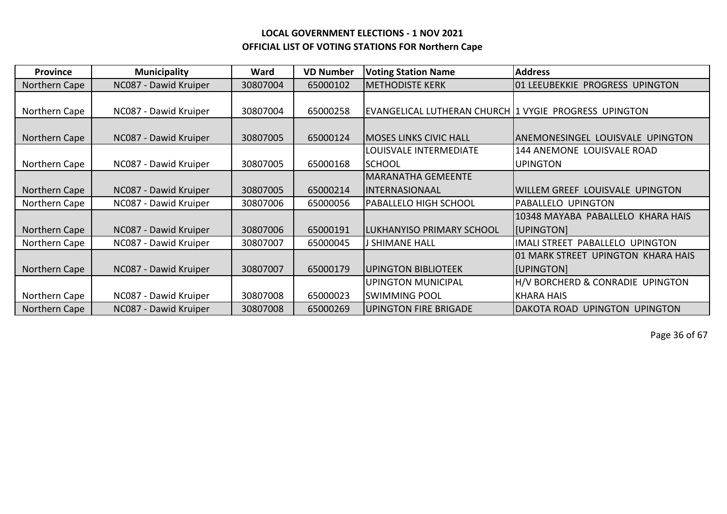| <b>Province</b> | <b>Municipality</b>   | Ward     | <b>VD Number</b> | <b>Voting Station Name</b>                            | <b>Address</b>                     |
|-----------------|-----------------------|----------|------------------|-------------------------------------------------------|------------------------------------|
| Northern Cape   | NC087 - Dawid Kruiper | 30807004 | 65000102         | <b>METHODISTE KERK</b>                                | 101 LEEUBEKKIE PROGRESS UPINGTON   |
|                 |                       |          |                  |                                                       |                                    |
| Northern Cape   | NC087 - Dawid Kruiper | 30807004 | 65000258         | EVANGELICAL LUTHERAN CHURCH 1 VYGIE PROGRESS UPINGTON |                                    |
|                 |                       |          |                  |                                                       |                                    |
| Northern Cape   | NC087 - Dawid Kruiper | 30807005 | 65000124         | <b>MOSES LINKS CIVIC HALL</b>                         | ANEMONESINGEL LOUISVALE UPINGTON   |
|                 |                       |          |                  | LOUISVALE INTERMEDIATE                                | 144 ANEMONE LOUISVALE ROAD         |
| Northern Cape   | NC087 - Dawid Kruiper | 30807005 | 65000168         | ISCHOOL                                               | <b>UPINGTON</b>                    |
|                 |                       |          |                  | <b>MARANATHA GEMEENTE</b>                             |                                    |
| Northern Cape   | NC087 - Dawid Kruiper | 30807005 | 65000214         | INTERNASIONAAL                                        | IWILLEM GREEF LOUISVALE UPINGTON   |
| Northern Cape   | NC087 - Dawid Kruiper | 30807006 | 65000056         | <b>PABALLELO HIGH SCHOOL</b>                          | PABALLELO UPINGTON                 |
|                 |                       |          |                  |                                                       | 10348 MAYABA PABALLELO KHARA HAIS  |
| Northern Cape   | NC087 - Dawid Kruiper | 30807006 | 65000191         | LUKHANYISO PRIMARY SCHOOL                             | <b>I</b> [UPINGTON]                |
| Northern Cape   | NC087 - Dawid Kruiper | 30807007 | 65000045         | J SHIMANE HALL                                        | IMALI STREET PABALLELO UPINGTON    |
|                 |                       |          |                  |                                                       | 01 MARK STREET UPINGTON KHARA HAIS |
| Northern Cape   | NC087 - Dawid Kruiper | 30807007 | 65000179         | <b>UPINGTON BIBLIOTEEK</b>                            | [UPINGTON]                         |
|                 |                       |          |                  | UPINGTON MUNICIPAL                                    | H/V BORCHERD & CONRADIE UPINGTON   |
| Northern Cape   | NC087 - Dawid Kruiper | 30807008 | 65000023         | <b>SWIMMING POOL</b>                                  | <b>KHARA HAIS</b>                  |
| Northern Cape   | NC087 - Dawid Kruiper | 30807008 | 65000269         | <b>UPINGTON FIRE BRIGADE</b>                          | IDAKOTA ROAD UPINGTON UPINGTON     |

Page 36 of 67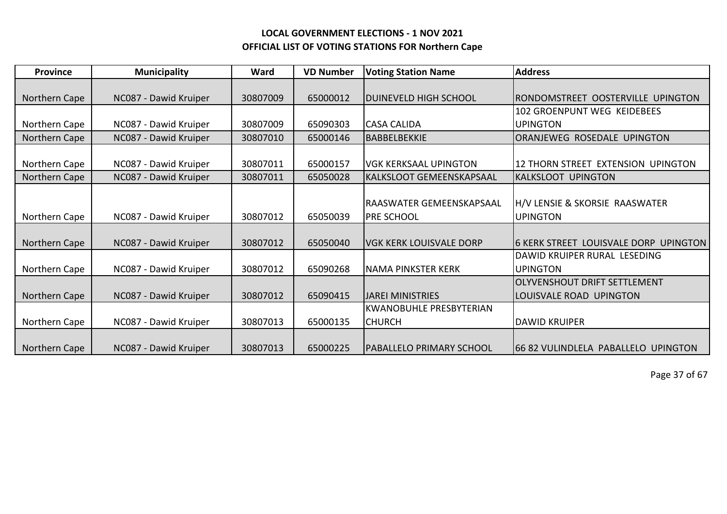| <b>Province</b> | <b>Municipality</b>   | Ward     | <b>VD Number</b> | <b>Voting Station Name</b>     | <b>Address</b>                                   |
|-----------------|-----------------------|----------|------------------|--------------------------------|--------------------------------------------------|
|                 |                       |          |                  |                                |                                                  |
| Northern Cape   | NC087 - Dawid Kruiper | 30807009 | 65000012         | DUINEVELD HIGH SCHOOL          | RONDOMSTREET OOSTERVILLE UPINGTON                |
|                 |                       |          |                  |                                | 102 GROENPUNT WEG KEIDEBEES                      |
| Northern Cape   | NC087 - Dawid Kruiper | 30807009 | 65090303         | <b>CASA CALIDA</b>             | <b>UPINGTON</b>                                  |
| Northern Cape   | NC087 - Dawid Kruiper | 30807010 | 65000146         | IBABBELBEKKIE                  | ORANJEWEG ROSEDALE UPINGTON                      |
|                 |                       |          |                  |                                |                                                  |
| Northern Cape   | NC087 - Dawid Kruiper | 30807011 | 65000157         | <b>VGK KERKSAAL UPINGTON</b>   | 12 THORN STREET EXTENSION UPINGTON               |
| Northern Cape   | NC087 - Dawid Kruiper | 30807011 | 65050028         | lKALKSLOOT GEMEENSKAPSAAL      | <b>KALKSLOOT UPINGTON</b>                        |
|                 |                       |          |                  |                                |                                                  |
|                 |                       |          |                  | IRAASWATER GEMEENSKAPSAAL      | H/V LENSIE & SKORSIE RAASWATER                   |
| Northern Cape   | NC087 - Dawid Kruiper | 30807012 | 65050039         | <b>PRE SCHOOL</b>              | <b>UPINGTON</b>                                  |
|                 |                       |          |                  |                                |                                                  |
| Northern Cape   | NC087 - Dawid Kruiper | 30807012 | 65050040         | <b>VGK KERK LOUISVALE DORP</b> | 16 KERK STREET LOUISVALE DORP<br><b>UPINGTON</b> |
|                 |                       |          |                  |                                | DAWID KRUIPER RURAL LESEDING                     |
| Northern Cape   | NC087 - Dawid Kruiper | 30807012 | 65090268         | <b>NAMA PINKSTER KERK</b>      | <b>UPINGTON</b>                                  |
|                 |                       |          |                  |                                | OLYVENSHOUT DRIFT SETTLEMENT                     |
| Northern Cape   | NC087 - Dawid Kruiper | 30807012 | 65090415         | <b>IJAREI MINISTRIES</b>       | LOUISVALE ROAD UPINGTON                          |
|                 |                       |          |                  | IKWANOBUHLE PRESBYTERIAN       |                                                  |
| Northern Cape   | NC087 - Dawid Kruiper | 30807013 | 65000135         | <b>CHURCH</b>                  | <b>DAWID KRUIPER</b>                             |
|                 |                       |          |                  |                                |                                                  |
| Northern Cape   | NC087 - Dawid Kruiper | 30807013 | 65000225         | IPABALLELO PRIMARY SCHOOL      | 166 82 VULINDLELA PABALLELO UPINGTON             |

Page 37 of 67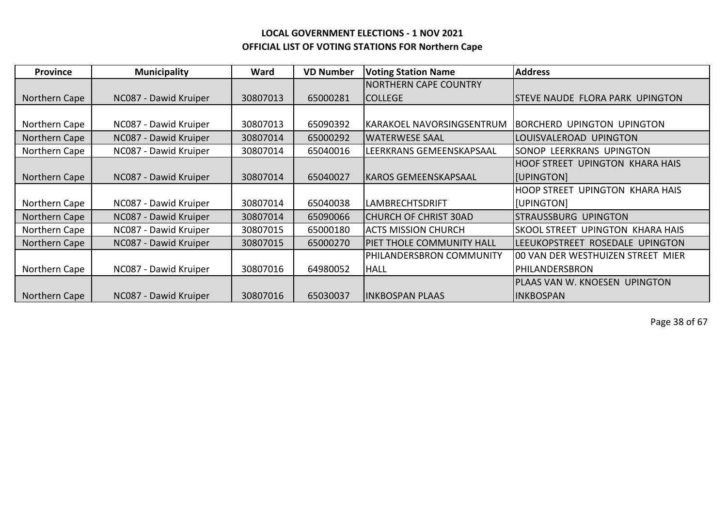| <b>Province</b> | <b>Municipality</b>   | Ward     | <b>VD Number</b> | <b>Voting Station Name</b>   | <b>Address</b>                                    |
|-----------------|-----------------------|----------|------------------|------------------------------|---------------------------------------------------|
|                 |                       |          |                  | <b>NORTHERN CAPE COUNTRY</b> |                                                   |
| Northern Cape   | NC087 - Dawid Kruiper | 30807013 | 65000281         | ICOLLEGE                     | <b>STEVE NAUDE FLORA PARK UPINGTON</b>            |
|                 |                       |          |                  |                              |                                                   |
| Northern Cape   | NC087 - Dawid Kruiper | 30807013 | 65090392         | KARAKOEL NAVORSINGSENTRUM    | IBORCHERD UPINGTON UPINGTON                       |
| Northern Cape   | NC087 - Dawid Kruiper | 30807014 | 65000292         | <b>WATERWESE SAAL</b>        | LOUISVALEROAD UPINGTON                            |
| Northern Cape   | NC087 - Dawid Kruiper | 30807014 | 65040016         | LEERKRANS GEMEENSKAPSAAL     | SONOP LEERKRANS UPINGTON                          |
|                 |                       |          |                  |                              | UPINGTON KHARA HAIS<br>IHOOF STREET .             |
| Northern Cape   | NC087 - Dawid Kruiper | 30807014 | 65040027         | <b>KAROS GEMEENSKAPSAAL</b>  | [JUPINGTON]                                       |
|                 |                       |          |                  |                              | HOOP STREET UPINGTON KHARA HAIS                   |
| Northern Cape   | NC087 - Dawid Kruiper | 30807014 | 65040038         | <b>LAMBRECHTSDRIFT</b>       | [UPINGTON]                                        |
| Northern Cape   | NC087 - Dawid Kruiper | 30807014 | 65090066         | <b>CHURCH OF CHRIST 30AD</b> | STRAUSSBURG UPINGTON                              |
| Northern Cape   | NC087 - Dawid Kruiper | 30807015 | 65000180         | <b>ACTS MISSION CHURCH</b>   | <b>SKOOL STREET</b><br><b>UPINGTON KHARA HAIS</b> |
| Northern Cape   | NC087 - Dawid Kruiper | 30807015 | 65000270         | PIET THOLE COMMUNITY HALL    | <b>LEEUKOPSTREET</b><br>ROSEDALE UPINGTON         |
|                 |                       |          |                  | PHILANDERSBRON COMMUNITY     | 00 VAN DER WESTHUIZEN STREET MIER                 |
| Northern Cape   | NC087 - Dawid Kruiper | 30807016 | 64980052         | <b>HALL</b>                  | PHILANDERSBRON                                    |
|                 |                       |          |                  |                              | PLAAS VAN W. KNOESEN UPINGTON                     |
| Northern Cape   | NC087 - Dawid Kruiper | 30807016 | 65030037         | <b>INKBOSPAN PLAAS</b>       | <b>INKBOSPAN</b>                                  |

Page 38 of 67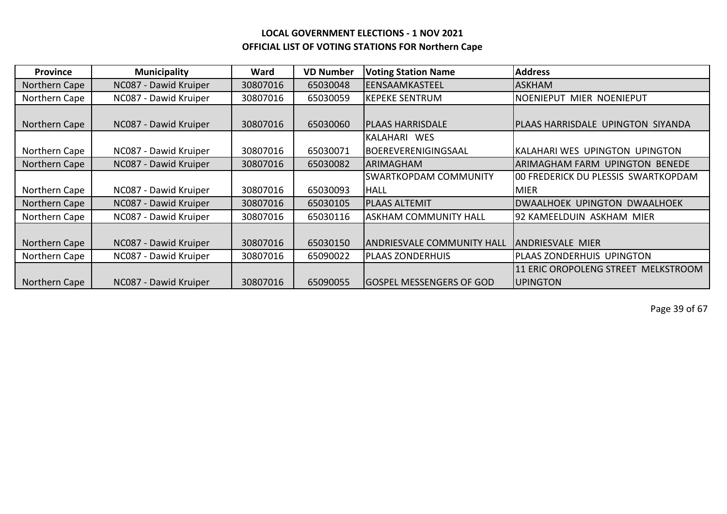| <b>Province</b> | <b>Municipality</b>   | Ward     | <b>VD Number</b> | <b>Voting Station Name</b>      | <b>Address</b>                                       |
|-----------------|-----------------------|----------|------------------|---------------------------------|------------------------------------------------------|
| Northern Cape   | NC087 - Dawid Kruiper | 30807016 | 65030048         | EENSAAMKASTEEL                  | <b>ASKHAM</b>                                        |
| Northern Cape   | NC087 - Dawid Kruiper | 30807016 | 65030059         | <b>KEPEKE SENTRUM</b>           | NOENIEPUT MIER NOENIEPUT                             |
|                 |                       |          |                  |                                 |                                                      |
| Northern Cape   | NC087 - Dawid Kruiper | 30807016 | 65030060         | <b>PLAAS HARRISDALE</b>         | PLAAS HARRISDALE UPINGTON SIYANDA                    |
|                 |                       |          |                  | IKALAHARI WES                   |                                                      |
| Northern Cape   | NC087 - Dawid Kruiper | 30807016 | 65030071         | BOEREVERENIGINGSAAL             | KALAHARI WES UPINGTON UPINGTON                       |
| Northern Cape   | NC087 - Dawid Kruiper | 30807016 | 65030082         | IARIMAGHAM                      | ARIMAGHAM FARM UPINGTON BENEDE                       |
|                 |                       |          |                  | <b>ISWARTKOPDAM COMMUNITY</b>   | 100 FREDERICK DU PLESSIS SWARTKOPDAM                 |
| Northern Cape   | NC087 - Dawid Kruiper | 30807016 | 65030093         | HALL                            | <b>MIER</b>                                          |
| Northern Cape   | NC087 - Dawid Kruiper | 30807016 | 65030105         | <b>PLAAS ALTEMIT</b>            | IDWAALHOEK UPINGTON DWAALHOEK                        |
| Northern Cape   | NC087 - Dawid Kruiper | 30807016 | 65030116         | <b>ASKHAM COMMUNITY HALL</b>    | 92 KAMEELDUIN ASKHAM MIER                            |
|                 |                       |          |                  |                                 |                                                      |
| Northern Cape   | NC087 - Dawid Kruiper | 30807016 | 65030150         | ANDRIESVALE COMMUNITY HALL      | <b>ANDRIESVALE MIER</b>                              |
| Northern Cape   | NC087 - Dawid Kruiper | 30807016 | 65090022         | <b>PLAAS ZONDERHUIS</b>         | PLAAS ZONDERHUIS UPINGTON                            |
|                 |                       |          |                  |                                 | <b>11 ERIC OROPOLENG STREET</b><br><b>MELKSTROOM</b> |
| Northern Cape   | NC087 - Dawid Kruiper | 30807016 | 65090055         | <b>GOSPEL MESSENGERS OF GOD</b> | <b>UPINGTON</b>                                      |

Page 39 of 67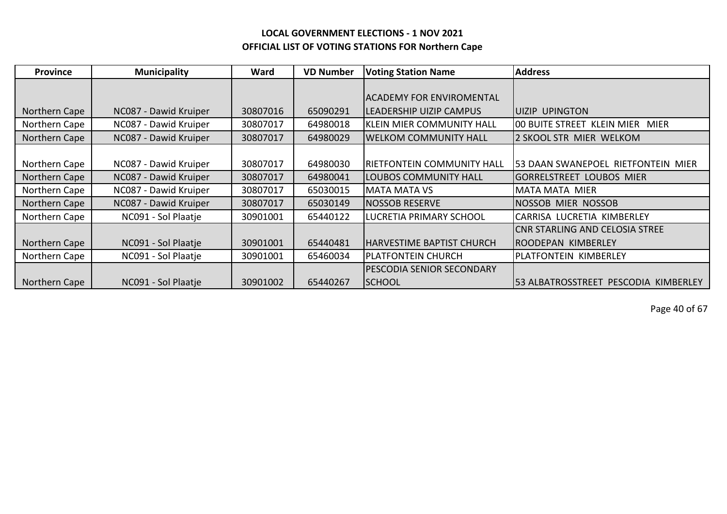| <b>Province</b> | <b>Municipality</b>   | Ward     | <b>VD Number</b> | <b>Voting Station Name</b>       | <b>Address</b>                             |
|-----------------|-----------------------|----------|------------------|----------------------------------|--------------------------------------------|
|                 |                       |          |                  |                                  |                                            |
|                 |                       |          |                  | IACADEMY FOR ENVIROMENTAL        |                                            |
| Northern Cape   | NC087 - Dawid Kruiper | 30807016 | 65090291         | <b>LEADERSHIP UIZIP CAMPUS</b>   | <b>LUIZIP UPINGTON</b>                     |
| Northern Cape   | NC087 - Dawid Kruiper | 30807017 | 64980018         | <b>KLEIN MIER COMMUNITY HALL</b> | 100 BUITE STREET KLEIN MIER<br><b>MIER</b> |
| Northern Cape   | NC087 - Dawid Kruiper | 30807017 | 64980029         | <b>WELKOM COMMUNITY HALL</b>     | 2 SKOOL STR MIER WELKOM                    |
|                 |                       |          |                  |                                  |                                            |
| Northern Cape   | NC087 - Dawid Kruiper | 30807017 | 64980030         | RIETFONTEIN COMMUNITY HALL       | 53 DAAN SWANEPOEL RIETFONTEIN MIER         |
| Northern Cape   | NC087 - Dawid Kruiper | 30807017 | 64980041         | <b>LOUBOS COMMUNITY HALL</b>     | IGORRELSTREET LOUBOS MIER                  |
| Northern Cape   | NC087 - Dawid Kruiper | 30807017 | 65030015         | <b>MATA MATA VS</b>              | <b>MATA MATA MIER</b>                      |
| Northern Cape   | NC087 - Dawid Kruiper | 30807017 | 65030149         | <b>NOSSOB RESERVE</b>            | <b>NOSSOB MIER NOSSOB</b>                  |
| Northern Cape   | NC091 - Sol Plaatje   | 30901001 | 65440122         | LUCRETIA PRIMARY SCHOOL          | CARRISA LUCRETIA KIMBERLEY                 |
|                 |                       |          |                  |                                  | CNR STARLING AND CELOSIA STREE             |
| Northern Cape   | NC091 - Sol Plaatje   | 30901001 | 65440481         | HARVESTIME BAPTIST CHURCH        | IROODEPAN KIMBERLEY                        |
| Northern Cape   | NC091 - Sol Plaatje   | 30901001 | 65460034         | <b>PLATFONTEIN CHURCH</b>        | PLATFONTEIN KIMBERLEY                      |
|                 |                       |          |                  | <b>PESCODIA SENIOR SECONDARY</b> |                                            |
| Northern Cape   | NC091 - Sol Plaatje   | 30901002 | 65440267         | <b>SCHOOL</b>                    | 53 ALBATROSSTREET PESCODIA KIMBERLEY       |

Page 40 of 67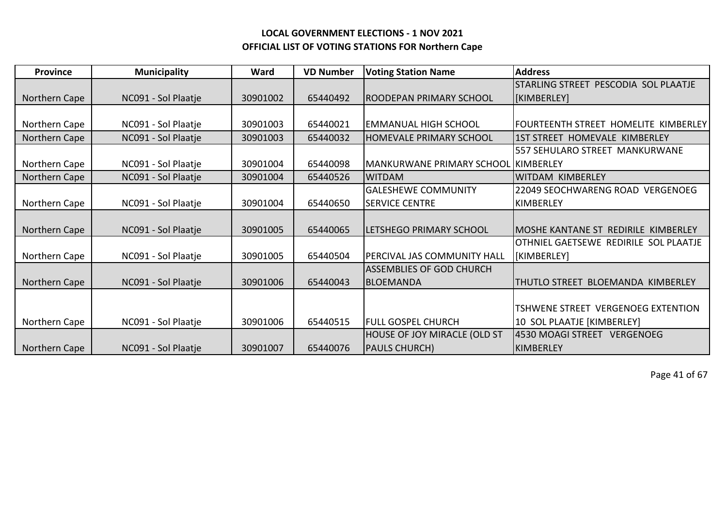| <b>Province</b> | <b>Municipality</b> | Ward     | <b>VD Number</b> | <b>Voting Station Name</b>          | <b>Address</b>                        |
|-----------------|---------------------|----------|------------------|-------------------------------------|---------------------------------------|
|                 |                     |          |                  |                                     | STARLING STREET PESCODIA SOL PLAATJE  |
| Northern Cape   | NC091 - Sol Plaatje | 30901002 | 65440492         | IROODEPAN PRIMARY SCHOOL            | [KIMBERLEY]                           |
|                 |                     |          |                  |                                     |                                       |
| Northern Cape   | NC091 - Sol Plaatje | 30901003 | 65440021         | EMMANUAL HIGH SCHOOL                | FOURTEENTH STREET HOMELITE KIMBERLEY  |
| Northern Cape   | NC091 - Sol Plaatje | 30901003 | 65440032         | <b>HOMEVALE PRIMARY SCHOOL</b>      | 1ST STREET HOMEVALE KIMBERLEY         |
|                 |                     |          |                  |                                     | 557 SEHULARO STREET MANKURWANE        |
| Northern Cape   | NC091 - Sol Plaatje | 30901004 | 65440098         | MANKURWANE PRIMARY SCHOOL KIMBERLEY |                                       |
| Northern Cape   | NC091 - Sol Plaatje | 30901004 | 65440526         | <b>WITDAM</b>                       | WITDAM KIMBERLEY                      |
|                 |                     |          |                  | <b>GALESHEWE COMMUNITY</b>          | 22049 SEOCHWARENG ROAD VERGENOEG      |
| Northern Cape   | NC091 - Sol Plaatje | 30901004 | 65440650         | <b>SERVICE CENTRE</b>               | <b>KIMBERLEY</b>                      |
|                 |                     |          |                  |                                     |                                       |
| Northern Cape   | NC091 - Sol Plaatje | 30901005 | 65440065         | LETSHEGO PRIMARY SCHOOL             | MOSHE KANTANE ST REDIRILE KIMBERLEY   |
|                 |                     |          |                  |                                     | OTHNIEL GAETSEWE REDIRILE SOL PLAATJE |
| Northern Cape   | NC091 - Sol Plaatje | 30901005 | 65440504         | PERCIVAL JAS COMMUNITY HALL         | [KIMBERLEY]                           |
|                 |                     |          |                  | <b>ASSEMBLIES OF GOD CHURCH</b>     |                                       |
| Northern Cape   | NC091 - Sol Plaatje | 30901006 | 65440043         | IBLOEMANDA                          | THUTLO STREET BLOEMANDA KIMBERLEY     |
|                 |                     |          |                  |                                     |                                       |
|                 |                     |          |                  |                                     | TSHWENE STREET VERGENOEG EXTENTION    |
| Northern Cape   | NC091 - Sol Plaatje | 30901006 | 65440515         | <b>FULL GOSPEL CHURCH</b>           | 10 SOL PLAATJE [KIMBERLEY]            |
|                 |                     |          |                  | <b>HOUSE OF JOY MIRACLE (OLD ST</b> | 4530 MOAGI STREET VERGENOEG           |
| Northern Cape   | NC091 - Sol Plaatje | 30901007 | 65440076         | <b>PAULS CHURCH)</b>                | <b>KIMBERLEY</b>                      |

Page 41 of 67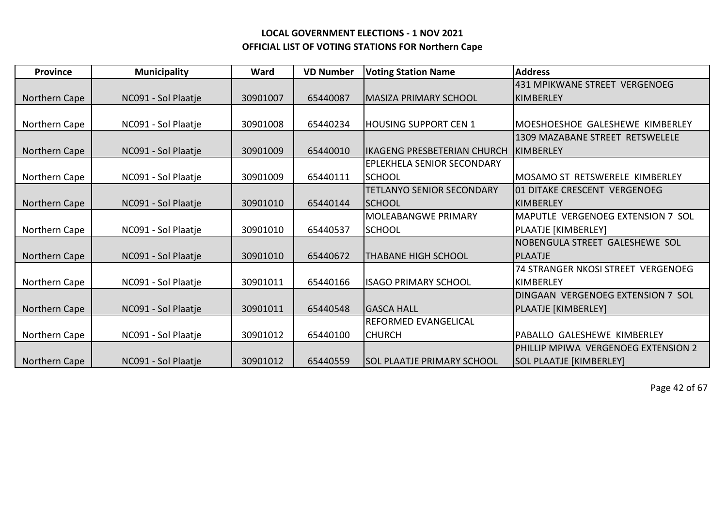| <b>Province</b> | <b>Municipality</b> | Ward     | <b>VD Number</b> | <b>Voting Station Name</b>        | <b>Address</b>                            |
|-----------------|---------------------|----------|------------------|-----------------------------------|-------------------------------------------|
|                 |                     |          |                  |                                   | 431 MPIKWANE STREET VERGENOEG             |
| Northern Cape   | NC091 - Sol Plaatje | 30901007 | 65440087         | <b>MASIZA PRIMARY SCHOOL</b>      | IKIMBERLEY                                |
|                 |                     |          |                  |                                   |                                           |
| Northern Cape   | NC091 - Sol Plaatje | 30901008 | 65440234         | <b>HOUSING SUPPORT CEN 1</b>      | MOESHOESHOE GALESHEWE KIMBERLEY           |
|                 |                     |          |                  |                                   | 1309 MAZABANE STREET RETSWELELE           |
| Northern Cape   | NC091 - Sol Plaatje | 30901009 | 65440010         | likageng presbeterian Church      | KIMBERLEY                                 |
|                 |                     |          |                  | <b>EPLEKHELA SENIOR SECONDARY</b> |                                           |
| Northern Cape   | NC091 - Sol Plaatje | 30901009 | 65440111         | <b>ISCHOOL</b>                    | MOSAMO ST RETSWERELE KIMBERLEY            |
|                 |                     |          |                  | <b>TETLANYO SENIOR SECONDARY</b>  | 101 DITAKE CRESCENT VERGENOEG             |
| Northern Cape   | NC091 - Sol Plaatje | 30901010 | 65440144         | <b>ISCHOOL</b>                    | KIMBERLEY                                 |
|                 |                     |          |                  | <b>MOLEABANGWE PRIMARY</b>        | <b>MAPUTLE VERGENOEG EXTENSION 7 SOL</b>  |
| Northern Cape   | NC091 - Sol Plaatje | 30901010 | 65440537         | <b>SCHOOL</b>                     | PLAATJE [KIMBERLEY]                       |
|                 |                     |          |                  |                                   | NOBENGULA STREET GALESHEWE SOL            |
| Northern Cape   | NC091 - Sol Plaatje | 30901010 | 65440672         | <b>THABANE HIGH SCHOOL</b>        | <b>PLAATJE</b>                            |
|                 |                     |          |                  |                                   | <b>74 STRANGER NKOSI STREET VERGENOEG</b> |
| Northern Cape   | NC091 - Sol Plaatje | 30901011 | 65440166         | <b>ISAGO PRIMARY SCHOOL</b>       | IKIMBERLEY                                |
|                 |                     |          |                  |                                   | DINGAAN VERGENOEG EXTENSION 7 SOL         |
| Northern Cape   | NC091 - Sol Plaatje | 30901011 | 65440548         | <b>GASCA HALL</b>                 | PLAATJE [KIMBERLEY]                       |
|                 |                     |          |                  | <b>REFORMED EVANGELICAL</b>       |                                           |
| Northern Cape   | NC091 - Sol Plaatje | 30901012 | 65440100         | <b>CHURCH</b>                     | PABALLO GALESHEWE KIMBERLEY               |
|                 |                     |          |                  |                                   | PHILLIP MPIWA VERGENOEG EXTENSION 2       |
| Northern Cape   | NC091 - Sol Plaatje | 30901012 | 65440559         | <b>SOL PLAATJE PRIMARY SCHOOL</b> | <b>SOL PLAATJE [KIMBERLEY]</b>            |

Page 42 of 67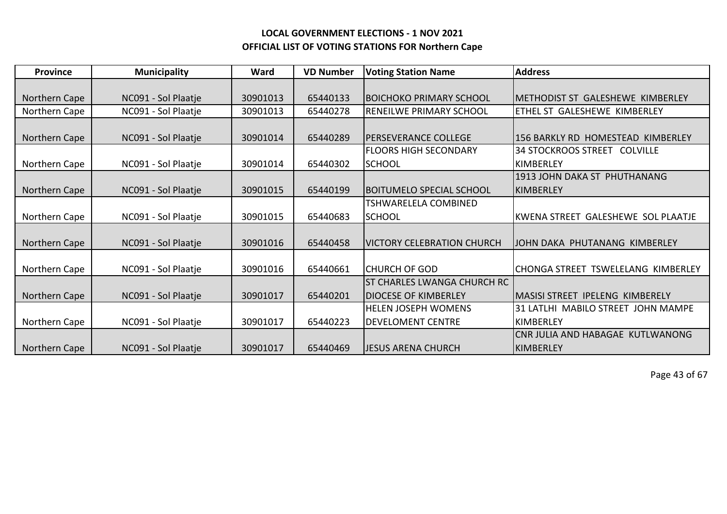| <b>Province</b> | <b>Municipality</b> | Ward     | <b>VD Number</b> | <b>Voting Station Name</b>         | <b>Address</b>                     |
|-----------------|---------------------|----------|------------------|------------------------------------|------------------------------------|
|                 |                     |          |                  |                                    |                                    |
| Northern Cape   | NC091 - Sol Plaatje | 30901013 | 65440133         | <b>BOICHOKO PRIMARY SCHOOL</b>     | IMETHODIST ST GALESHEWE KIMBERLEY  |
| Northern Cape   | NC091 - Sol Plaatje | 30901013 | 65440278         | <b>RENEILWE PRIMARY SCHOOL</b>     | ETHEL ST GALESHEWE KIMBERLEY       |
|                 |                     |          |                  |                                    |                                    |
| Northern Cape   | NC091 - Sol Plaatje | 30901014 | 65440289         | IPERSEVERANCE COLLEGE              | 1156 BARKLY RD HOMESTEAD KIMBERLEY |
|                 |                     |          |                  | <b>FLOORS HIGH SECONDARY</b>       | 34 STOCKROOS STREET COLVILLE       |
| Northern Cape   | NC091 - Sol Plaatje | 30901014 | 65440302         | <b>SCHOOL</b>                      | KIMBERLEY                          |
|                 |                     |          |                  |                                    | 1913 JOHN DAKA ST PHUTHANANG       |
| Northern Cape   | NC091 - Sol Plaatje | 30901015 | 65440199         | <b>BOITUMELO SPECIAL SCHOOL</b>    | <b>KIMBERLEY</b>                   |
|                 |                     |          |                  | TSHWARELELA COMBINED               |                                    |
| Northern Cape   | NC091 - Sol Plaatje | 30901015 | 65440683         | <b>SCHOOL</b>                      | KWENA STREET GALESHEWE SOL PLAATJE |
|                 |                     |          |                  |                                    |                                    |
| Northern Cape   | NC091 - Sol Plaatje | 30901016 | 65440458         | <b>VICTORY CELEBRATION CHURCH</b>  | JOHN DAKA PHUTANANG KIMBERLEY      |
|                 |                     |          |                  |                                    |                                    |
| Northern Cape   | NC091 - Sol Plaatje | 30901016 | 65440661         | <b>CHURCH OF GOD</b>               | CHONGA STREET TSWELELANG KIMBERLEY |
|                 |                     |          |                  | <b>ST CHARLES LWANGA CHURCH RC</b> |                                    |
| Northern Cape   | NC091 - Sol Plaatje | 30901017 | 65440201         | <b>DIOCESE OF KIMBERLEY</b>        | IMASISI STREET IPELENG KIMBERELY   |
|                 |                     |          |                  | <b>HELEN JOSEPH WOMENS</b>         | 31 LATLHI MABILO STREET JOHN MAMPE |
| Northern Cape   | NC091 - Sol Plaatje | 30901017 | 65440223         | <b>DEVELOMENT CENTRE</b>           | <b>KIMBERLEY</b>                   |
|                 |                     |          |                  |                                    | CNR JULIA AND HABAGAE KUTLWANONG   |
| Northern Cape   | NC091 - Sol Plaatje | 30901017 | 65440469         | <b>JESUS ARENA CHURCH</b>          | KIMBERLEY                          |

Page 43 of 67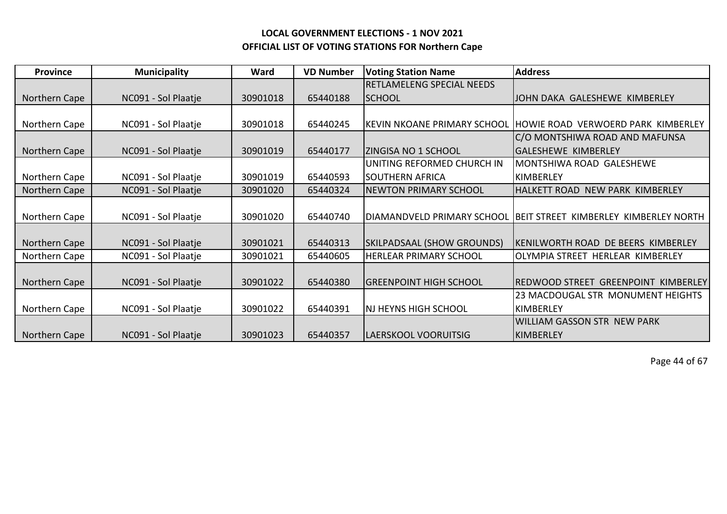| <b>Province</b> | <b>Municipality</b> | Ward     | <b>VD Number</b> | <b>Voting Station Name</b>         | <b>Address</b>                                                     |
|-----------------|---------------------|----------|------------------|------------------------------------|--------------------------------------------------------------------|
|                 |                     |          |                  | <b>RETLAMELENG SPECIAL NEEDS</b>   |                                                                    |
| Northern Cape   | NC091 - Sol Plaatje | 30901018 | 65440188         | <b>SCHOOL</b>                      | JOHN DAKA GALESHEWE KIMBERLEY                                      |
|                 |                     |          |                  |                                    |                                                                    |
| Northern Cape   | NC091 - Sol Plaatje | 30901018 | 65440245         | <b>KEVIN NKOANE PRIMARY SCHOOL</b> | HOWIE ROAD VERWOERD PARK KIMBERLEY                                 |
|                 |                     |          |                  |                                    | C/O MONTSHIWA ROAD AND MAFUNSA                                     |
| Northern Cape   | NC091 - Sol Plaatje | 30901019 | 65440177         | <b>ZINGISA NO 1 SCHOOL</b>         | <b>GALESHEWE KIMBERLEY</b>                                         |
|                 |                     |          |                  | UNITING REFORMED CHURCH IN         | MONTSHIWA ROAD GALESHEWE                                           |
| Northern Cape   | NC091 - Sol Plaatje | 30901019 | 65440593         | <b>SOUTHERN AFRICA</b>             | KIMBERLEY                                                          |
| Northern Cape   | NC091 - Sol Plaatje | 30901020 | 65440324         | <b>NEWTON PRIMARY SCHOOL</b>       | HALKETT ROAD NEW PARK KIMBERLEY                                    |
|                 |                     |          |                  |                                    |                                                                    |
| Northern Cape   | NC091 - Sol Plaatje | 30901020 | 65440740         |                                    | DIAMANDVELD PRIMARY SCHOOL   BEIT STREET KIMBERLEY KIMBERLEY NORTH |
|                 |                     |          |                  |                                    |                                                                    |
| Northern Cape   | NC091 - Sol Plaatje | 30901021 | 65440313         | SKILPADSAAL (SHOW GROUNDS)         | KENILWORTH ROAD DE BEERS KIMBERLEY                                 |
| Northern Cape   | NC091 - Sol Plaatje | 30901021 | 65440605         | <b>HERLEAR PRIMARY SCHOOL</b>      | OLYMPIA STREET HERLEAR KIMBERLEY                                   |
|                 |                     |          |                  |                                    |                                                                    |
| Northern Cape   | NC091 - Sol Plaatje | 30901022 | 65440380         | <b>GREENPOINT HIGH SCHOOL</b>      | REDWOOD STREET GREENPOINT KIMBERLEY                                |
|                 |                     |          |                  |                                    | 23 MACDOUGAL STR MONUMENT HEIGHTS                                  |
| Northern Cape   | NC091 - Sol Plaatje | 30901022 | 65440391         | NJ HEYNS HIGH SCHOOL               | KIMBERLEY                                                          |
|                 |                     |          |                  |                                    | <b>WILLIAM GASSON STR NEW PARK</b>                                 |
| Northern Cape   | NC091 - Sol Plaatje | 30901023 | 65440357         | LAERSKOOL VOORUITSIG               | KIMBERLEY                                                          |

Page 44 of 67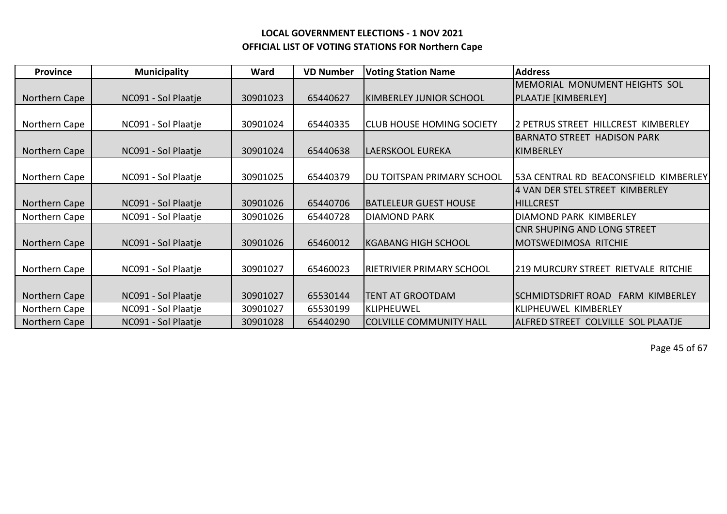| <b>Province</b> | <b>Municipality</b> | Ward     | <b>VD Number</b> | <b>Voting Station Name</b>       | <b>Address</b>                              |
|-----------------|---------------------|----------|------------------|----------------------------------|---------------------------------------------|
|                 |                     |          |                  |                                  | MEMORIAL MONUMENT HEIGHTS SOL               |
| Northern Cape   | NC091 - Sol Plaatje | 30901023 | 65440627         | IKIMBERLEY JUNIOR SCHOOL         | PLAATJE [KIMBERLEY]                         |
|                 |                     |          |                  |                                  |                                             |
| Northern Cape   | NC091 - Sol Plaatje | 30901024 | 65440335         | <b>CLUB HOUSE HOMING SOCIETY</b> | 2 PETRUS STREET HILLCREST KIMBERLEY         |
|                 |                     |          |                  |                                  | <b>BARNATO STREET HADISON PARK</b>          |
| Northern Cape   | NC091 - Sol Plaatje | 30901024 | 65440638         | LAERSKOOL EUREKA                 | KIMBERLEY                                   |
|                 |                     |          |                  |                                  |                                             |
| Northern Cape   | NC091 - Sol Plaatje | 30901025 | 65440379         | IDU TOITSPAN PRIMARY SCHOOL      | 53A CENTRAL RD BEACONSFIELD KIMBERLEY       |
|                 |                     |          |                  |                                  | 4 VAN DER STEL STREET KIMBERLEY             |
| Northern Cape   | NC091 - Sol Plaatje | 30901026 | 65440706         | <b>BATLELEUR GUEST HOUSE</b>     | <b>HILLCREST</b>                            |
| Northern Cape   | NC091 - Sol Plaatje | 30901026 | 65440728         | <b>DIAMOND PARK</b>              | DIAMOND PARK KIMBERLEY                      |
|                 |                     |          |                  |                                  | CNR SHUPING AND LONG STREET                 |
| Northern Cape   | NC091 - Sol Plaatje | 30901026 | 65460012         | <b>IKGABANG HIGH SCHOOL</b>      | <b>IMOTSWEDIMOSA RITCHIE</b>                |
|                 |                     |          |                  |                                  |                                             |
| Northern Cape   | NC091 - Sol Plaatje | 30901027 | 65460023         | RIETRIVIER PRIMARY SCHOOL        | <b>219 MURCURY STREET RIETVALE RITCHIE</b>  |
|                 |                     |          |                  |                                  |                                             |
| Northern Cape   | NC091 - Sol Plaatje | 30901027 | 65530144         | <b>TENT AT GROOTDAM</b>          | SCHMIDTSDRIFT ROAD<br><b>FARM KIMBERLEY</b> |
| Northern Cape   | NC091 - Sol Plaatje | 30901027 | 65530199         | <b>KLIPHEUWEL</b>                | <b>KLIPHEUWEL KIMBERLEY</b>                 |
| Northern Cape   | NC091 - Sol Plaatje | 30901028 | 65440290         | <b>COLVILLE COMMUNITY HALL</b>   | ALFRED STREET COLVILLE SOL PLAATJE          |

Page 45 of 67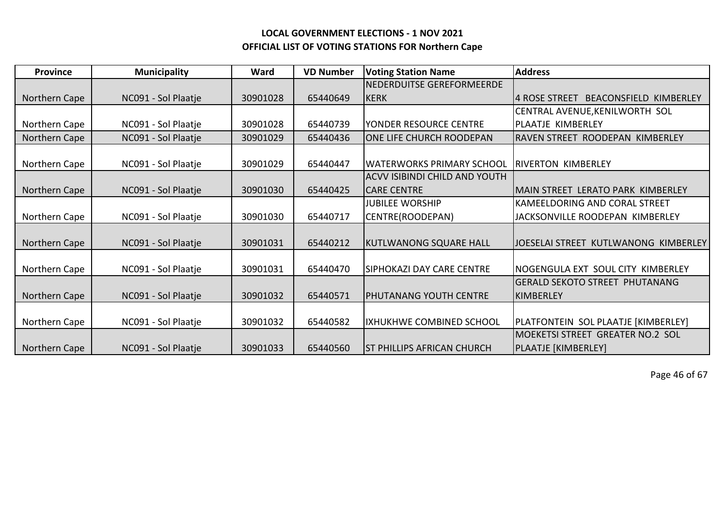| <b>Province</b> | <b>Municipality</b> | Ward     | <b>VD Number</b> | <b>Voting Station Name</b>           | <b>Address</b>                                  |
|-----------------|---------------------|----------|------------------|--------------------------------------|-------------------------------------------------|
|                 |                     |          |                  | NEDERDUITSE GEREFORMEERDE            |                                                 |
| Northern Cape   | NC091 - Sol Plaatje | 30901028 | 65440649         | <b>KERK</b>                          | <b>BEACONSFIELD KIMBERLEY</b><br>14 ROSE STREET |
|                 |                     |          |                  |                                      | CENTRAL AVENUE, KENILWORTH SOL                  |
| Northern Cape   | NC091 - Sol Plaatje | 30901028 | 65440739         | YONDER RESOURCE CENTRE               | PLAATJE KIMBERLEY                               |
| Northern Cape   | NC091 - Sol Plaatje | 30901029 | 65440436         | ONE LIFE CHURCH ROODEPAN             | RAVEN STREET ROODEPAN KIMBERLEY                 |
|                 |                     |          |                  |                                      |                                                 |
| Northern Cape   | NC091 - Sol Plaatje | 30901029 | 65440447         | <b>WATERWORKS PRIMARY SCHOOL</b>     | <b>IRIVERTON KIMBERLEY</b>                      |
|                 |                     |          |                  | <b>ACVV ISIBINDI CHILD AND YOUTH</b> |                                                 |
| Northern Cape   | NC091 - Sol Plaatje | 30901030 | 65440425         | <b>CARE CENTRE</b>                   | IMAIN STREET LERATO PARK KIMBERLEY              |
|                 |                     |          |                  | <b>JUBILEE WORSHIP</b>               | <b>KAMEELDORING AND CORAL STREET</b>            |
| Northern Cape   | NC091 - Sol Plaatje | 30901030 | 65440717         | CENTRE(ROODEPAN)                     | JACKSONVILLE ROODEPAN KIMBERLEY                 |
|                 |                     |          |                  |                                      |                                                 |
| Northern Cape   | NC091 - Sol Plaatje | 30901031 | 65440212         | <b>KUTLWANONG SQUARE HALL</b>        | JOESELAI STREET KUTLWANONG KIMBERLEY            |
|                 |                     |          |                  |                                      |                                                 |
| Northern Cape   | NC091 - Sol Plaatje | 30901031 | 65440470         | <b>SIPHOKAZI DAY CARE CENTRE</b>     | INOGENGULA EXT SOUL CITY KIMBERLEY              |
|                 |                     |          |                  |                                      | <b>GERALD SEKOTO STREET PHUTANANG</b>           |
| Northern Cape   | NC091 - Sol Plaatje | 30901032 | 65440571         | PHUTANANG YOUTH CENTRE               | IKIMBERLEY                                      |
|                 |                     |          |                  |                                      |                                                 |
| Northern Cape   | NC091 - Sol Plaatje | 30901032 | 65440582         | IXHUKHWE COMBINED SCHOOL             | PLATFONTEIN SOL PLAATJE [KIMBERLEY]             |
|                 |                     |          |                  |                                      | MOEKETSI STREET GREATER NO.2 SOL                |
| Northern Cape   | NC091 - Sol Plaatje | 30901033 | 65440560         | <b>ST PHILLIPS AFRICAN CHURCH</b>    | PLAATJE [KIMBERLEY]                             |

Page 46 of 67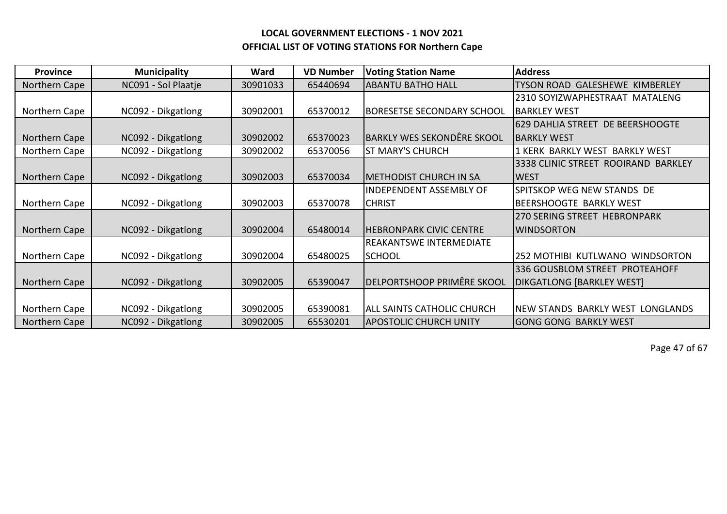| <b>Province</b> | <b>Municipality</b> | Ward     | <b>VD Number</b> | <b>Voting Station Name</b>        | <b>Address</b>                         |
|-----------------|---------------------|----------|------------------|-----------------------------------|----------------------------------------|
| Northern Cape   | NC091 - Sol Plaatje | 30901033 | 65440694         | IABANTU BATHO HALL                | TYSON ROAD GALESHEWE KIMBERLEY         |
|                 |                     |          |                  |                                   | 2310 SOYIZWAPHESTRAAT MATALENG         |
| Northern Cape   | NC092 - Dikgatlong  | 30902001 | 65370012         | BORESETSE SECONDARY SCHOOL        | <b>BARKLEY WEST</b>                    |
|                 |                     |          |                  |                                   | 629 DAHLIA STREET DE BEERSHOOGTE       |
| Northern Cape   | NC092 - Dikgatlong  | 30902002 | 65370023         | <b>BARKLY WES SEKONDÊRE SKOOL</b> | IBARKLY WEST                           |
| Northern Cape   | NC092 - Dikgatlong  | 30902002 | 65370056         | <b>ST MARY'S CHURCH</b>           | KERK BARKLY WEST<br><b>BARKLY WEST</b> |
|                 |                     |          |                  |                                   | 3338 CLINIC STREET ROOIRAND BARKLEY    |
| Northern Cape   | NC092 - Dikgatlong  | 30902003 | 65370034         | <b>METHODIST CHURCH IN SA</b>     | <b>WEST</b>                            |
|                 |                     |          |                  | <b>INDEPENDENT ASSEMBLY OF</b>    | SPITSKOP WEG NEW STANDS DE             |
| Northern Cape   | NC092 - Dikgatlong  | 30902003 | 65370078         | <b>CHRIST</b>                     | BEERSHOOGTE BARKLY WEST                |
|                 |                     |          |                  |                                   | <b>270 SERING STREET HEBRONPARK</b>    |
| Northern Cape   | NC092 - Dikgatlong  | 30902004 | 65480014         | <b>HEBRONPARK CIVIC CENTRE</b>    | <b>WINDSORTON</b>                      |
|                 |                     |          |                  | <b>REAKANTSWE INTERMEDIATE</b>    |                                        |
| Northern Cape   | NC092 - Dikgatlong  | 30902004 | 65480025         | <b>SCHOOL</b>                     | 252 MOTHIBI KUTLWANO WINDSORTON        |
|                 |                     |          |                  |                                   | 336 GOUSBLOM STREET PROTEAHOFF         |
| Northern Cape   | NC092 - Dikgatlong  | 30902005 | 65390047         | DELPORTSHOOP PRIMÊRE SKOOL        | <b>DIKGATLONG [BARKLEY WEST]</b>       |
|                 |                     |          |                  |                                   |                                        |
| Northern Cape   | NC092 - Dikgatlong  | 30902005 | 65390081         | ALL SAINTS CATHOLIC CHURCH        | NEW STANDS BARKLY WEST LONGLANDS       |
| Northern Cape   | NC092 - Dikgatlong  | 30902005 | 65530201         | APOSTOLIC CHURCH UNITY            | <b>GONG GONG BARKLY WEST</b>           |

Page 47 of 67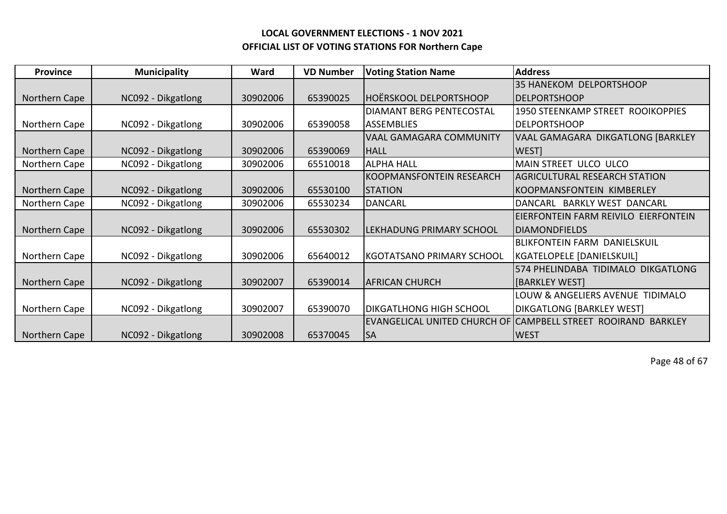| <b>Province</b> | <b>Municipality</b> | Ward     | <b>VD Number</b> | <b>Voting Station Name</b>       | <b>Address</b>                                                |
|-----------------|---------------------|----------|------------------|----------------------------------|---------------------------------------------------------------|
|                 |                     |          |                  |                                  | 35 HANEKOM DELPORTSHOOP                                       |
| Northern Cape   | NC092 - Dikgatlong  | 30902006 | 65390025         | <b>HOËRSKOOL DELPORTSHOOP</b>    | <b>DELPORTSHOOP</b>                                           |
|                 |                     |          |                  | <b>DIAMANT BERG PENTECOSTAL</b>  | 1950 STEENKAMP STREET ROOIKOPPIES                             |
| Northern Cape   | NC092 - Dikgatlong  | 30902006 | 65390058         | IASSEMBLIES                      | <b>DELPORTSHOOP</b>                                           |
|                 |                     |          |                  | <b>VAAL GAMAGARA COMMUNITY</b>   | <b>VAAL GAMAGARA DIKGATLONG [BARKLEY</b>                      |
| Northern Cape   | NC092 - Dikgatlong  | 30902006 | 65390069         | <b>IHALL</b>                     | WEST]                                                         |
| Northern Cape   | NC092 - Dikgatlong  | 30902006 | 65510018         | <b>ALPHA HALL</b>                | MAIN STREET ULCO ULCO                                         |
|                 |                     |          |                  | KOOPMANSFONTEIN RESEARCH         | <b>AGRICULTURAL RESEARCH STATION</b>                          |
| Northern Cape   | NC092 - Dikgatlong  | 30902006 | 65530100         | <b>STATION</b>                   | KOOPMANSFONTEIN KIMBERLEY                                     |
| Northern Cape   | NC092 - Dikgatlong  | 30902006 | 65530234         | <b>DANCARL</b>                   | DANCARL BARKLY WEST DANCARL                                   |
|                 |                     |          |                  |                                  | EIERFONTEIN FARM REIVILO EIERFONTEIN                          |
| Northern Cape   | NC092 - Dikgatlong  | 30902006 | 65530302         | LEKHADUNG PRIMARY SCHOOL         | IDIAMONDFIELDS                                                |
|                 |                     |          |                  |                                  | <b>BLIKFONTEIN FARM DANIELSKUIL</b>                           |
| Northern Cape   | NC092 - Dikgatlong  | 30902006 | 65640012         | <b>KGOTATSANO PRIMARY SCHOOL</b> | KGATELOPELE [DANIELSKUIL]                                     |
|                 |                     |          |                  |                                  | 574 PHELINDABA TIDIMALO DIKGATLONG                            |
| Northern Cape   | NC092 - Dikgatlong  | 30902007 | 65390014         | <b>AFRICAN CHURCH</b>            | <b>[BARKLEY WEST]</b>                                         |
|                 |                     |          |                  |                                  | LOUW & ANGELIERS AVENUE TIDIMALO                              |
| Northern Cape   | NC092 - Dikgatlong  | 30902007 | 65390070         | <b>DIKGATLHONG HIGH SCHOOL</b>   | <b>DIKGATLONG [BARKLEY WEST]</b>                              |
|                 |                     |          |                  |                                  | EVANGELICAL UNITED CHURCH OF CAMPBELL STREET ROOIRAND BARKLEY |
| Northern Cape   | NC092 - Dikgatlong  | 30902008 | 65370045         | <b>SA</b>                        | <b>WEST</b>                                                   |

Page 48 of 67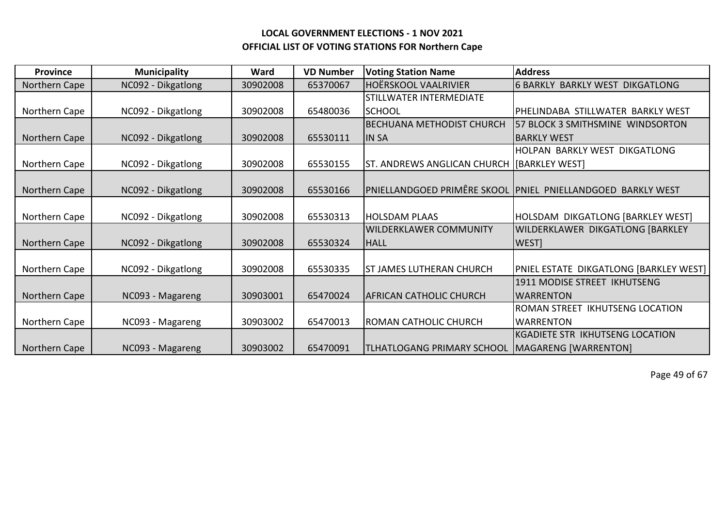| <b>Province</b> | <b>Municipality</b> | Ward     | <b>VD Number</b> | <b>Voting Station Name</b>                   | <b>Address</b>                                               |
|-----------------|---------------------|----------|------------------|----------------------------------------------|--------------------------------------------------------------|
| Northern Cape   | NC092 - Dikgatlong  | 30902008 | 65370067         | <b>HOËRSKOOL VAALRIVIER</b>                  | <b>6 BARKLY</b><br><b>BARKLY WEST DIKGATLONG</b>             |
|                 |                     |          |                  | <b>STILLWATER INTERMEDIATE</b>               |                                                              |
| Northern Cape   | NC092 - Dikgatlong  | 30902008 | 65480036         | ISCHOOL                                      | IPHELINDABA STILLWATER BARKLY WEST                           |
|                 |                     |          |                  | <b>BECHUANA METHODIST CHURCH</b>             | 57 BLOCK 3 SMITHSMINE WINDSORTON                             |
| Northern Cape   | NC092 - Dikgatlong  | 30902008 | 65530111         | <b>IN SA</b>                                 | IBARKLY WEST                                                 |
|                 |                     |          |                  |                                              | HOLPAN BARKLY WEST DIKGATLONG                                |
| Northern Cape   | NC092 - Dikgatlong  | 30902008 | 65530155         | ST. ANDREWS ANGLICAN CHURCH   [BARKLEY WEST] |                                                              |
|                 |                     |          |                  |                                              |                                                              |
| Northern Cape   | NC092 - Dikgatlong  | 30902008 | 65530166         |                                              | PNIELLANDGOED PRIMÊRE SKOOL  PNIEL_PNIELLANDGOED_BARKLY WEST |
|                 |                     |          |                  |                                              |                                                              |
| Northern Cape   | NC092 - Dikgatlong  | 30902008 | 65530313         | HOLSDAM PLAAS                                | HOLSDAM DIKGATLONG [BARKLEY WEST]                            |
|                 |                     |          |                  | <b>WILDERKLAWER COMMUNITY</b>                | <b>WILDERKLAWER DIKGATLONG [BARKLEY</b>                      |
| Northern Cape   | NC092 - Dikgatlong  | 30902008 | 65530324         | <b>HALL</b>                                  | WEST]                                                        |
|                 |                     |          |                  |                                              |                                                              |
| Northern Cape   | NC092 - Dikgatlong  | 30902008 | 65530335         | <b>ST JAMES LUTHERAN CHURCH</b>              | PNIEL ESTATE DIKGATLONG [BARKLEY WEST]                       |
|                 |                     |          |                  |                                              | 1911 MODISE STREET IKHUTSENG                                 |
| Northern Cape   | NC093 - Magareng    | 30903001 | 65470024         | <b>AFRICAN CATHOLIC CHURCH</b>               | IWARRENTON                                                   |
|                 |                     |          |                  |                                              | <b>IKHUTSENG LOCATION</b><br><b>ROMAN STREET</b>             |
| Northern Cape   | NC093 - Magareng    | 30903002 | 65470013         | ROMAN CATHOLIC CHURCH                        | <b>WARRENTON</b>                                             |
|                 |                     |          |                  |                                              | <b>KGADIETE STR IKHUTSENG LOCATION</b>                       |
| Northern Cape   | NC093 - Magareng    | 30903002 | 65470091         | TLHATLOGANG PRIMARY SCHOOL                   | MAGARENG [WARRENTON]                                         |

Page 49 of 67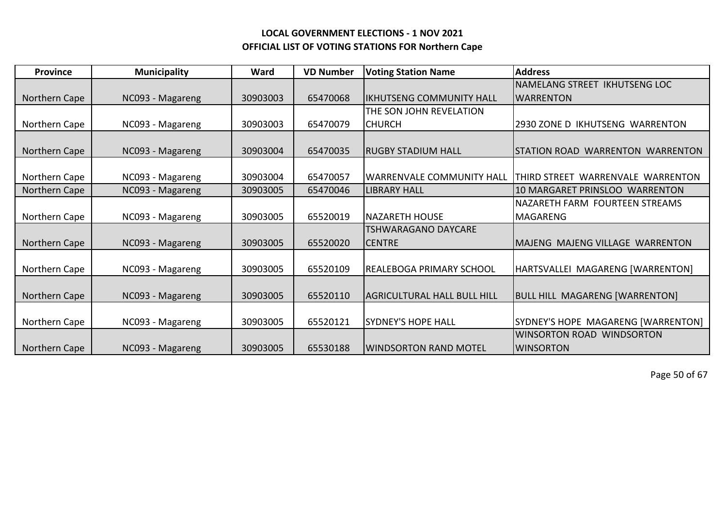| <b>Province</b> | <b>Municipality</b> | Ward     | <b>VD Number</b> | <b>Voting Station Name</b>          | <b>Address</b>                        |
|-----------------|---------------------|----------|------------------|-------------------------------------|---------------------------------------|
|                 |                     |          |                  |                                     | NAMELANG STREET IKHUTSENG LOC         |
| Northern Cape   | NC093 - Magareng    | 30903003 | 65470068         | lIKHUTSENG COMMUNITY HALL           | <b>WARRENTON</b>                      |
|                 |                     |          |                  | THE SON JOHN REVELATION             |                                       |
| Northern Cape   | NC093 - Magareng    | 30903003 | 65470079         | ICHURCH                             | 2930 ZONE D IKHUTSENG WARRENTON       |
|                 |                     |          |                  |                                     |                                       |
| Northern Cape   | NC093 - Magareng    | 30903004 | 65470035         | <b>RUGBY STADIUM HALL</b>           | ISTATION ROAD WARRENTON WARRENTON     |
|                 |                     |          |                  |                                     |                                       |
| Northern Cape   | NC093 - Magareng    | 30903004 | 65470057         | <b>WARRENVALE COMMUNITY HALL</b>    | THIRD STREET WARRENVALE WARRENTON     |
| Northern Cape   | NC093 - Magareng    | 30903005 | 65470046         | <b>LIBRARY HALL</b>                 | 110 MARGARET PRINSLOO WARRENTON       |
|                 |                     |          |                  |                                     | NAZARETH FARM FOURTEEN STREAMS        |
| Northern Cape   | NC093 - Magareng    | 30903005 | 65520019         | <b>NAZARETH HOUSE</b>               | <b>MAGARENG</b>                       |
|                 |                     |          |                  | TSHWARAGANO DAYCARE                 |                                       |
| Northern Cape   | NC093 - Magareng    | 30903005 | 65520020         | <b>CENTRE</b>                       | MAJENG MAJENG VILLAGE WARRENTON       |
|                 |                     |          |                  |                                     |                                       |
| Northern Cape   | NC093 - Magareng    | 30903005 | 65520109         | IREALEBOGA PRIMARY SCHOOL           | HARTSVALLEI MAGARENG [WARRENTON]      |
|                 |                     |          |                  |                                     |                                       |
| Northern Cape   | NC093 - Magareng    | 30903005 | 65520110         | <b>IAGRICULTURAL HALL BULL HILL</b> | <b>BULL HILL MAGARENG [WARRENTON]</b> |
|                 |                     |          |                  |                                     |                                       |
| Northern Cape   | NC093 - Magareng    | 30903005 | 65520121         | <b>SYDNEY'S HOPE HALL</b>           | SYDNEY'S HOPE MAGARENG [WARRENTON]    |
|                 |                     |          |                  |                                     | <b>WINSORTON ROAD WINDSORTON</b>      |
| Northern Cape   | NC093 - Magareng    | 30903005 | 65530188         | WINDSORTON RAND MOTEL               | <b>WINSORTON</b>                      |

Page 50 of 67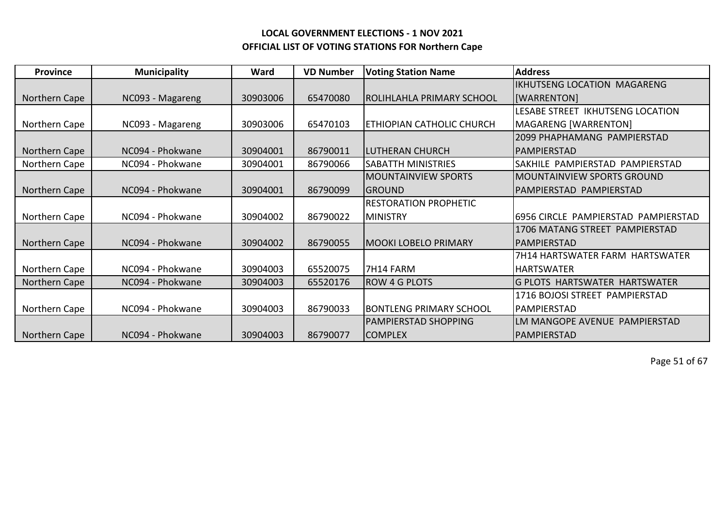| <b>Province</b> | <b>Municipality</b> | Ward     | <b>VD Number</b> | <b>Voting Station Name</b>     | <b>Address</b>                       |
|-----------------|---------------------|----------|------------------|--------------------------------|--------------------------------------|
|                 |                     |          |                  |                                | IKHUTSENG LOCATION MAGARENG          |
| Northern Cape   | NC093 - Magareng    | 30903006 | 65470080         | ROLIHLAHLA PRIMARY SCHOOL      | [WARRENTON]                          |
|                 |                     |          |                  |                                | LESABE STREET IKHUTSENG LOCATION     |
| Northern Cape   | NC093 - Magareng    | 30903006 | 65470103         | ETHIOPIAN CATHOLIC CHURCH      | MAGARENG [WARRENTON]                 |
|                 |                     |          |                  |                                | 2099 PHAPHAMANG PAMPIERSTAD          |
| Northern Cape   | NC094 - Phokwane    | 30904001 | 86790011         | <b>LUTHERAN CHURCH</b>         | <b>PAMPIERSTAD</b>                   |
| Northern Cape   | NC094 - Phokwane    | 30904001 | 86790066         | <b>SABATTH MINISTRIES</b>      | SAKHILE PAMPIERSTAD PAMPIERSTAD      |
|                 |                     |          |                  | <b>MOUNTAINVIEW SPORTS</b>     | <b>MOUNTAINVIEW SPORTS GROUND</b>    |
| Northern Cape   | NC094 - Phokwane    | 30904001 | 86790099         | <b>GROUND</b>                  | PAMPIERSTAD PAMPIERSTAD              |
|                 |                     |          |                  | <b>RESTORATION PROPHETIC</b>   |                                      |
| Northern Cape   | NC094 - Phokwane    | 30904002 | 86790022         | <b>MINISTRY</b>                | 6956 CIRCLE PAMPIERSTAD PAMPIERSTAD  |
|                 |                     |          |                  |                                | 1706 MATANG STREET PAMPIERSTAD       |
| Northern Cape   | NC094 - Phokwane    | 30904002 | 86790055         | <b>MOOKI LOBELO PRIMARY</b>    | IPAMPIERSTAD                         |
|                 |                     |          |                  |                                | 7H14 HARTSWATER FARM HARTSWATER      |
| Northern Cape   | NC094 - Phokwane    | 30904003 | 65520075         | 7H14 FARM                      | <b>HARTSWATER</b>                    |
| Northern Cape   | NC094 - Phokwane    | 30904003 | 65520176         | <b>ROW 4 G PLOTS</b>           | <b>G PLOTS HARTSWATER HARTSWATER</b> |
|                 |                     |          |                  |                                | 1716 BOJOSI STREET PAMPIERSTAD       |
| Northern Cape   | NC094 - Phokwane    | 30904003 | 86790033         | <b>BONTLENG PRIMARY SCHOOL</b> | PAMPIERSTAD                          |
|                 |                     |          |                  | <b>PAMPIERSTAD SHOPPING</b>    | LM MANGOPE AVENUE PAMPIERSTAD        |
| Northern Cape   | NC094 - Phokwane    | 30904003 | 86790077         | <b>COMPLEX</b>                 | PAMPIERSTAD                          |

Page 51 of 67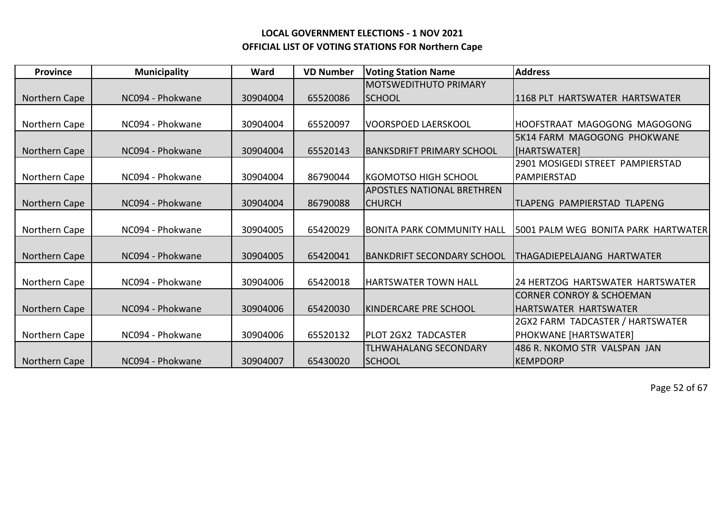| <b>Province</b> | <b>Municipality</b> | Ward     | <b>VD Number</b> | <b>Voting Station Name</b>        | <b>Address</b>                       |
|-----------------|---------------------|----------|------------------|-----------------------------------|--------------------------------------|
|                 |                     |          |                  | <b>MOTSWEDITHUTO PRIMARY</b>      |                                      |
| Northern Cape   | NC094 - Phokwane    | 30904004 | 65520086         | <b>ISCHOOL</b>                    | 11168 PLT HARTSWATER HARTSWATER      |
|                 |                     |          |                  |                                   |                                      |
| Northern Cape   | NC094 - Phokwane    | 30904004 | 65520097         | <b>VOORSPOED LAERSKOOL</b>        | HOOFSTRAAT MAGOGONG MAGOGONG         |
|                 |                     |          |                  |                                   | 5K14 FARM MAGOGONG PHOKWANE          |
| Northern Cape   | NC094 - Phokwane    | 30904004 | 65520143         | <b>BANKSDRIFT PRIMARY SCHOOL</b>  | [HARTSWATER]                         |
|                 |                     |          |                  |                                   | 2901 MOSIGEDI STREET PAMPIERSTAD     |
| Northern Cape   | NC094 - Phokwane    | 30904004 | 86790044         | lkgomotso high school             | <b>PAMPIERSTAD</b>                   |
|                 |                     |          |                  | <b>APOSTLES NATIONAL BRETHREN</b> |                                      |
| Northern Cape   | NC094 - Phokwane    | 30904004 | 86790088         | <b>CHURCH</b>                     | ITLAPENG PAMPIERSTAD TLAPENG         |
|                 |                     |          |                  |                                   |                                      |
| Northern Cape   | NC094 - Phokwane    | 30904005 | 65420029         | IBONITA PARK COMMUNITY HALL       | 15001 PALM WEG BONITA PARK HARTWATER |
|                 |                     |          |                  |                                   |                                      |
| Northern Cape   | NC094 - Phokwane    | 30904005 | 65420041         | <b>BANKDRIFT SECONDARY SCHOOL</b> | THAGADIEPELAJANG HARTWATER           |
|                 |                     |          |                  |                                   |                                      |
| Northern Cape   | NC094 - Phokwane    | 30904006 | 65420018         | <b>HARTSWATER TOWN HALL</b>       | 24 HERTZOG HARTSWATER HARTSWATER     |
|                 |                     |          |                  |                                   | <b>CORNER CONROY &amp; SCHOEMAN</b>  |
| Northern Cape   | NC094 - Phokwane    | 30904006 | 65420030         | KINDERCARE PRE SCHOOL             | <b>HARTSWATER HARTSWATER</b>         |
|                 |                     |          |                  |                                   | 2GX2 FARM TADCASTER / HARTSWATER     |
| Northern Cape   | NC094 - Phokwane    | 30904006 | 65520132         | PLOT 2GX2 TADCASTER               | PHOKWANE [HARTSWATER]                |
|                 |                     |          |                  | <b>TLHWAHALANG SECONDARY</b>      | 486 R. NKOMO STR VALSPAN JAN         |
| Northern Cape   | NC094 - Phokwane    | 30904007 | 65430020         | <b>SCHOOL</b>                     | <b>IKEMPDORP</b>                     |

Page 52 of 67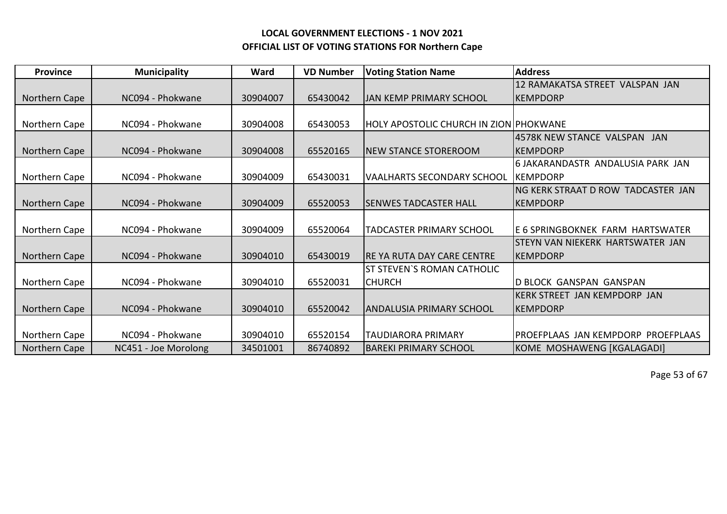| <b>Province</b> | <b>Municipality</b>  | Ward     | <b>VD Number</b> | <b>Voting Station Name</b>                    | <b>Address</b>                     |
|-----------------|----------------------|----------|------------------|-----------------------------------------------|------------------------------------|
|                 |                      |          |                  |                                               | 12 RAMAKATSA STREET VALSPAN JAN    |
| Northern Cape   | NC094 - Phokwane     | 30904007 | 65430042         | <b>JAN KEMP PRIMARY SCHOOL</b>                | KEMPDORP                           |
|                 |                      |          |                  |                                               |                                    |
| Northern Cape   | NC094 - Phokwane     | 30904008 | 65430053         | <b>HOLY APOSTOLIC CHURCH IN ZION PHOKWANE</b> |                                    |
|                 |                      |          |                  |                                               | 4578K NEW STANCE VALSPAN JAN       |
| Northern Cape   | NC094 - Phokwane     | 30904008 | 65520165         | <b>NEW STANCE STOREROOM</b>                   | <b>IKEMPDORP</b>                   |
|                 |                      |          |                  |                                               | 6 JAKARANDASTR ANDALUSIA PARK JAN  |
| Northern Cape   | NC094 - Phokwane     | 30904009 | 65430031         | <b>VAALHARTS SECONDARY SCHOOL</b>             | <b>IKEMPDORP</b>                   |
|                 |                      |          |                  |                                               | NG KERK STRAAT D ROW TADCASTER JAN |
| Northern Cape   | NC094 - Phokwane     | 30904009 | 65520053         | <b>SENWES TADCASTER HALL</b>                  | <b>KEMPDORP</b>                    |
|                 |                      |          |                  |                                               |                                    |
| Northern Cape   | NC094 - Phokwane     | 30904009 | 65520064         | <b>TADCASTER PRIMARY SCHOOL</b>               | IE 6 SPRINGBOKNEK FARM HARTSWATER  |
|                 |                      |          |                  |                                               | STEYN VAN NIEKERK HARTSWATER JAN   |
| Northern Cape   | NC094 - Phokwane     | 30904010 | 65430019         | <b>RE YA RUTA DAY CARE CENTRE</b>             | KEMPDORP                           |
|                 |                      |          |                  | <b>ST STEVEN'S ROMAN CATHOLIC</b>             |                                    |
| Northern Cape   | NC094 - Phokwane     | 30904010 | 65520031         | <b>CHURCH</b>                                 | <b>D BLOCK GANSPAN GANSPAN</b>     |
|                 |                      |          |                  |                                               | KERK STREET JAN KEMPDORP JAN       |
| Northern Cape   | NC094 - Phokwane     | 30904010 | 65520042         | ANDALUSIA PRIMARY SCHOOL                      | KEMPDORP                           |
|                 |                      |          |                  |                                               |                                    |
| Northern Cape   | NC094 - Phokwane     | 30904010 | 65520154         | <b>TAUDIARORA PRIMARY</b>                     | PROEFPLAAS JAN KEMPDORP PROEFPLAAS |
| Northern Cape   | NC451 - Joe Morolong | 34501001 | 86740892         | IBAREKI PRIMARY SCHOOL                        | KOME MOSHAWENG [KGALAGADI]         |

Page 53 of 67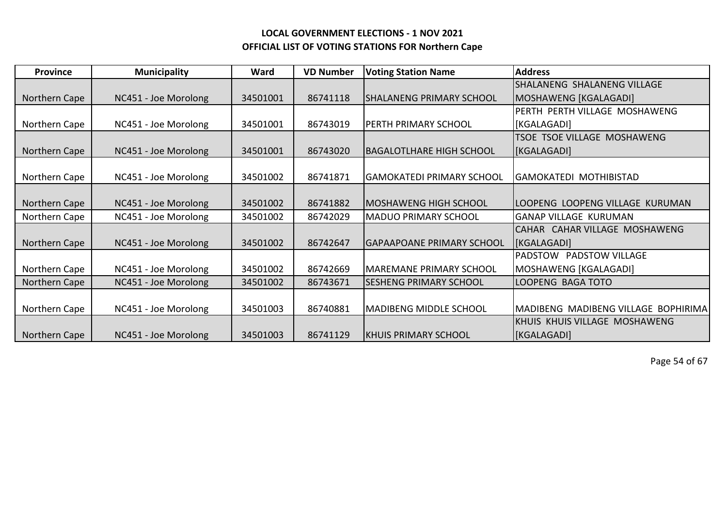| <b>Province</b> | <b>Municipality</b>  | Ward     | <b>VD Number</b> | <b>Voting Station Name</b>       | <b>Address</b>                      |
|-----------------|----------------------|----------|------------------|----------------------------------|-------------------------------------|
|                 |                      |          |                  |                                  | SHALANENG SHALANENG VILLAGE         |
| Northern Cape   | NC451 - Joe Morolong | 34501001 | 86741118         | <b>SHALANENG PRIMARY SCHOOL</b>  | MOSHAWENG [KGALAGADI]               |
|                 |                      |          |                  |                                  | PERTH PERTH VILLAGE MOSHAWENG       |
| Northern Cape   | NC451 - Joe Morolong | 34501001 | 86743019         | <b>PERTH PRIMARY SCHOOL</b>      | [KGALAGADI]                         |
|                 |                      |          |                  |                                  | <b>TSOE TSOE VILLAGE MOSHAWENG</b>  |
| Northern Cape   | NC451 - Joe Morolong | 34501001 | 86743020         | <b>BAGALOTLHARE HIGH SCHOOL</b>  | <b>KGALAGADI</b>                    |
|                 |                      |          |                  |                                  |                                     |
| Northern Cape   | NC451 - Joe Morolong | 34501002 | 86741871         | <b>GAMOKATEDI PRIMARY SCHOOL</b> | <b>GAMOKATEDI MOTHIBISTAD</b>       |
|                 |                      |          |                  |                                  |                                     |
| Northern Cape   | NC451 - Joe Morolong | 34501002 | 86741882         | IMOSHAWENG HIGH SCHOOL           | LOOPENG LOOPENG VILLAGE KURUMAN     |
| Northern Cape   | NC451 - Joe Morolong | 34501002 | 86742029         | <b>MADUO PRIMARY SCHOOL</b>      | <b>GANAP VILLAGE KURUMAN</b>        |
|                 |                      |          |                  |                                  | CAHAR CAHAR VILLAGE MOSHAWENG       |
| Northern Cape   | NC451 - Joe Morolong | 34501002 | 86742647         | <b>GAPAAPOANE PRIMARY SCHOOL</b> | <b>KGALAGADI</b>                    |
|                 |                      |          |                  |                                  | PADSTOW PADSTOW VILLAGE             |
| Northern Cape   | NC451 - Joe Morolong | 34501002 | 86742669         | MAREMANE PRIMARY SCHOOL          | MOSHAWENG [KGALAGADI]               |
| Northern Cape   | NC451 - Joe Morolong | 34501002 | 86743671         | <b>SESHENG PRIMARY SCHOOL</b>    | LOOPENG BAGA TOTO                   |
|                 |                      |          |                  |                                  |                                     |
| Northern Cape   | NC451 - Joe Morolong | 34501003 | 86740881         | <b>MADIBENG MIDDLE SCHOOL</b>    | MADIBENG MADIBENG VILLAGE BOPHIRIMA |
|                 |                      |          |                  |                                  | KHUIS KHUIS VILLAGE MOSHAWENG       |
| Northern Cape   | NC451 - Joe Morolong | 34501003 | 86741129         | KHUIS PRIMARY SCHOOL             | [KGALAGADI]                         |

Page 54 of 67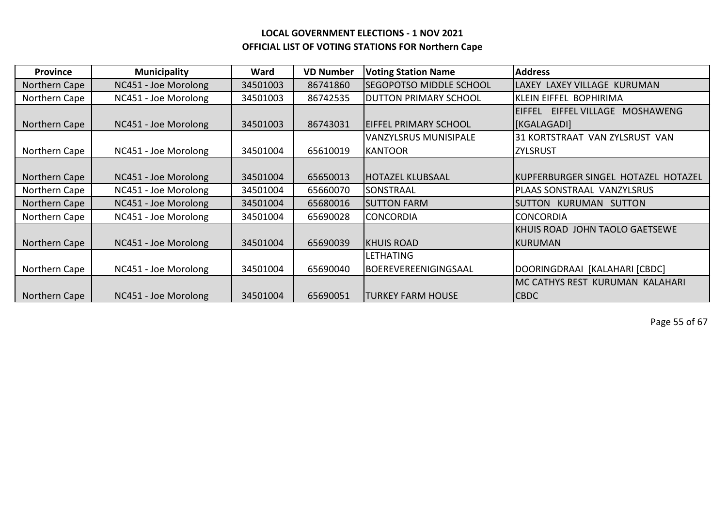| <b>Province</b> | <b>Municipality</b>  | Ward     | <b>VD Number</b> | <b>Voting Station Name</b>     | <b>Address</b>                                             |
|-----------------|----------------------|----------|------------------|--------------------------------|------------------------------------------------------------|
| Northern Cape   | NC451 - Joe Morolong | 34501003 | 86741860         | <b>SEGOPOTSO MIDDLE SCHOOL</b> | LAXEY LAXEY VILLAGE KURUMAN                                |
| Northern Cape   | NC451 - Joe Morolong | 34501003 | 86742535         | <b>DUTTON PRIMARY SCHOOL</b>   | KLEIN EIFFEL BOPHIRIMA                                     |
|                 |                      |          |                  |                                | <b>EIFFEL VILLAGE</b><br><b>MOSHAWENG</b><br><b>EIFFEL</b> |
| Northern Cape   | NC451 - Joe Morolong | 34501003 | 86743031         | <b>EIFFEL PRIMARY SCHOOL</b>   | <b>KGALAGADI</b>                                           |
|                 |                      |          |                  | <b>VANZYLSRUS MUNISIPALE</b>   | 31 KORTSTRAAT VAN ZYLSRUST VAN                             |
| Northern Cape   | NC451 - Joe Morolong | 34501004 | 65610019         | <b>KANTOOR</b>                 | <b>ZYLSRUST</b>                                            |
|                 |                      |          |                  |                                |                                                            |
| Northern Cape   | NC451 - Joe Morolong | 34501004 | 65650013         | <b>HOTAZEL KLUBSAAL</b>        | IKUPFERBURGER SINGEL HOTAZEL HOTAZEL                       |
| Northern Cape   | NC451 - Joe Morolong | 34501004 | 65660070         | SONSTRAAL                      | PLAAS SONSTRAAL VANZYLSRUS                                 |
| Northern Cape   | NC451 - Joe Morolong | 34501004 | 65680016         | <b>SUTTON FARM</b>             | KURUMAN SUTTON<br><b>SUTTON</b>                            |
| Northern Cape   | NC451 - Joe Morolong | 34501004 | 65690028         | <b>CONCORDIA</b>               | <b>CONCORDIA</b>                                           |
|                 |                      |          |                  |                                | KHUIS ROAD JOHN TAOLO GAETSEWE                             |
| Northern Cape   | NC451 - Joe Morolong | 34501004 | 65690039         | IKHUIS ROAD                    | IKURUMAN                                                   |
|                 |                      |          |                  | <b>LETHATING</b>               |                                                            |
| Northern Cape   | NC451 - Joe Morolong | 34501004 | 65690040         | BOEREVEREENIGINGSAAL           | DOORINGDRAAI [KALAHARI [CBDC]                              |
|                 |                      |          |                  |                                | MC CATHYS REST KURUMAN KALAHARI                            |
| Northern Cape   | NC451 - Joe Morolong | 34501004 | 65690051         | <b>TURKEY FARM HOUSE</b>       | <b>CBDC</b>                                                |

Page 55 of 67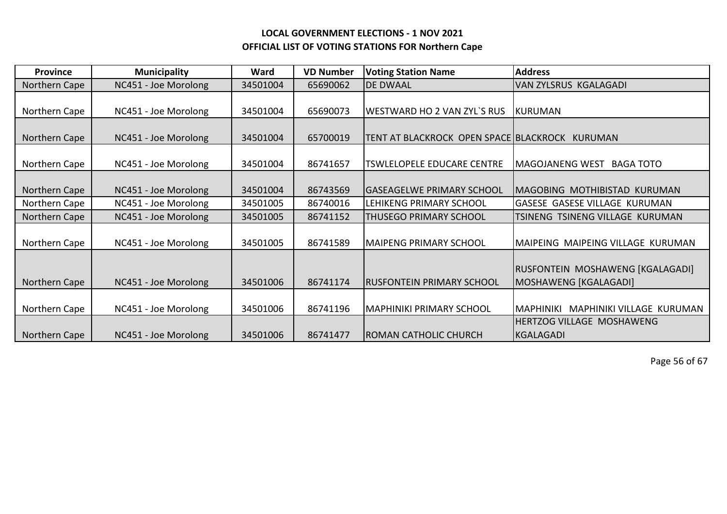| <b>Province</b> | <b>Municipality</b>  | Ward     | <b>VD Number</b> | <b>Voting Station Name</b>             | <b>Address</b>                                            |
|-----------------|----------------------|----------|------------------|----------------------------------------|-----------------------------------------------------------|
| Northern Cape   | NC451 - Joe Morolong | 34501004 | 65690062         | <b>DE DWAAL</b>                        | VAN ZYLSRUS KGALAGADI                                     |
| Northern Cape   | NC451 - Joe Morolong | 34501004 | 65690073         | <b>WESTWARD HO 2 VAN ZYL'S RUS</b>     | <b>KURUMAN</b>                                            |
| Northern Cape   | NC451 - Joe Morolong | 34501004 | 65700019         | TENT AT BLACKROCK OPEN SPACE BLACKROCK | KURUMAN                                                   |
| Northern Cape   | NC451 - Joe Morolong | 34501004 | 86741657         | <b>TSWLELOPELE EDUCARE CENTRE</b>      | <b>MAGOJANENG WEST</b><br><b>BAGA TOTO</b>                |
| Northern Cape   | NC451 - Joe Morolong | 34501004 | 86743569         | <b>GASEAGELWE PRIMARY SCHOOL</b>       | MAGOBING MOTHIBISTAD KURUMAN                              |
| Northern Cape   | NC451 - Joe Morolong | 34501005 | 86740016         | LEHIKENG PRIMARY SCHOOL                | <b>GASESE GASESE VILLAGE KURUMAN</b>                      |
| Northern Cape   | NC451 - Joe Morolong | 34501005 | 86741152         | <b>THUSEGO PRIMARY SCHOOL</b>          | TSINENG TSINENG VILLAGE KURUMAN                           |
| Northern Cape   | NC451 - Joe Morolong | 34501005 | 86741589         | <b>MAIPENG PRIMARY SCHOOL</b>          | MAIPEING MAIPEING VILLAGE KURUMAN                         |
| Northern Cape   | NC451 - Joe Morolong | 34501006 | 86741174         | <b>RUSFONTEIN PRIMARY SCHOOL</b>       | RUSFONTEIN MOSHAWENG [KGALAGADI]<br>MOSHAWENG [KGALAGADI] |
| Northern Cape   | NC451 - Joe Morolong | 34501006 | 86741196         | <b>MAPHINIKI PRIMARY SCHOOL</b>        | MAPHINIKI VILLAGE KURUMAN<br><b>MAPHINIKI</b>             |
| Northern Cape   | NC451 - Joe Morolong | 34501006 | 86741477         | <b>ROMAN CATHOLIC CHURCH</b>           | HERTZOG VILLAGE MOSHAWENG<br><b>KGALAGADI</b>             |

Page 56 of 67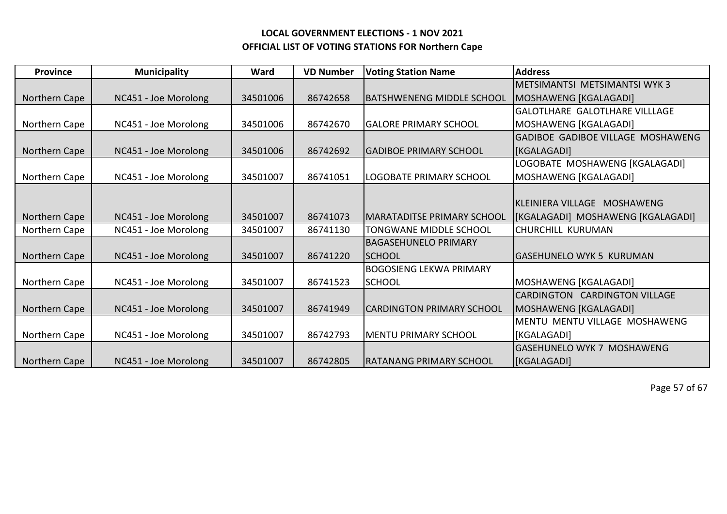| <b>Province</b> | <b>Municipality</b>  | Ward     | <b>VD Number</b> | <b>Voting Station Name</b>     | <b>Address</b>                           |
|-----------------|----------------------|----------|------------------|--------------------------------|------------------------------------------|
|                 |                      |          |                  |                                | <b>METSIMANTSI METSIMANTSI WYK3</b>      |
| Northern Cape   | NC451 - Joe Morolong | 34501006 | 86742658         | IBATSHWENENG MIDDLE SCHOOL     | MOSHAWENG [KGALAGADI]                    |
|                 |                      |          |                  |                                | <b>GALOTLHARE GALOTLHARE VILLLAGE</b>    |
| Northern Cape   | NC451 - Joe Morolong | 34501006 | 86742670         | <b>GALORE PRIMARY SCHOOL</b>   | MOSHAWENG [KGALAGADI]                    |
|                 |                      |          |                  |                                | <b>GADIBOE GADIBOE VILLAGE MOSHAWENG</b> |
| Northern Cape   | NC451 - Joe Morolong | 34501006 | 86742692         | IGADIBOE PRIMARY SCHOOL        | [KGALAGADI]                              |
|                 |                      |          |                  |                                | LOGOBATE MOSHAWENG [KGALAGADI]           |
| Northern Cape   | NC451 - Joe Morolong | 34501007 | 86741051         | LOGOBATE PRIMARY SCHOOL        | MOSHAWENG [KGALAGADI]                    |
|                 |                      |          |                  |                                |                                          |
|                 |                      |          |                  |                                | KLEINIERA VILLAGE MOSHAWENG              |
| Northern Cape   | NC451 - Joe Morolong | 34501007 | 86741073         | IMARATADITSE PRIMARY SCHOOL    | [KGALAGADI] MOSHAWENG [KGALAGADI]        |
| Northern Cape   | NC451 - Joe Morolong | 34501007 | 86741130         | <b>TONGWANE MIDDLE SCHOOL</b>  | <b>CHURCHILL KURUMAN</b>                 |
|                 |                      |          |                  | <b>BAGASEHUNELO PRIMARY</b>    |                                          |
| Northern Cape   | NC451 - Joe Morolong | 34501007 | 86741220         | ISCHOOL                        | <b>GASEHUNELO WYK 5 KURUMAN</b>          |
|                 |                      |          |                  | <b>BOGOSIENG LEKWA PRIMARY</b> |                                          |
| Northern Cape   | NC451 - Joe Morolong | 34501007 | 86741523         | <b>SCHOOL</b>                  | MOSHAWENG [KGALAGADI]                    |
|                 |                      |          |                  |                                | <b>CARDINGTON CARDINGTON VILLAGE</b>     |
| Northern Cape   | NC451 - Joe Morolong | 34501007 | 86741949         | ICARDINGTON PRIMARY SCHOOL     | MOSHAWENG [KGALAGADI]                    |
|                 |                      |          |                  |                                | MENTU MENTU VILLAGE MOSHAWENG            |
| Northern Cape   | NC451 - Joe Morolong | 34501007 | 86742793         | <b>MENTU PRIMARY SCHOOL</b>    | [KGALAGADI]                              |
|                 |                      |          |                  |                                | <b>GASEHUNELO WYK 7 MOSHAWENG</b>        |
| Northern Cape   | NC451 - Joe Morolong | 34501007 | 86742805         | IRATANANG PRIMARY SCHOOL       | <b>IKGALAGADI</b> I                      |

Page 57 of 67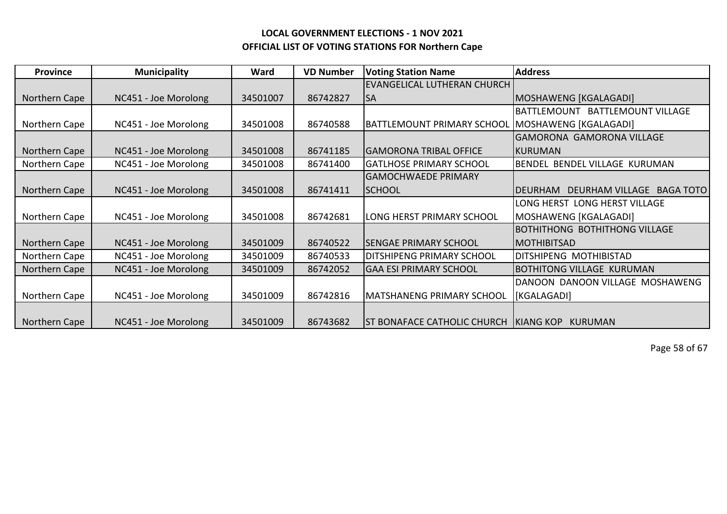| <b>Province</b> | <b>Municipality</b>  | Ward     | <b>VD Number</b> | <b>Voting Station Name</b>                       | <b>Address</b>                       |
|-----------------|----------------------|----------|------------------|--------------------------------------------------|--------------------------------------|
|                 |                      |          |                  | <b>EVANGELICAL LUTHERAN CHURCH</b>               |                                      |
| Northern Cape   | NC451 - Joe Morolong | 34501007 | 86742827         | <b>SA</b>                                        | MOSHAWENG [KGALAGADI]                |
|                 |                      |          |                  |                                                  | BATTLEMOUNT BATTLEMOUNT VILLAGE      |
| Northern Cape   | NC451 - Joe Morolong | 34501008 | 86740588         | BATTLEMOUNT PRIMARY SCHOOL MOSHAWENG [KGALAGADI] |                                      |
|                 |                      |          |                  |                                                  | <b>GAMORONA GAMORONA VILLAGE</b>     |
| Northern Cape   | NC451 - Joe Morolong | 34501008 | 86741185         | <b>GAMORONA TRIBAL OFFICE</b>                    | KURUMAN                              |
| Northern Cape   | NC451 - Joe Morolong | 34501008 | 86741400         | <b>GATLHOSE PRIMARY SCHOOL</b>                   | BENDEL BENDEL VILLAGE KURUMAN        |
|                 |                      |          |                  | <b>GAMOCHWAEDE PRIMARY</b>                       |                                      |
| Northern Cape   | NC451 - Joe Morolong | 34501008 | 86741411         | <b>SCHOOL</b>                                    | DEURHAM VILLAGE BAGA TOTO<br>DEURHAM |
|                 |                      |          |                  |                                                  | LONG HERST LONG HERST VILLAGE        |
| Northern Cape   | NC451 - Joe Morolong | 34501008 | 86742681         | LONG HERST PRIMARY SCHOOL                        | MOSHAWENG [KGALAGADI]                |
|                 |                      |          |                  |                                                  | <b>BOTHITHONG BOTHITHONG VILLAGE</b> |
| Northern Cape   | NC451 - Joe Morolong | 34501009 | 86740522         | <b>SENGAE PRIMARY SCHOOL</b>                     | <b>IMOTHIBITSAD</b>                  |
| Northern Cape   | NC451 - Joe Morolong | 34501009 | 86740533         | <b>DITSHIPENG PRIMARY SCHOOL</b>                 | DITSHIPENG MOTHIBISTAD               |
| Northern Cape   | NC451 - Joe Morolong | 34501009 | 86742052         | <b>GAA ESI PRIMARY SCHOOL</b>                    | BOTHITONG VILLAGE KURUMAN            |
|                 |                      |          |                  |                                                  | DANOON DANOON VILLAGE MOSHAWENG      |
| Northern Cape   | NC451 - Joe Morolong | 34501009 | 86742816         | IMATSHANENG PRIMARY SCHOOL                       | [KGALAGADI]                          |
|                 |                      |          |                  |                                                  |                                      |
| Northern Cape   | NC451 - Joe Morolong | 34501009 | 86743682         | <b>ST BONAFACE CATHOLIC CHURCH</b>               | <b>KIANG KOP</b><br><b>KURUMAN</b>   |

Page 58 of 67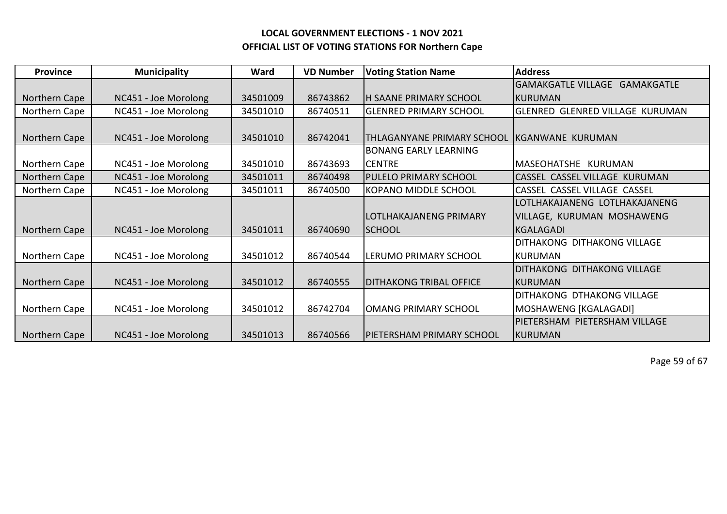| <b>Province</b> | <b>Municipality</b>  | Ward     | <b>VD Number</b> | <b>Voting Station Name</b>        | <b>Address</b>                         |
|-----------------|----------------------|----------|------------------|-----------------------------------|----------------------------------------|
|                 |                      |          |                  |                                   | GAMAKGATLE VILLAGE GAMAKGATLE          |
| Northern Cape   | NC451 - Joe Morolong | 34501009 | 86743862         | <b>H SAANE PRIMARY SCHOOL</b>     | IKURUMAN                               |
| Northern Cape   | NC451 - Joe Morolong | 34501010 | 86740511         | <b>GLENRED PRIMARY SCHOOL</b>     | <b>GLENRED GLENRED VILLAGE KURUMAN</b> |
|                 |                      |          |                  |                                   |                                        |
| Northern Cape   | NC451 - Joe Morolong | 34501010 | 86742041         | <b>THLAGANYANE PRIMARY SCHOOL</b> | KGANWANE KURUMAN                       |
|                 |                      |          |                  | <b>BONANG EARLY LEARNING</b>      |                                        |
| Northern Cape   | NC451 - Joe Morolong | 34501010 | 86743693         | <b>CENTRE</b>                     | MASEOHATSHE KURUMAN                    |
| Northern Cape   | NC451 - Joe Morolong | 34501011 | 86740498         | <b>PULELO PRIMARY SCHOOL</b>      | ICASSEL CASSEL VILLAGE KURUMAN         |
| Northern Cape   | NC451 - Joe Morolong | 34501011 | 86740500         | KOPANO MIDDLE SCHOOL              | CASSEL CASSEL VILLAGE CASSEL           |
|                 |                      |          |                  |                                   | LOTLHAKAJANENG LOTLHAKAJANENG          |
|                 |                      |          |                  | LOTLHAKAJANENG PRIMARY            | VILLAGE, KURUMAN MOSHAWENG             |
| Northern Cape   | NC451 - Joe Morolong | 34501011 | 86740690         | <b>SCHOOL</b>                     | KGALAGADI                              |
|                 |                      |          |                  |                                   | DITHAKONG DITHAKONG VILLAGE            |
| Northern Cape   | NC451 - Joe Morolong | 34501012 | 86740544         | LERUMO PRIMARY SCHOOL             | KURUMAN                                |
|                 |                      |          |                  |                                   | <b>DITHAKONG DITHAKONG VILLAGE</b>     |
| Northern Cape   | NC451 - Joe Morolong | 34501012 | 86740555         | <b>DITHAKONG TRIBAL OFFICE</b>    | KURUMAN                                |
|                 |                      |          |                  |                                   | DITHAKONG DTHAKONG VILLAGE             |
| Northern Cape   | NC451 - Joe Morolong | 34501012 | 86742704         | <b>OMANG PRIMARY SCHOOL</b>       | MOSHAWENG [KGALAGADI]                  |
|                 |                      |          |                  |                                   | PIETERSHAM PIETERSHAM VILLAGE          |
| Northern Cape   | NC451 - Joe Morolong | 34501013 | 86740566         | PIETERSHAM PRIMARY SCHOOL         | KURUMAN                                |

Page 59 of 67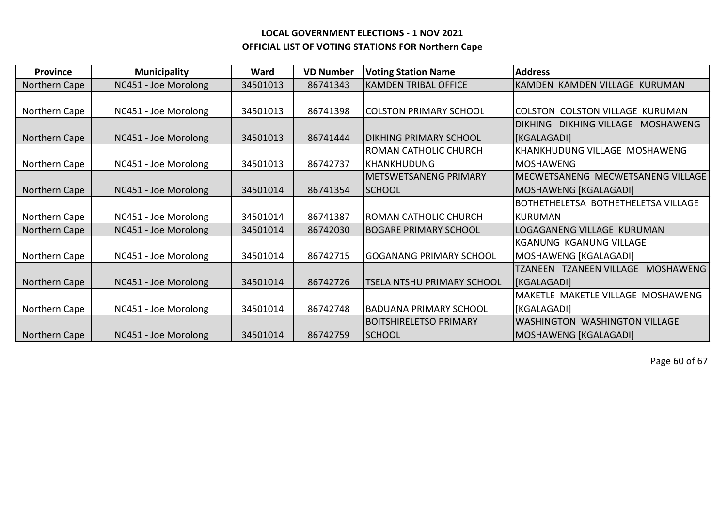| <b>Province</b> | <b>Municipality</b>  | Ward     | <b>VD Number</b> | <b>Voting Station Name</b>        | <b>Address</b>                                        |
|-----------------|----------------------|----------|------------------|-----------------------------------|-------------------------------------------------------|
| Northern Cape   | NC451 - Joe Morolong | 34501013 | 86741343         | KAMDEN TRIBAL OFFICE              | KAMDEN KAMDEN VILLAGE KURUMAN                         |
|                 |                      |          |                  |                                   |                                                       |
| Northern Cape   | NC451 - Joe Morolong | 34501013 | 86741398         | <b>COLSTON PRIMARY SCHOOL</b>     | COLSTON COLSTON VILLAGE KURUMAN                       |
|                 |                      |          |                  |                                   | <b>DIKHING</b><br><b>DIKHING VILLAGE</b><br>MOSHAWENG |
| Northern Cape   | NC451 - Joe Morolong | 34501013 | 86741444         | <b>IDIKHING PRIMARY SCHOOL</b>    | [KGALAGADI]                                           |
|                 |                      |          |                  | <b>ROMAN CATHOLIC CHURCH</b>      | KHANKHUDUNG VILLAGE MOSHAWENG                         |
| Northern Cape   | NC451 - Joe Morolong | 34501013 | 86742737         | IKHANKHUDUNG                      | <b>MOSHAWENG</b>                                      |
|                 |                      |          |                  | <b>IMETSWETSANENG PRIMARY</b>     | MECWETSANENG MECWETSANENG VILLAGE                     |
| Northern Cape   | NC451 - Joe Morolong | 34501014 | 86741354         | <b>SCHOOL</b>                     | MOSHAWENG [KGALAGADI]                                 |
|                 |                      |          |                  |                                   | BOTHETHELETSA BOTHETHELETSA VILLAGE                   |
| Northern Cape   | NC451 - Joe Morolong | 34501014 | 86741387         | IROMAN CATHOLIC CHURCH            | <b>KURUMAN</b>                                        |
| Northern Cape   | NC451 - Joe Morolong | 34501014 | 86742030         | <b>BOGARE PRIMARY SCHOOL</b>      | LOGAGANENG VILLAGE KURUMAN                            |
|                 |                      |          |                  |                                   | KGANUNG KGANUNG VILLAGE                               |
| Northern Cape   | NC451 - Joe Morolong | 34501014 | 86742715         | <b>GOGANANG PRIMARY SCHOOL</b>    | MOSHAWENG [KGALAGADI]                                 |
|                 |                      |          |                  |                                   | TZANEEN TZANEEN VILLAGE MOSHAWENG                     |
| Northern Cape   | NC451 - Joe Morolong | 34501014 | 86742726         | <b>TSELA NTSHU PRIMARY SCHOOL</b> | [KGALAGADI]                                           |
|                 |                      |          |                  |                                   | MAKETLE MAKETLE VILLAGE MOSHAWENG                     |
| Northern Cape   | NC451 - Joe Morolong | 34501014 | 86742748         | <b>BADUANA PRIMARY SCHOOL</b>     | [KGALAGADI]                                           |
|                 |                      |          |                  | BOITSHIRELETSO PRIMARY            | <b>WASHINGTON WASHINGTON VILLAGE</b>                  |
| Northern Cape   | NC451 - Joe Morolong | 34501014 | 86742759         | <b>SCHOOL</b>                     | MOSHAWENG [KGALAGADI]                                 |

Page 60 of 67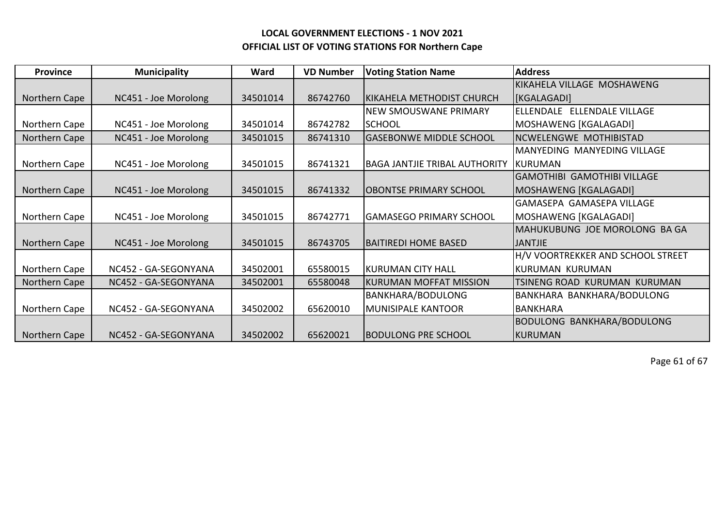| <b>Province</b> | <b>Municipality</b>  | Ward     | <b>VD Number</b> | <b>Voting Station Name</b>           | <b>Address</b>                     |
|-----------------|----------------------|----------|------------------|--------------------------------------|------------------------------------|
|                 |                      |          |                  |                                      | İKIKAHELA VILLAGE MOSHAWENG        |
| Northern Cape   | NC451 - Joe Morolong | 34501014 | 86742760         | IKIKAHELA METHODIST CHURCH           | <b>KGALAGADI</b>                   |
|                 |                      |          |                  | <b>NEW SMOUSWANE PRIMARY</b>         | ELLENDALE ELLENDALE VILLAGE        |
| Northern Cape   | NC451 - Joe Morolong | 34501014 | 86742782         | <b>SCHOOL</b>                        | MOSHAWENG [KGALAGADI]              |
| Northern Cape   | NC451 - Joe Morolong | 34501015 | 86741310         | <b>GASEBONWE MIDDLE SCHOOL</b>       | NCWELENGWE MOTHIBISTAD             |
|                 |                      |          |                  |                                      | <b>MANYEDING MANYEDING VILLAGE</b> |
| Northern Cape   | NC451 - Joe Morolong | 34501015 | 86741321         | <b>BAGA JANTJIE TRIBAL AUTHORITY</b> | KURUMAN                            |
|                 |                      |          |                  |                                      | GAMOTHIBI GAMOTHIBI VILLAGE        |
| Northern Cape   | NC451 - Joe Morolong | 34501015 | 86741332         | <b>OBONTSE PRIMARY SCHOOL</b>        | MOSHAWENG [KGALAGADI]              |
|                 |                      |          |                  |                                      | <b>GAMASEPA GAMASEPA VILLAGE</b>   |
| Northern Cape   | NC451 - Joe Morolong | 34501015 | 86742771         | <b>GAMASEGO PRIMARY SCHOOL</b>       | MOSHAWENG [KGALAGADI]              |
|                 |                      |          |                  |                                      | IMAHUKUBUNG JOE MOROLONG BA GA     |
| Northern Cape   | NC451 - Joe Morolong | 34501015 | 86743705         | <b>BAITIREDI HOME BASED</b>          | <b>JANTJIE</b>                     |
|                 |                      |          |                  |                                      | H/V VOORTREKKER AND SCHOOL STREET  |
| Northern Cape   | NC452 - GA-SEGONYANA | 34502001 | 65580015         | KURUMAN CITY HALL                    | KURUMAN KURUMAN                    |
| Northern Cape   | NC452 - GA-SEGONYANA | 34502001 | 65580048         | KURUMAN MOFFAT MISSION               | TSINENG ROAD KURUMAN KURUMAN       |
|                 |                      |          |                  | <b>BANKHARA/BODULONG</b>             | BANKHARA BANKHARA/BODULONG         |
| Northern Cape   | NC452 - GA-SEGONYANA | 34502002 | 65620010         | <b>MUNISIPALE KANTOOR</b>            | <b>BANKHARA</b>                    |
|                 |                      |          |                  |                                      | BODULONG BANKHARA/BODULONG         |
| Northern Cape   | NC452 - GA-SEGONYANA | 34502002 | 65620021         | <b>BODULONG PRE SCHOOL</b>           | KURUMAN                            |

Page 61 of 67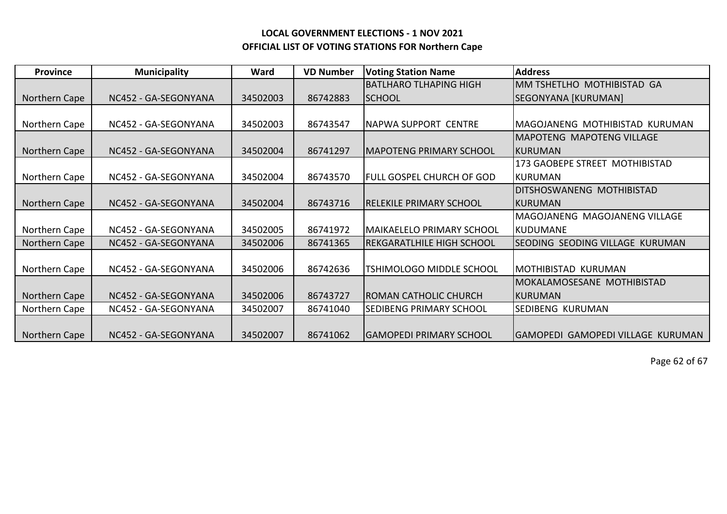| <b>Province</b> | <b>Municipality</b>  | Ward     | <b>VD Number</b> | <b>Voting Station Name</b>       | <b>Address</b>                    |
|-----------------|----------------------|----------|------------------|----------------------------------|-----------------------------------|
|                 |                      |          |                  | <b>BATLHARO TLHAPING HIGH</b>    | MM TSHETLHO MOTHIBISTAD GA        |
| Northern Cape   | NC452 - GA-SEGONYANA | 34502003 | 86742883         | <b>SCHOOL</b>                    | SEGONYANA [KURUMAN]               |
|                 |                      |          |                  |                                  |                                   |
| Northern Cape   | NC452 - GA-SEGONYANA | 34502003 | 86743547         | INAPWA SUPPORT CENTRE            | MAGOJANENG MOTHIBISTAD KURUMAN    |
|                 |                      |          |                  |                                  | <b>MAPOTENG MAPOTENG VILLAGE</b>  |
| Northern Cape   | NC452 - GA-SEGONYANA | 34502004 | 86741297         | <b>IMAPOTENG PRIMARY SCHOOL</b>  | KURUMAN                           |
|                 |                      |          |                  |                                  | 173 GAOBEPE STREET MOTHIBISTAD    |
| Northern Cape   | NC452 - GA-SEGONYANA | 34502004 | 86743570         | <b>FULL GOSPEL CHURCH OF GOD</b> | <b>KURUMAN</b>                    |
|                 |                      |          |                  |                                  | DITSHOSWANENG MOTHIBISTAD         |
| Northern Cape   | NC452 - GA-SEGONYANA | 34502004 | 86743716         | IRELEKILE PRIMARY SCHOOL         | IKURUMAN                          |
|                 |                      |          |                  |                                  | MAGOJANENG MAGOJANENG VILLAGE     |
| Northern Cape   | NC452 - GA-SEGONYANA | 34502005 | 86741972         | <b>MAIKAELELO PRIMARY SCHOOL</b> | <b>KUDUMANE</b>                   |
| Northern Cape   | NC452 - GA-SEGONYANA | 34502006 | 86741365         | <b>REKGARATLHILE HIGH SCHOOL</b> | SEODING SEODING VILLAGE KURUMAN   |
|                 |                      |          |                  |                                  |                                   |
| Northern Cape   | NC452 - GA-SEGONYANA | 34502006 | 86742636         | <b>TSHIMOLOGO MIDDLE SCHOOL</b>  | <b>MOTHIBISTAD KURUMAN</b>        |
|                 |                      |          |                  |                                  | MOKALAMOSESANE MOTHIBISTAD        |
| Northern Cape   | NC452 - GA-SEGONYANA | 34502006 | 86743727         | <b>ROMAN CATHOLIC CHURCH</b>     | IKURUMAN                          |
| Northern Cape   | NC452 - GA-SEGONYANA | 34502007 | 86741040         | <b>SEDIBENG PRIMARY SCHOOL</b>   | <b>SEDIBENG KURUMAN</b>           |
|                 |                      |          |                  |                                  |                                   |
| Northern Cape   | NC452 - GA-SEGONYANA | 34502007 | 86741062         | <b>GAMOPEDI PRIMARY SCHOOL</b>   | GAMOPEDI GAMOPEDI VILLAGE KURUMAN |

Page 62 of 67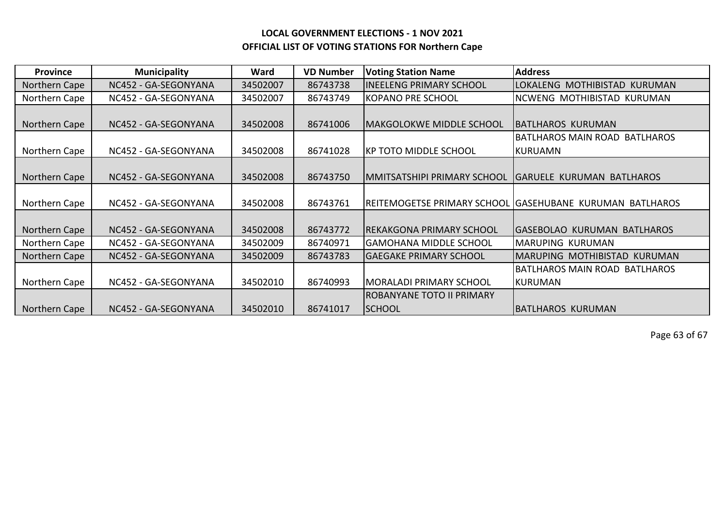| <b>Province</b> | <b>Municipality</b>  | Ward     | <b>VD Number</b> | <b>Voting Station Name</b>       | <b>Address</b>                                              |
|-----------------|----------------------|----------|------------------|----------------------------------|-------------------------------------------------------------|
| Northern Cape   | NC452 - GA-SEGONYANA | 34502007 | 86743738         | IINEELENG PRIMARY SCHOOL         | LOKALENG MOTHIBISTAD KURUMAN                                |
| Northern Cape   | NC452 - GA-SEGONYANA | 34502007 | 86743749         | KOPANO PRE SCHOOL                | NCWENG MOTHIBISTAD KURUMAN                                  |
|                 |                      |          |                  |                                  |                                                             |
| Northern Cape   | NC452 - GA-SEGONYANA | 34502008 | 86741006         | MAKGOLOKWE MIDDLE SCHOOL         | <b>BATLHAROS KURUMAN</b>                                    |
|                 |                      |          |                  |                                  | BATLHAROS MAIN ROAD BATLHAROS                               |
| Northern Cape   | NC452 - GA-SEGONYANA | 34502008 | 86741028         | IKP TOTO MIDDLE SCHOOL           | <b>KURUAMN</b>                                              |
|                 |                      |          |                  |                                  |                                                             |
| Northern Cape   | NC452 - GA-SEGONYANA | 34502008 | 86743750         | MMITSATSHIPI PRIMARY SCHOOL      | <b>GARUELE KURUMAN BATLHAROS</b>                            |
|                 |                      |          |                  |                                  |                                                             |
| Northern Cape   | NC452 - GA-SEGONYANA | 34502008 | 86743761         |                                  | REITEMOGETSE PRIMARY SCHOOL  GASEHUBANE  KURUMAN  BATLHAROS |
|                 |                      |          |                  |                                  |                                                             |
| Northern Cape   | NC452 - GA-SEGONYANA | 34502008 | 86743772         | <b>IREKAKGONA PRIMARY SCHOOL</b> | <b>GASEBOLAO KURUMAN BATLHAROS</b>                          |
| Northern Cape   | NC452 - GA-SEGONYANA | 34502009 | 86740971         | IGAMOHANA MIDDLE SCHOOL          | <b>MARUPING KURUMAN</b>                                     |
| Northern Cape   | NC452 - GA-SEGONYANA | 34502009 | 86743783         | <b>GAEGAKE PRIMARY SCHOOL</b>    | MARUPING MOTHIBISTAD KURUMAN                                |
|                 |                      |          |                  |                                  | BATLHAROS MAIN ROAD BATLHAROS                               |
| Northern Cape   | NC452 - GA-SEGONYANA | 34502010 | 86740993         | MORALADI PRIMARY SCHOOL          | <b>KURUMAN</b>                                              |
|                 |                      |          |                  | <b>ROBANYANE TOTO II PRIMARY</b> |                                                             |
| Northern Cape   | NC452 - GA-SEGONYANA | 34502010 | 86741017         | <b>SCHOOL</b>                    | <b>BATLHAROS KURUMAN</b>                                    |

Page 63 of 67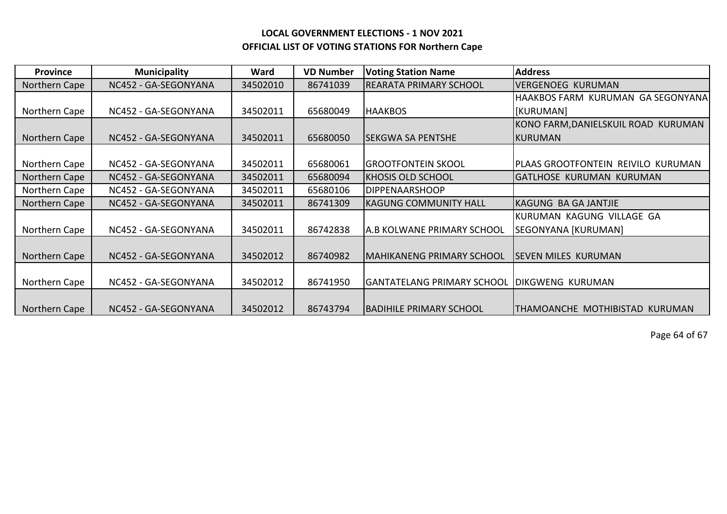| <b>Province</b> | <b>Municipality</b>  | Ward     | <b>VD Number</b> | <b>Voting Station Name</b>       | <b>Address</b>                      |
|-----------------|----------------------|----------|------------------|----------------------------------|-------------------------------------|
| Northern Cape   | NC452 - GA-SEGONYANA | 34502010 | 86741039         | <b>REARATA PRIMARY SCHOOL</b>    | <b>VERGENOEG KURUMAN</b>            |
|                 |                      |          |                  |                                  | HAAKBOS FARM KURUMAN GA SEGONYANA   |
| Northern Cape   | NC452 - GA-SEGONYANA | 34502011 | 65680049         | <b>HAAKBOS</b>                   | [KURUMAN]                           |
|                 |                      |          |                  |                                  | KONO FARM, DANIELSKUIL ROAD KURUMAN |
| Northern Cape   | NC452 - GA-SEGONYANA | 34502011 | 65680050         | <b>SEKGWA SA PENTSHE</b>         | KURUMAN                             |
|                 |                      |          |                  |                                  |                                     |
| Northern Cape   | NC452 - GA-SEGONYANA | 34502011 | 65680061         | <b>GROOTFONTEIN SKOOL</b>        | PLAAS GROOTFONTEIN REIVILO KURUMAN  |
| Northern Cape   | NC452 - GA-SEGONYANA | 34502011 | 65680094         | <b>KHOSIS OLD SCHOOL</b>         | <b>GATLHOSE KURUMAN KURUMAN</b>     |
| Northern Cape   | NC452 - GA-SEGONYANA | 34502011 | 65680106         | <b>DIPPENAARSHOOP</b>            |                                     |
| Northern Cape   | NC452 - GA-SEGONYANA | 34502011 | 86741309         | <b>KAGUNG COMMUNITY HALL</b>     | KAGUNG BA GA JANTJIE                |
|                 |                      |          |                  |                                  | KURUMAN KAGUNG VILLAGE GA           |
| Northern Cape   | NC452 - GA-SEGONYANA | 34502011 | 86742838         | A.B KOLWANE PRIMARY SCHOOL       | SEGONYANA [KURUMAN]                 |
|                 |                      |          |                  |                                  |                                     |
| Northern Cape   | NC452 - GA-SEGONYANA | 34502012 | 86740982         | <b>MAHIKANENG PRIMARY SCHOOL</b> | <b>SEVEN MILES KURUMAN</b>          |
|                 |                      |          |                  |                                  |                                     |
| Northern Cape   | NC452 - GA-SEGONYANA | 34502012 | 86741950         | GANTATELANG PRIMARY SCHOOL       | <b>DIKGWENG KURUMAN</b>             |
|                 |                      |          |                  |                                  |                                     |
| Northern Cape   | NC452 - GA-SEGONYANA | 34502012 | 86743794         | <b>BADIHILE PRIMARY SCHOOL</b>   | THAMOANCHE MOTHIBISTAD KURUMAN      |

Page 64 of 67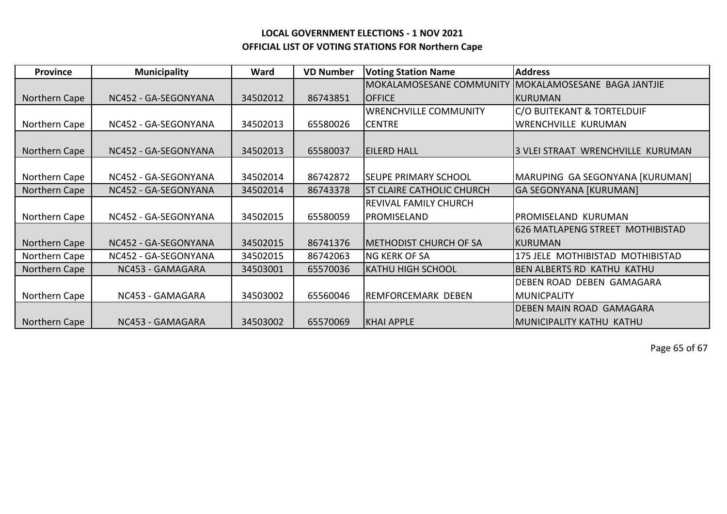| <b>Province</b> | <b>Municipality</b>  | Ward     | <b>VD Number</b> | <b>Voting Station Name</b>       | <b>Address</b>                    |
|-----------------|----------------------|----------|------------------|----------------------------------|-----------------------------------|
|                 |                      |          |                  | MOKALAMOSESANE COMMUNITY         | MOKALAMOSESANE BAGA JANTJIE       |
| Northern Cape   | NC452 - GA-SEGONYANA | 34502012 | 86743851         | <b>OFFICE</b>                    | KURUMAN                           |
|                 |                      |          |                  | <b>WRENCHVILLE COMMUNITY</b>     | C/O BUITEKANT & TORTELDUIF        |
| Northern Cape   | NC452 - GA-SEGONYANA | 34502013 | 65580026         | <b>CENTRE</b>                    | <b>WRENCHVILLE KURUMAN</b>        |
|                 |                      |          |                  |                                  |                                   |
| Northern Cape   | NC452 - GA-SEGONYANA | 34502013 | 65580037         | <b>EILERD HALL</b>               | 3 VLEI STRAAT WRENCHVILLE KURUMAN |
|                 |                      |          |                  |                                  |                                   |
| Northern Cape   | NC452 - GA-SEGONYANA | 34502014 | 86742872         | <b>SEUPE PRIMARY SCHOOL</b>      | MARUPING GA SEGONYANA [KURUMAN]   |
| Northern Cape   | NC452 - GA-SEGONYANA | 34502014 | 86743378         | <b>ST CLAIRE CATHOLIC CHURCH</b> | <b>GA SEGONYANA [KURUMAN]</b>     |
|                 |                      |          |                  | <b>REVIVAL FAMILY CHURCH</b>     |                                   |
| Northern Cape   | NC452 - GA-SEGONYANA | 34502015 | 65580059         | PROMISELAND                      | PROMISELAND KURUMAN               |
|                 |                      |          |                  |                                  | 626 MATLAPENG STREET MOTHIBISTAD  |
| Northern Cape   | NC452 - GA-SEGONYANA | 34502015 | 86741376         | <b>IMETHODIST CHURCH OF SA</b>   | IKURUMAN                          |
| Northern Cape   | NC452 - GA-SEGONYANA | 34502015 | 86742063         | <b>NG KERK OF SA</b>             | 175 JELE MOTHIBISTAD MOTHIBISTAD  |
| Northern Cape   | NC453 - GAMAGARA     | 34503001 | 65570036         | <b>KATHU HIGH SCHOOL</b>         | <b>BEN ALBERTS RD KATHU KATHU</b> |
|                 |                      |          |                  |                                  | DEBEN ROAD DEBEN GAMAGARA         |
| Northern Cape   | NC453 - GAMAGARA     | 34503002 | 65560046         | REMFORCEMARK DEBEN               | <b>MUNICPALITY</b>                |
|                 |                      |          |                  |                                  | DEBEN MAIN ROAD GAMAGARA          |
| Northern Cape   | NC453 - GAMAGARA     | 34503002 | 65570069         | <b>KHAI APPLE</b>                | <b>IMUNICIPALITY KATHU KATHU</b>  |

Page 65 of 67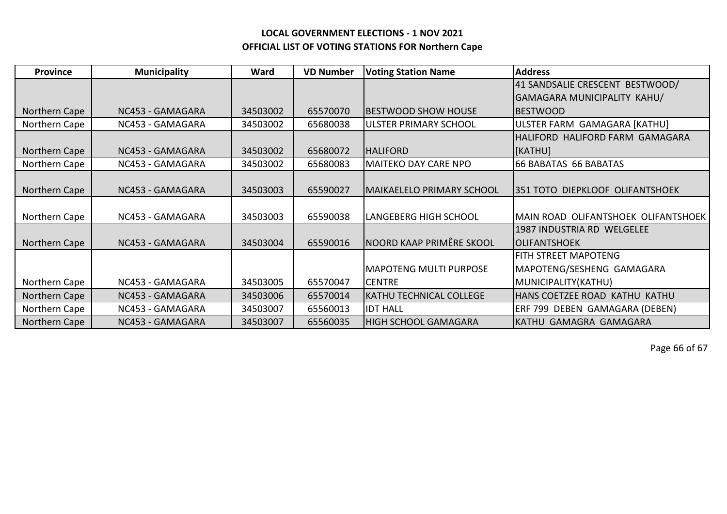| <b>Province</b> | <b>Municipality</b> | Ward     | <b>VD Number</b> | <b>Voting Station Name</b>       | <b>Address</b>                         |
|-----------------|---------------------|----------|------------------|----------------------------------|----------------------------------------|
|                 |                     |          |                  |                                  | 41 SANDSALIE CRESCENT BESTWOOD/        |
|                 |                     |          |                  |                                  | <b>GAMAGARA MUNICIPALITY KAHU/</b>     |
| Northern Cape   | NC453 - GAMAGARA    | 34503002 | 65570070         | <b>IBESTWOOD SHOW HOUSE</b>      | <b>IBESTWOOD</b>                       |
| Northern Cape   | NC453 - GAMAGARA    | 34503002 | 65680038         | ULSTER PRIMARY SCHOOL            | ULSTER FARM GAMAGARA [KATHU]           |
|                 |                     |          |                  |                                  | HALIFORD HALIFORD FARM GAMAGARA        |
| Northern Cape   | NC453 - GAMAGARA    | 34503002 | 65680072         | <b>HALIFORD</b>                  | <b>[KATHU]</b>                         |
| Northern Cape   | NC453 - GAMAGARA    | 34503002 | 65680083         | <b>MAITEKO DAY CARE NPO</b>      | 66 BABATAS 66 BABATAS                  |
|                 |                     |          |                  |                                  |                                        |
| Northern Cape   | NC453 - GAMAGARA    | 34503003 | 65590027         | <b>MAIKAELELO PRIMARY SCHOOL</b> | <b>351 TOTO DIEPKLOOF OLIFANTSHOEK</b> |
|                 |                     |          |                  |                                  |                                        |
| Northern Cape   | NC453 - GAMAGARA    | 34503003 | 65590038         | LANGEBERG HIGH SCHOOL            | MAIN ROAD OLIFANTSHOEK OLIFANTSHOEK    |
|                 |                     |          |                  |                                  | 1987 INDUSTRIA RD WELGELEE             |
| Northern Cape   | NC453 - GAMAGARA    | 34503004 | 65590016         | NOORD KAAP PRIMÊRE SKOOL         | <b>OLIFANTSHOEK</b>                    |
|                 |                     |          |                  |                                  | FITH STREET MAPOTENG                   |
|                 |                     |          |                  | <b>MAPOTENG MULTI PURPOSE</b>    | MAPOTENG/SESHENG GAMAGARA              |
| Northern Cape   | NC453 - GAMAGARA    | 34503005 | 65570047         | <b>CENTRE</b>                    | MUNICIPALITY(KATHU)                    |
| Northern Cape   | NC453 - GAMAGARA    | 34503006 | 65570014         | <b>KATHU TECHNICAL COLLEGE</b>   | HANS COETZEE ROAD KATHU KATHU          |
| Northern Cape   | NC453 - GAMAGARA    | 34503007 | 65560013         | <b>IDT HALL</b>                  | ERF 799 DEBEN GAMAGARA (DEBEN)         |
| Northern Cape   | NC453 - GAMAGARA    | 34503007 | 65560035         | <b>HIGH SCHOOL GAMAGARA</b>      | KATHU GAMAGRA GAMAGARA                 |

Page 66 of 67